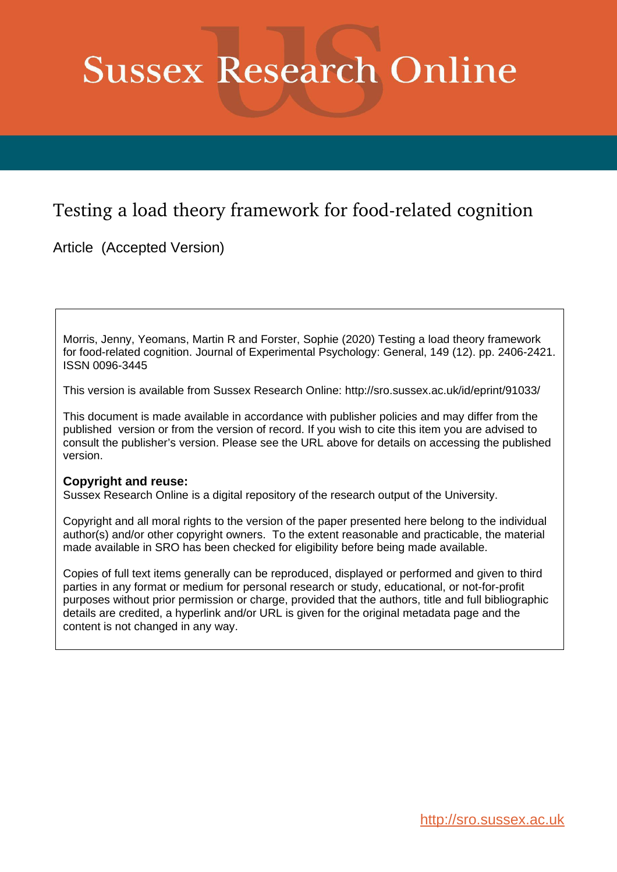# **Sussex Research Online**

# Testing a load theory framework for food-related cognition

Article (Accepted Version)

Morris, Jenny, Yeomans, Martin R and Forster, Sophie (2020) Testing a load theory framework for food-related cognition. Journal of Experimental Psychology: General, 149 (12). pp. 2406-2421. ISSN 0096-3445

This version is available from Sussex Research Online: http://sro.sussex.ac.uk/id/eprint/91033/

This document is made available in accordance with publisher policies and may differ from the published version or from the version of record. If you wish to cite this item you are advised to consult the publisher's version. Please see the URL above for details on accessing the published version.

# **Copyright and reuse:**

Sussex Research Online is a digital repository of the research output of the University.

Copyright and all moral rights to the version of the paper presented here belong to the individual author(s) and/or other copyright owners. To the extent reasonable and practicable, the material made available in SRO has been checked for eligibility before being made available.

Copies of full text items generally can be reproduced, displayed or performed and given to third parties in any format or medium for personal research or study, educational, or not-for-profit purposes without prior permission or charge, provided that the authors, title and full bibliographic details are credited, a hyperlink and/or URL is given for the original metadata page and the content is not changed in any way.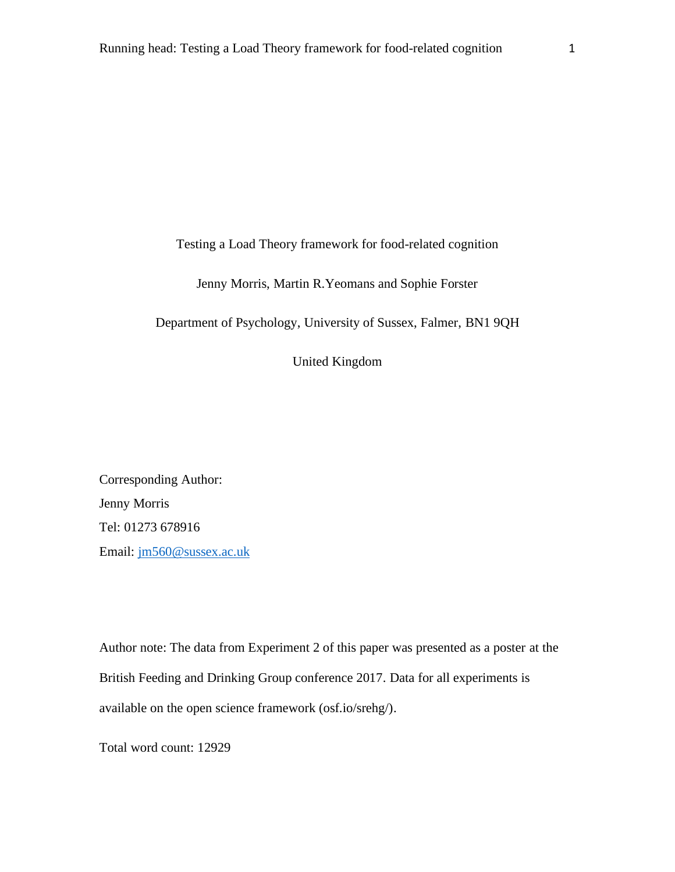Testing a Load Theory framework for food-related cognition

Jenny Morris, Martin R.Yeomans and Sophie Forster

Department of Psychology, University of Sussex, Falmer, BN1 9QH

United Kingdom

Corresponding Author: Jenny Morris Tel: 01273 678916 Email: [jm560@sussex.ac.uk](mailto:jm560@sussex.ac.uk)

Author note: The data from Experiment 2 of this paper was presented as a poster at the British Feeding and Drinking Group conference 2017. Data for all experiments is available on the open science framework (osf.io/srehg/).

Total word count: 12929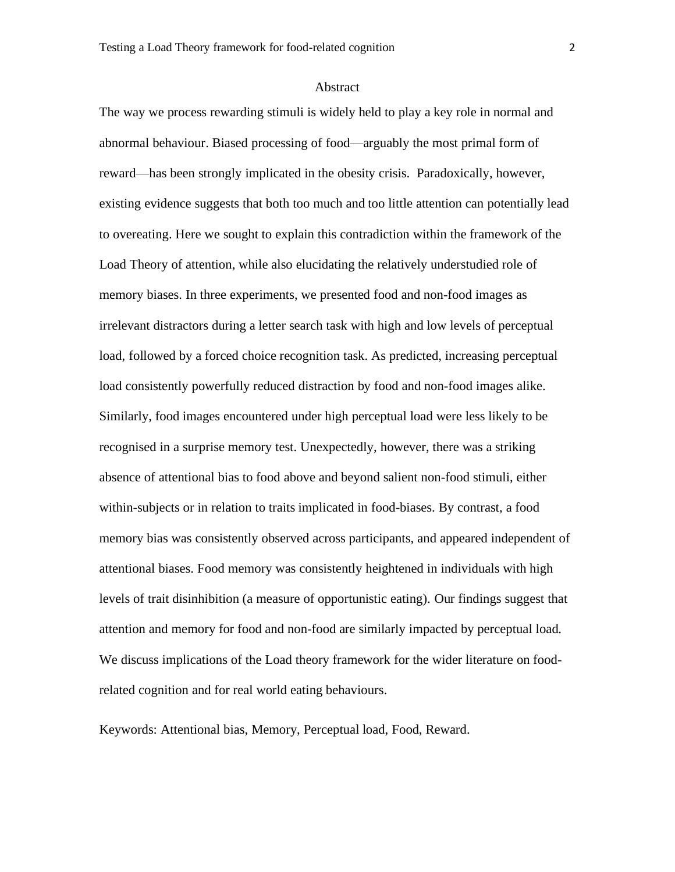#### Abstract

The way we process rewarding stimuli is widely held to play a key role in normal and abnormal behaviour. Biased processing of food—arguably the most primal form of reward—has been strongly implicated in the obesity crisis. Paradoxically, however, existing evidence suggests that both too much and too little attention can potentially lead to overeating. Here we sought to explain this contradiction within the framework of the Load Theory of attention, while also elucidating the relatively understudied role of memory biases. In three experiments, we presented food and non-food images as irrelevant distractors during a letter search task with high and low levels of perceptual load, followed by a forced choice recognition task. As predicted, increasing perceptual load consistently powerfully reduced distraction by food and non-food images alike. Similarly, food images encountered under high perceptual load were less likely to be recognised in a surprise memory test. Unexpectedly, however, there was a striking absence of attentional bias to food above and beyond salient non-food stimuli, either within-subjects or in relation to traits implicated in food-biases. By contrast, a food memory bias was consistently observed across participants, and appeared independent of attentional biases. Food memory was consistently heightened in individuals with high levels of trait disinhibition (a measure of opportunistic eating). Our findings suggest that attention and memory for food and non-food are similarly impacted by perceptual load. We discuss implications of the Load theory framework for the wider literature on foodrelated cognition and for real world eating behaviours.

Keywords: Attentional bias, Memory, Perceptual load, Food, Reward.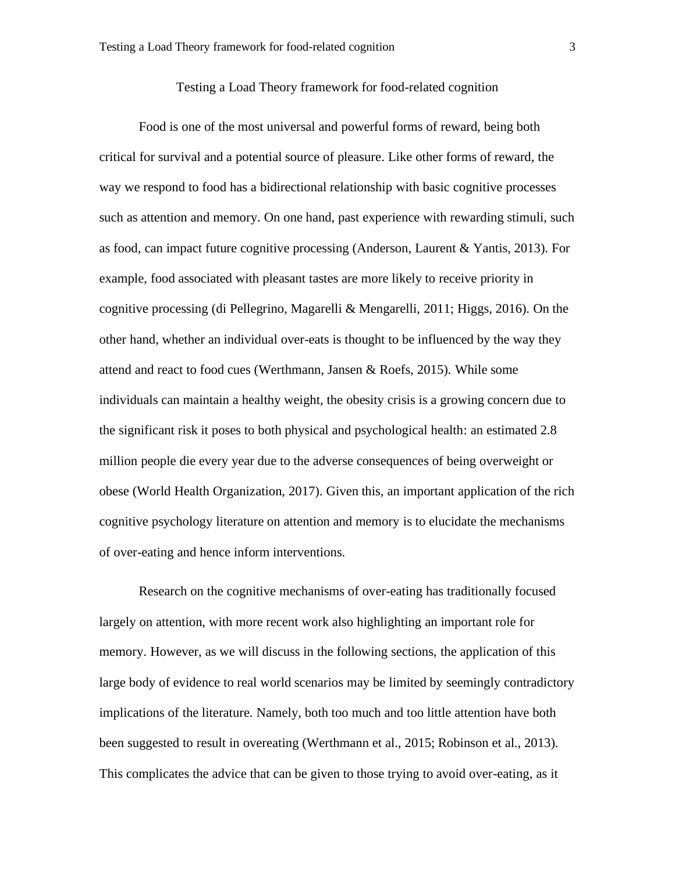## Testing a Load Theory framework for food-related cognition

Food is one of the most universal and powerful forms of reward, being both critical for survival and a potential source of pleasure. Like other forms of reward, the way we respond to food has a bidirectional relationship with basic cognitive processes such as attention and memory. On one hand, past experience with rewarding stimuli, such as food, can impact future cognitive processing (Anderson, Laurent & Yantis, 2013). For example, food associated with pleasant tastes are more likely to receive priority in cognitive processing (di Pellegrino, Magarelli & Mengarelli, 2011; Higgs, 2016). On the other hand, whether an individual over-eats is thought to be influenced by the way they attend and react to food cues (Werthmann, Jansen & Roefs, 2015). While some individuals can maintain a healthy weight, the obesity crisis is a growing concern due to the significant risk it poses to both physical and psychological health: an estimated 2.8 million people die every year due to the adverse consequences of being overweight or obese (World Health Organization, 2017). Given this, an important application of the rich cognitive psychology literature on attention and memory is to elucidate the mechanisms of over-eating and hence inform interventions.

Research on the cognitive mechanisms of over-eating has traditionally focused largely on attention, with more recent work also highlighting an important role for memory. However, as we will discuss in the following sections, the application of this large body of evidence to real world scenarios may be limited by seemingly contradictory implications of the literature. Namely, both too much and too little attention have both been suggested to result in overeating (Werthmann et al., 2015; Robinson et al., 2013). This complicates the advice that can be given to those trying to avoid over-eating, as it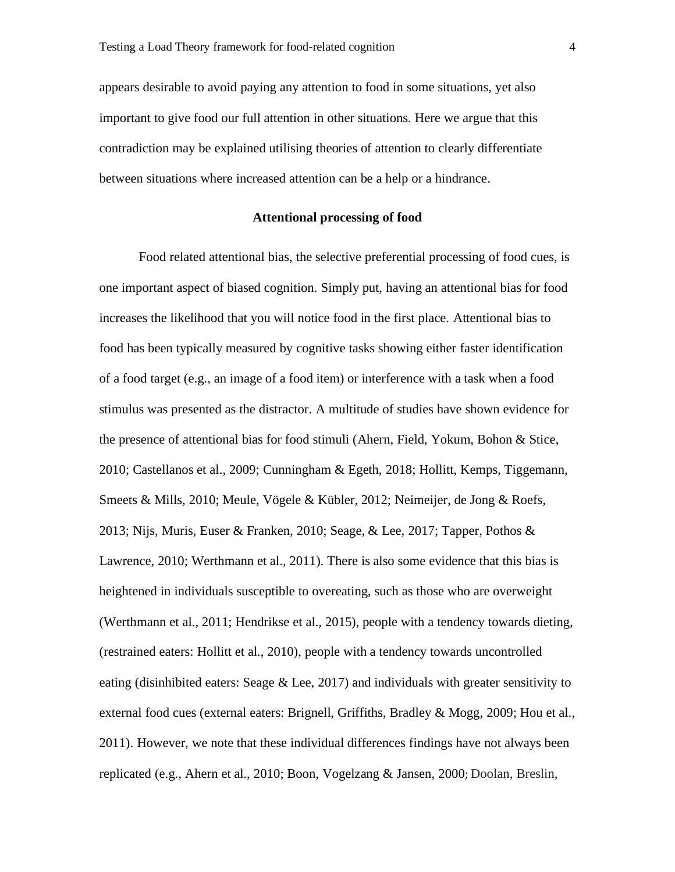appears desirable to avoid paying any attention to food in some situations, yet also important to give food our full attention in other situations. Here we argue that this contradiction may be explained utilising theories of attention to clearly differentiate between situations where increased attention can be a help or a hindrance.

# **Attentional processing of food**

Food related attentional bias, the selective preferential processing of food cues, is one important aspect of biased cognition. Simply put, having an attentional bias for food increases the likelihood that you will notice food in the first place. Attentional bias to food has been typically measured by cognitive tasks showing either faster identification of a food target (e.g., an image of a food item) or interference with a task when a food stimulus was presented as the distractor. A multitude of studies have shown evidence for the presence of attentional bias for food stimuli (Ahern, Field, Yokum, Bohon & Stice, 2010; Castellanos et al., 2009; Cunningham & Egeth, 2018; Hollitt, Kemps, Tiggemann, Smeets & Mills, 2010; Meule, Vögele & Kübler, 2012; Neimeijer, de Jong & Roefs, 2013; Nijs, Muris, Euser & Franken, 2010; Seage, & Lee, 2017; Tapper, Pothos & Lawrence, 2010; Werthmann et al., 2011). There is also some evidence that this bias is heightened in individuals susceptible to overeating, such as those who are overweight (Werthmann et al., 2011; Hendrikse et al., 2015), people with a tendency towards dieting, (restrained eaters: Hollitt et al., 2010), people with a tendency towards uncontrolled eating (disinhibited eaters: Seage  $&$  Lee, 2017) and individuals with greater sensitivity to external food cues (external eaters: Brignell, Griffiths, Bradley & Mogg, 2009; Hou et al., 2011). However, we note that these individual differences findings have not always been replicated (e.g., Ahern et al., 2010; Boon, Vogelzang & Jansen, 2000; Doolan, Breslin,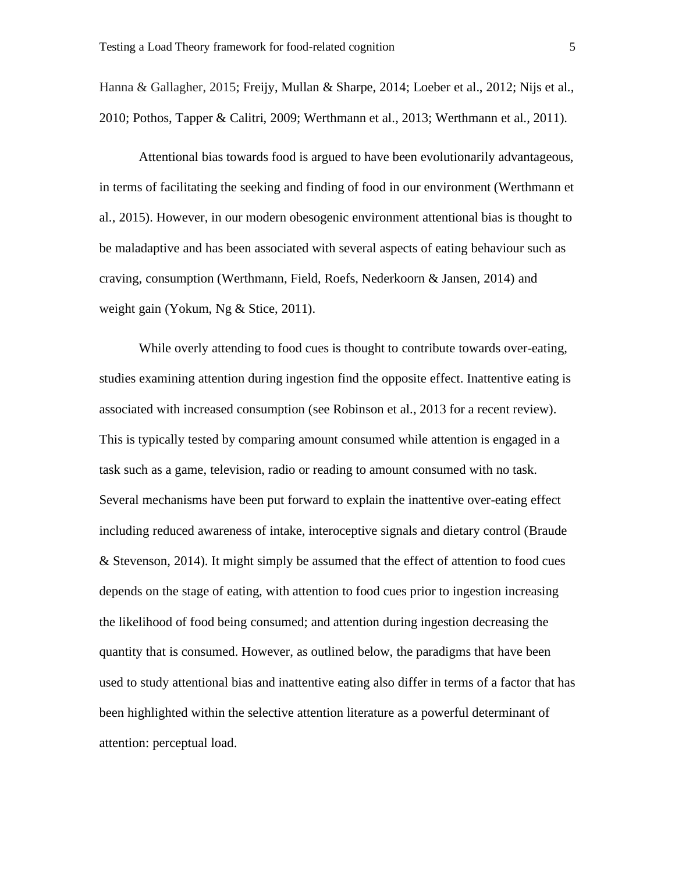Hanna & Gallagher, 2015; Freijy, Mullan & Sharpe, 2014; Loeber et al., 2012; Nijs et al., 2010; Pothos, Tapper & Calitri, 2009; Werthmann et al., 2013; Werthmann et al., 2011).

Attentional bias towards food is argued to have been evolutionarily advantageous, in terms of facilitating the seeking and finding of food in our environment (Werthmann et al., 2015). However, in our modern obesogenic environment attentional bias is thought to be maladaptive and has been associated with several aspects of eating behaviour such as craving, consumption (Werthmann, Field, Roefs, Nederkoorn & Jansen, 2014) and weight gain (Yokum, Ng & Stice, 2011).

While overly attending to food cues is thought to contribute towards over-eating, studies examining attention during ingestion find the opposite effect. Inattentive eating is associated with increased consumption (see Robinson et al., 2013 for a recent review). This is typically tested by comparing amount consumed while attention is engaged in a task such as a game, television, radio or reading to amount consumed with no task. Several mechanisms have been put forward to explain the inattentive over-eating effect including reduced awareness of intake, interoceptive signals and dietary control (Braude & Stevenson, 2014). It might simply be assumed that the effect of attention to food cues depends on the stage of eating, with attention to food cues prior to ingestion increasing the likelihood of food being consumed; and attention during ingestion decreasing the quantity that is consumed. However, as outlined below, the paradigms that have been used to study attentional bias and inattentive eating also differ in terms of a factor that has been highlighted within the selective attention literature as a powerful determinant of attention: perceptual load.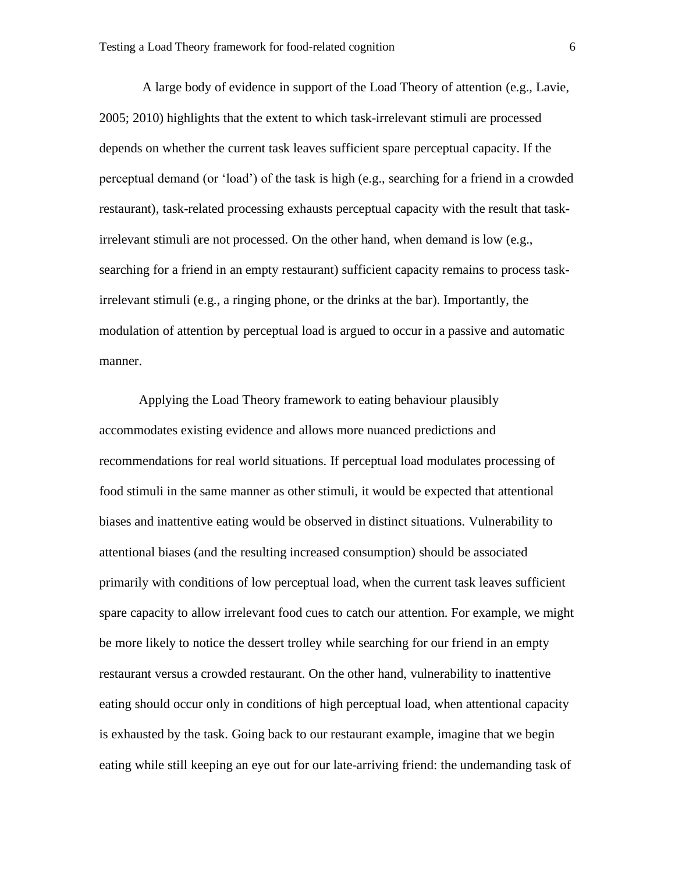A large body of evidence in support of the Load Theory of attention (e.g., Lavie, 2005; 2010) highlights that the extent to which task-irrelevant stimuli are processed depends on whether the current task leaves sufficient spare perceptual capacity. If the perceptual demand (or 'load') of the task is high (e.g., searching for a friend in a crowded restaurant), task-related processing exhausts perceptual capacity with the result that taskirrelevant stimuli are not processed. On the other hand, when demand is low (e.g., searching for a friend in an empty restaurant) sufficient capacity remains to process taskirrelevant stimuli (e.g., a ringing phone, or the drinks at the bar). Importantly, the modulation of attention by perceptual load is argued to occur in a passive and automatic manner.

Applying the Load Theory framework to eating behaviour plausibly accommodates existing evidence and allows more nuanced predictions and recommendations for real world situations. If perceptual load modulates processing of food stimuli in the same manner as other stimuli, it would be expected that attentional biases and inattentive eating would be observed in distinct situations. Vulnerability to attentional biases (and the resulting increased consumption) should be associated primarily with conditions of low perceptual load, when the current task leaves sufficient spare capacity to allow irrelevant food cues to catch our attention. For example, we might be more likely to notice the dessert trolley while searching for our friend in an empty restaurant versus a crowded restaurant. On the other hand, vulnerability to inattentive eating should occur only in conditions of high perceptual load, when attentional capacity is exhausted by the task. Going back to our restaurant example, imagine that we begin eating while still keeping an eye out for our late-arriving friend: the undemanding task of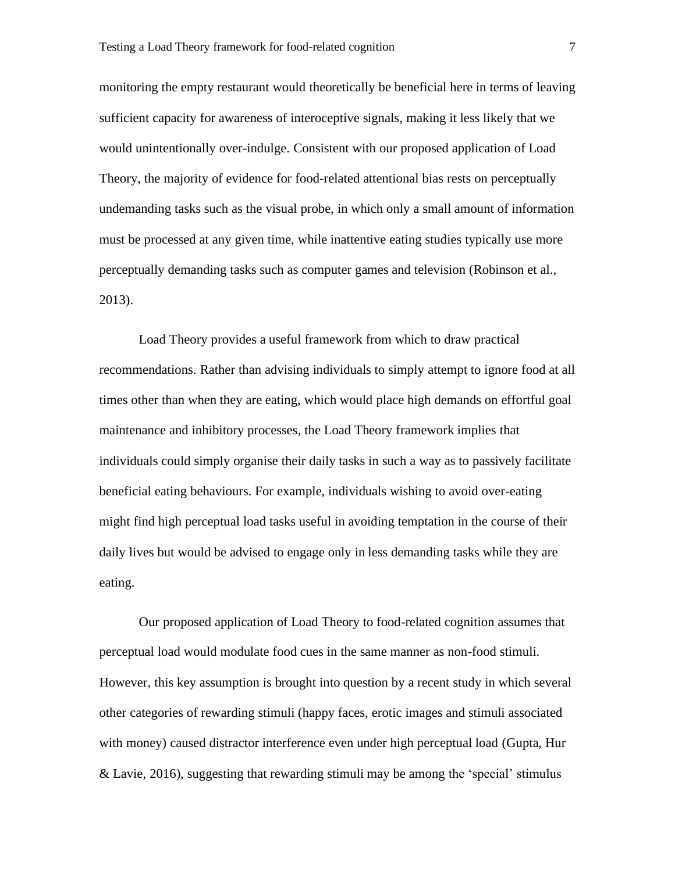monitoring the empty restaurant would theoretically be beneficial here in terms of leaving sufficient capacity for awareness of interoceptive signals, making it less likely that we would unintentionally over-indulge. Consistent with our proposed application of Load Theory, the majority of evidence for food-related attentional bias rests on perceptually undemanding tasks such as the visual probe, in which only a small amount of information must be processed at any given time, while inattentive eating studies typically use more perceptually demanding tasks such as computer games and television (Robinson et al., 2013).

Load Theory provides a useful framework from which to draw practical recommendations. Rather than advising individuals to simply attempt to ignore food at all times other than when they are eating, which would place high demands on effortful goal maintenance and inhibitory processes, the Load Theory framework implies that individuals could simply organise their daily tasks in such a way as to passively facilitate beneficial eating behaviours. For example, individuals wishing to avoid over-eating might find high perceptual load tasks useful in avoiding temptation in the course of their daily lives but would be advised to engage only in less demanding tasks while they are eating.

Our proposed application of Load Theory to food-related cognition assumes that perceptual load would modulate food cues in the same manner as non-food stimuli. However, this key assumption is brought into question by a recent study in which several other categories of rewarding stimuli (happy faces, erotic images and stimuli associated with money) caused distractor interference even under high perceptual load (Gupta, Hur & Lavie, 2016), suggesting that rewarding stimuli may be among the 'special' stimulus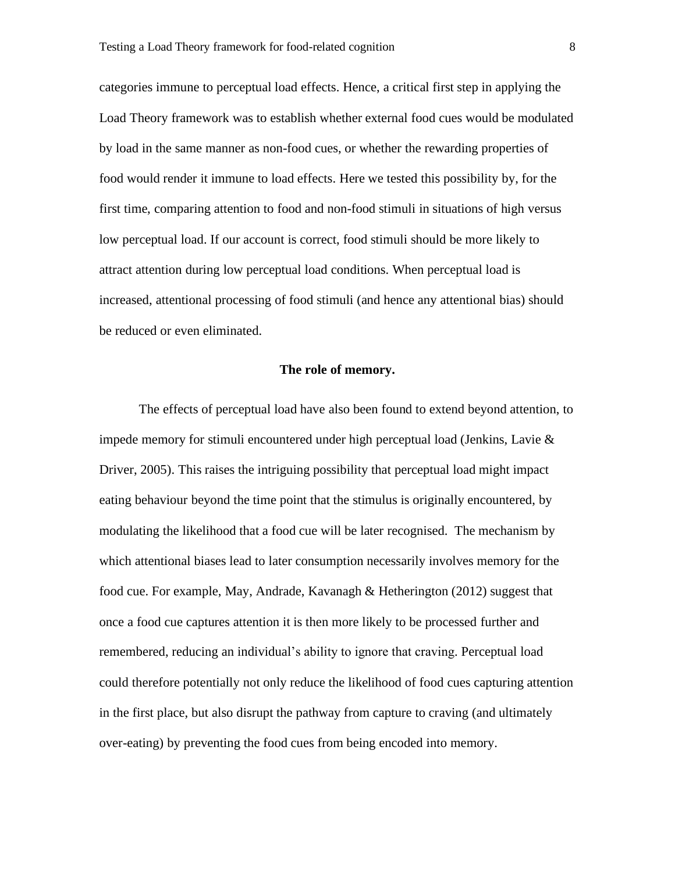categories immune to perceptual load effects. Hence, a critical first step in applying the Load Theory framework was to establish whether external food cues would be modulated by load in the same manner as non-food cues, or whether the rewarding properties of food would render it immune to load effects. Here we tested this possibility by, for the first time, comparing attention to food and non-food stimuli in situations of high versus low perceptual load. If our account is correct, food stimuli should be more likely to attract attention during low perceptual load conditions. When perceptual load is increased, attentional processing of food stimuli (and hence any attentional bias) should be reduced or even eliminated.

#### **The role of memory.**

The effects of perceptual load have also been found to extend beyond attention, to impede memory for stimuli encountered under high perceptual load (Jenkins, Lavie  $\&$ Driver, 2005). This raises the intriguing possibility that perceptual load might impact eating behaviour beyond the time point that the stimulus is originally encountered, by modulating the likelihood that a food cue will be later recognised. The mechanism by which attentional biases lead to later consumption necessarily involves memory for the food cue. For example, May, Andrade, Kavanagh & Hetherington (2012) suggest that once a food cue captures attention it is then more likely to be processed further and remembered, reducing an individual's ability to ignore that craving. Perceptual load could therefore potentially not only reduce the likelihood of food cues capturing attention in the first place, but also disrupt the pathway from capture to craving (and ultimately over-eating) by preventing the food cues from being encoded into memory.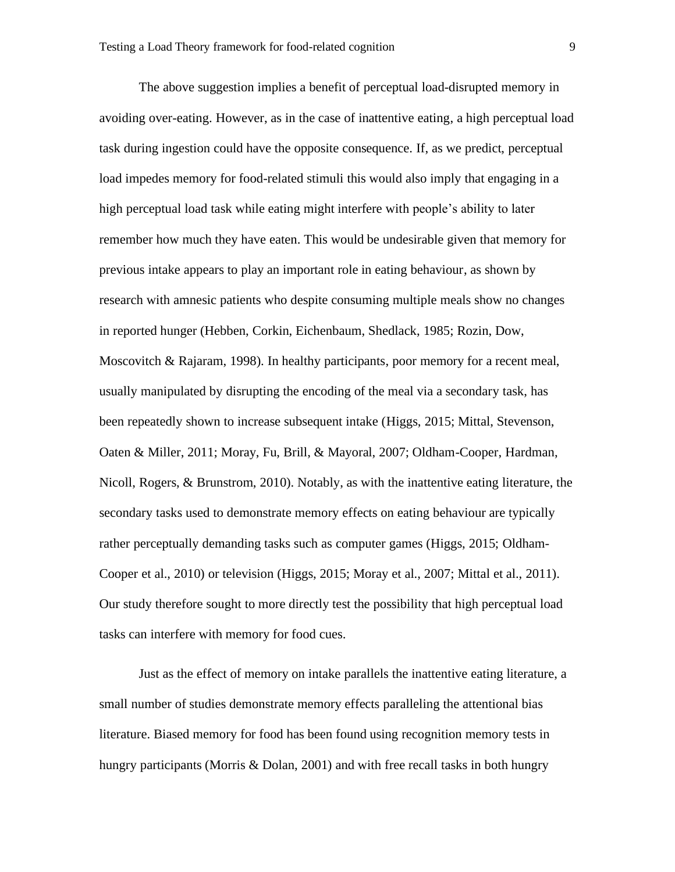The above suggestion implies a benefit of perceptual load-disrupted memory in avoiding over-eating. However, as in the case of inattentive eating, a high perceptual load task during ingestion could have the opposite consequence. If, as we predict, perceptual load impedes memory for food-related stimuli this would also imply that engaging in a high perceptual load task while eating might interfere with people's ability to later remember how much they have eaten. This would be undesirable given that memory for previous intake appears to play an important role in eating behaviour, as shown by research with amnesic patients who despite consuming multiple meals show no changes in reported hunger (Hebben, Corkin, Eichenbaum, Shedlack, 1985; Rozin, Dow, Moscovitch & Rajaram, 1998). In healthy participants, poor memory for a recent meal, usually manipulated by disrupting the encoding of the meal via a secondary task, has been repeatedly shown to increase subsequent intake (Higgs, 2015; Mittal, Stevenson, Oaten & Miller, 2011; Moray, Fu, Brill, & Mayoral, 2007; Oldham-Cooper, Hardman, Nicoll, Rogers, & Brunstrom, 2010). Notably, as with the inattentive eating literature, the secondary tasks used to demonstrate memory effects on eating behaviour are typically rather perceptually demanding tasks such as computer games (Higgs, 2015; Oldham-Cooper et al., 2010) or television (Higgs, 2015; Moray et al., 2007; Mittal et al., 2011). Our study therefore sought to more directly test the possibility that high perceptual load tasks can interfere with memory for food cues.

Just as the effect of memory on intake parallels the inattentive eating literature, a small number of studies demonstrate memory effects paralleling the attentional bias literature. Biased memory for food has been found using recognition memory tests in hungry participants (Morris & Dolan, 2001) and with free recall tasks in both hungry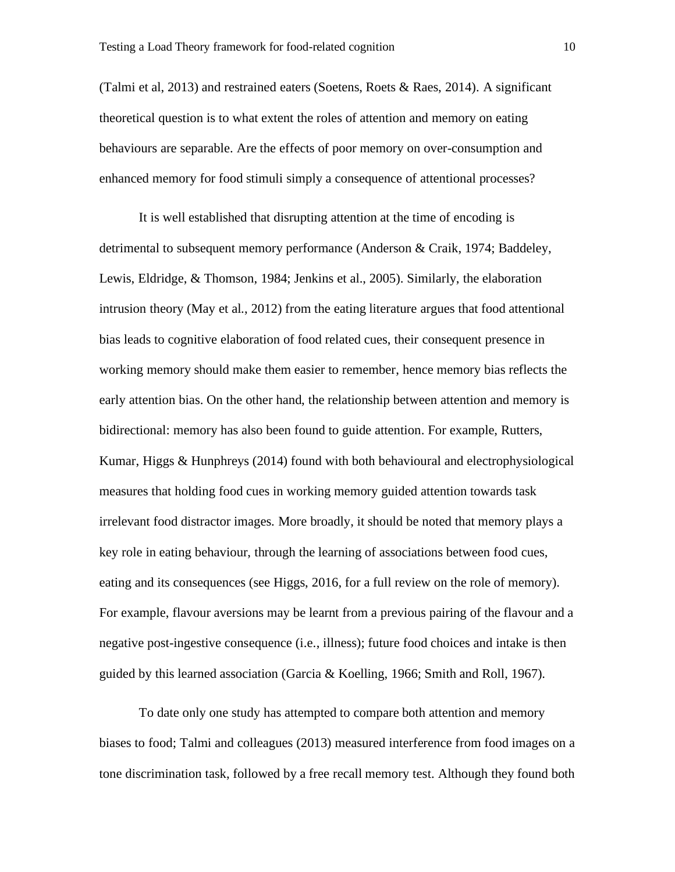(Talmi et al, 2013) and restrained eaters (Soetens, Roets & Raes, 2014). A significant theoretical question is to what extent the roles of attention and memory on eating behaviours are separable. Are the effects of poor memory on over-consumption and enhanced memory for food stimuli simply a consequence of attentional processes?

It is well established that disrupting attention at the time of encoding is detrimental to subsequent memory performance (Anderson & Craik, 1974; Baddeley, Lewis, Eldridge, & Thomson, 1984; Jenkins et al., 2005). Similarly, the elaboration intrusion theory (May et al., 2012) from the eating literature argues that food attentional bias leads to cognitive elaboration of food related cues, their consequent presence in working memory should make them easier to remember, hence memory bias reflects the early attention bias. On the other hand, the relationship between attention and memory is bidirectional: memory has also been found to guide attention. For example, Rutters, Kumar, Higgs & Hunphreys (2014) found with both behavioural and electrophysiological measures that holding food cues in working memory guided attention towards task irrelevant food distractor images. More broadly, it should be noted that memory plays a key role in eating behaviour, through the learning of associations between food cues, eating and its consequences (see Higgs, 2016, for a full review on the role of memory). For example, flavour aversions may be learnt from a previous pairing of the flavour and a negative post-ingestive consequence (i.e., illness); future food choices and intake is then guided by this learned association (Garcia & Koelling, 1966; Smith and Roll, 1967).

To date only one study has attempted to compare both attention and memory biases to food; Talmi and colleagues (2013) measured interference from food images on a tone discrimination task, followed by a free recall memory test. Although they found both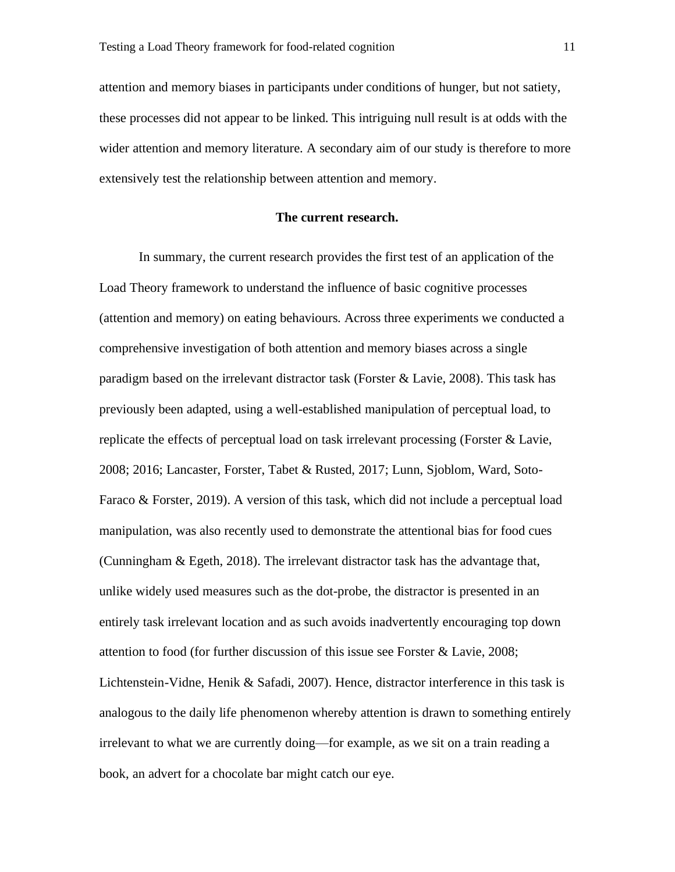attention and memory biases in participants under conditions of hunger, but not satiety, these processes did not appear to be linked. This intriguing null result is at odds with the wider attention and memory literature. A secondary aim of our study is therefore to more extensively test the relationship between attention and memory.

#### **The current research.**

In summary, the current research provides the first test of an application of the Load Theory framework to understand the influence of basic cognitive processes (attention and memory) on eating behaviours. Across three experiments we conducted a comprehensive investigation of both attention and memory biases across a single paradigm based on the irrelevant distractor task (Forster & Lavie, 2008). This task has previously been adapted, using a well-established manipulation of perceptual load, to replicate the effects of perceptual load on task irrelevant processing (Forster & Lavie, 2008; 2016; Lancaster, Forster, Tabet & Rusted, 2017; Lunn, Sjoblom, Ward, Soto-Faraco & Forster, 2019). A version of this task, which did not include a perceptual load manipulation, was also recently used to demonstrate the attentional bias for food cues (Cunningham & Egeth, 2018). The irrelevant distractor task has the advantage that, unlike widely used measures such as the dot-probe, the distractor is presented in an entirely task irrelevant location and as such avoids inadvertently encouraging top down attention to food (for further discussion of this issue see Forster & Lavie, 2008; Lichtenstein-Vidne, Henik & Safadi, 2007). Hence, distractor interference in this task is analogous to the daily life phenomenon whereby attention is drawn to something entirely irrelevant to what we are currently doing—for example, as we sit on a train reading a book, an advert for a chocolate bar might catch our eye.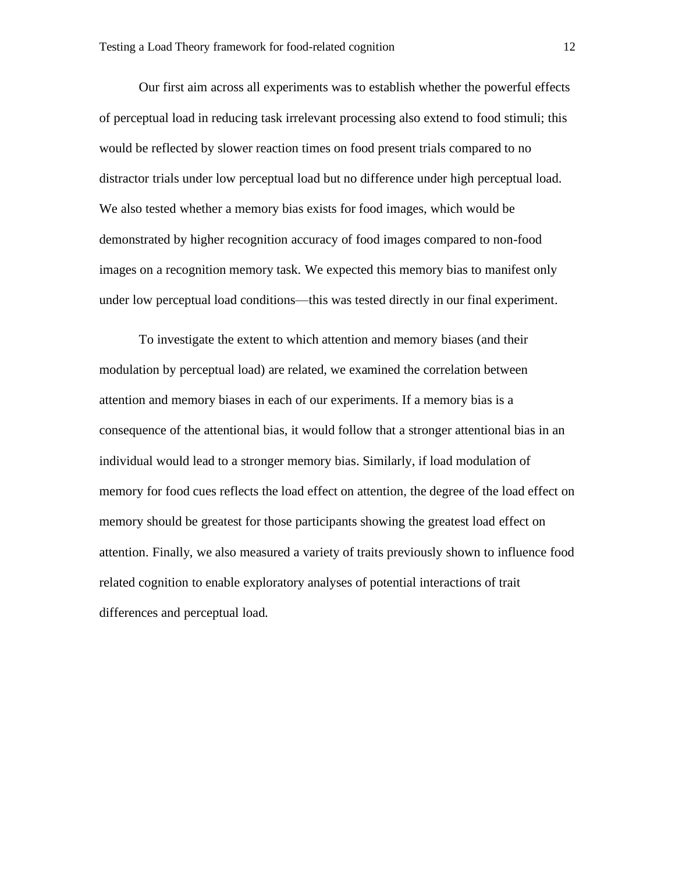Our first aim across all experiments was to establish whether the powerful effects of perceptual load in reducing task irrelevant processing also extend to food stimuli; this would be reflected by slower reaction times on food present trials compared to no distractor trials under low perceptual load but no difference under high perceptual load. We also tested whether a memory bias exists for food images, which would be demonstrated by higher recognition accuracy of food images compared to non-food images on a recognition memory task. We expected this memory bias to manifest only under low perceptual load conditions—this was tested directly in our final experiment.

To investigate the extent to which attention and memory biases (and their modulation by perceptual load) are related, we examined the correlation between attention and memory biases in each of our experiments. If a memory bias is a consequence of the attentional bias, it would follow that a stronger attentional bias in an individual would lead to a stronger memory bias. Similarly, if load modulation of memory for food cues reflects the load effect on attention, the degree of the load effect on memory should be greatest for those participants showing the greatest load effect on attention. Finally, we also measured a variety of traits previously shown to influence food related cognition to enable exploratory analyses of potential interactions of trait differences and perceptual load.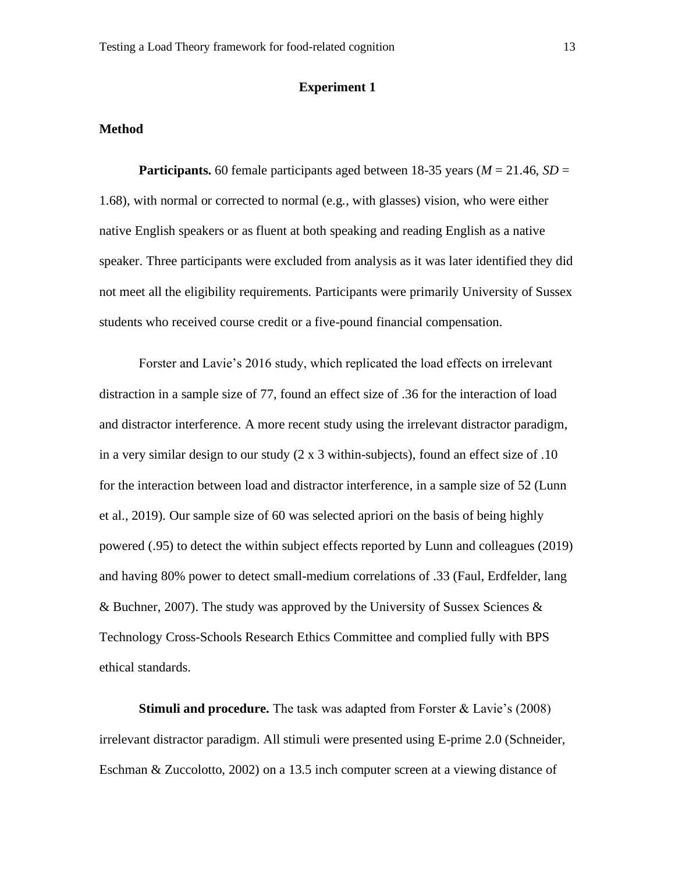# **Experiment 1**

#### **Method**

**Participants.** 60 female participants aged between 18-35 years ( $M = 21.46$ ,  $SD =$ 1.68), with normal or corrected to normal (e.g., with glasses) vision, who were either native English speakers or as fluent at both speaking and reading English as a native speaker. Three participants were excluded from analysis as it was later identified they did not meet all the eligibility requirements. Participants were primarily University of Sussex students who received course credit or a five-pound financial compensation.

Forster and Lavie's 2016 study, which replicated the load effects on irrelevant distraction in a sample size of 77, found an effect size of .36 for the interaction of load and distractor interference. A more recent study using the irrelevant distractor paradigm, in a very similar design to our study (2 x 3 within-subjects), found an effect size of .10 for the interaction between load and distractor interference, in a sample size of 52 (Lunn et al., 2019). Our sample size of 60 was selected apriori on the basis of being highly powered (.95) to detect the within subject effects reported by Lunn and colleagues (2019) and having 80% power to detect small-medium correlations of .33 (Faul, Erdfelder, lang & Buchner, 2007). The study was approved by the University of Sussex Sciences  $\&$ Technology Cross-Schools Research Ethics Committee and complied fully with BPS ethical standards.

**Stimuli and procedure.** The task was adapted from Forster & Lavie's (2008) irrelevant distractor paradigm. All stimuli were presented using E-prime 2.0 (Schneider, Eschman & Zuccolotto, 2002) on a 13.5 inch computer screen at a viewing distance of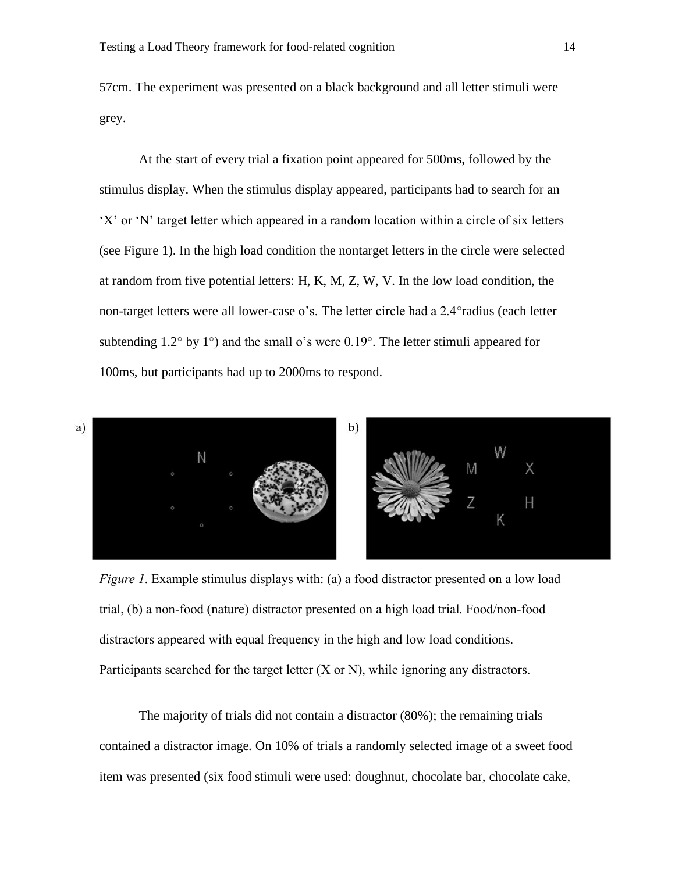57cm. The experiment was presented on a black background and all letter stimuli were grey.

At the start of every trial a fixation point appeared for 500ms, followed by the stimulus display. When the stimulus display appeared, participants had to search for an 'X' or 'N' target letter which appeared in a random location within a circle of six letters (see Figure 1). In the high load condition the nontarget letters in the circle were selected at random from five potential letters: H, K, M, Z, W, V. In the low load condition, the non-target letters were all lower-case o's. The letter circle had a 2.4°radius (each letter subtending  $1.2^{\circ}$  by  $1^{\circ}$ ) and the small o's were 0.19°. The letter stimuli appeared for 100ms, but participants had up to 2000ms to respond.



*Figure 1*. Example stimulus displays with: (a) a food distractor presented on a low load trial, (b) a non-food (nature) distractor presented on a high load trial. Food/non-food distractors appeared with equal frequency in the high and low load conditions. Participants searched for the target letter (X or N), while ignoring any distractors.

The majority of trials did not contain a distractor (80%); the remaining trials contained a distractor image. On 10% of trials a randomly selected image of a sweet food item was presented (six food stimuli were used: doughnut, chocolate bar, chocolate cake,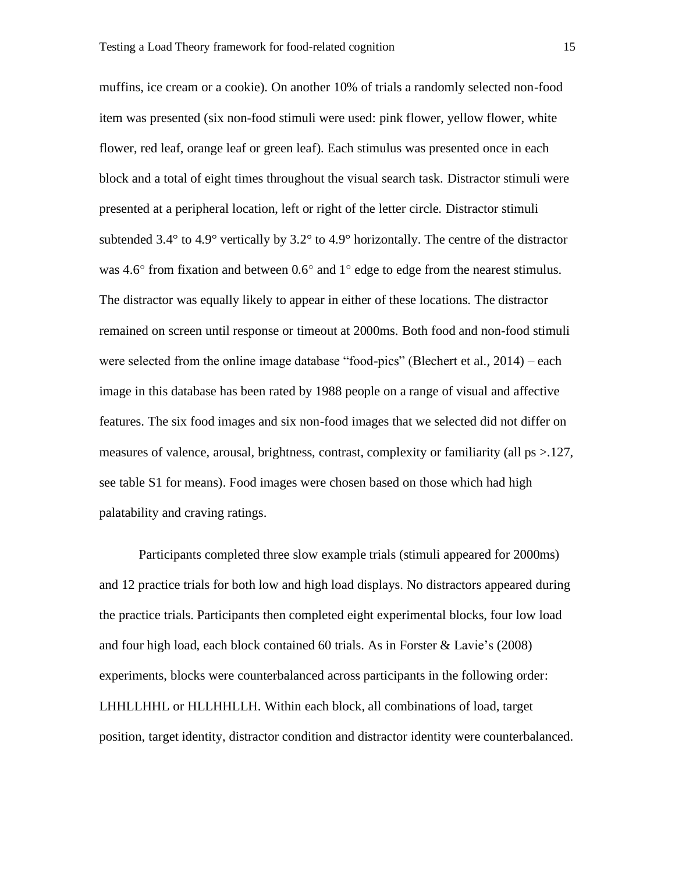muffins, ice cream or a cookie). On another 10% of trials a randomly selected non-food item was presented (six non-food stimuli were used: pink flower, yellow flower, white flower, red leaf, orange leaf or green leaf). Each stimulus was presented once in each block and a total of eight times throughout the visual search task. Distractor stimuli were presented at a peripheral location, left or right of the letter circle. Distractor stimuli subtended 3.4° to 4.9° vertically by 3.2° to 4.9° horizontally. The centre of the distractor was 4.6 $\degree$  from fixation and between 0.6 $\degree$  and 1 $\degree$  edge to edge from the nearest stimulus. The distractor was equally likely to appear in either of these locations. The distractor remained on screen until response or timeout at 2000ms. Both food and non-food stimuli were selected from the online image database "food-pics" (Blechert et al., 2014) – each image in this database has been rated by 1988 people on a range of visual and affective features. The six food images and six non-food images that we selected did not differ on measures of valence, arousal, brightness, contrast, complexity or familiarity (all ps >.127, see table S1 for means). Food images were chosen based on those which had high palatability and craving ratings.

Participants completed three slow example trials (stimuli appeared for 2000ms) and 12 practice trials for both low and high load displays. No distractors appeared during the practice trials. Participants then completed eight experimental blocks, four low load and four high load, each block contained 60 trials. As in Forster & Lavie's (2008) experiments, blocks were counterbalanced across participants in the following order: LHHLLHHL or HLLHHLLH. Within each block, all combinations of load, target position, target identity, distractor condition and distractor identity were counterbalanced.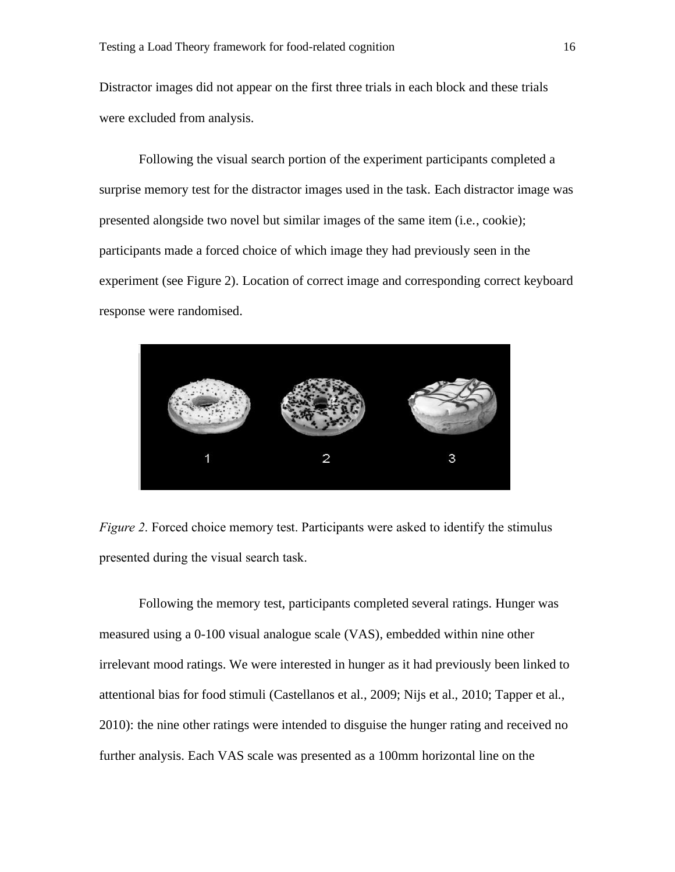Distractor images did not appear on the first three trials in each block and these trials were excluded from analysis.

Following the visual search portion of the experiment participants completed a surprise memory test for the distractor images used in the task. Each distractor image was presented alongside two novel but similar images of the same item (i.e., cookie); participants made a forced choice of which image they had previously seen in the experiment (see Figure 2). Location of correct image and corresponding correct keyboard response were randomised.



*Figure 2*. Forced choice memory test. Participants were asked to identify the stimulus presented during the visual search task.

Following the memory test, participants completed several ratings. Hunger was measured using a 0-100 visual analogue scale (VAS), embedded within nine other irrelevant mood ratings. We were interested in hunger as it had previously been linked to attentional bias for food stimuli (Castellanos et al., 2009; Nijs et al., 2010; Tapper et al., 2010): the nine other ratings were intended to disguise the hunger rating and received no further analysis. Each VAS scale was presented as a 100mm horizontal line on the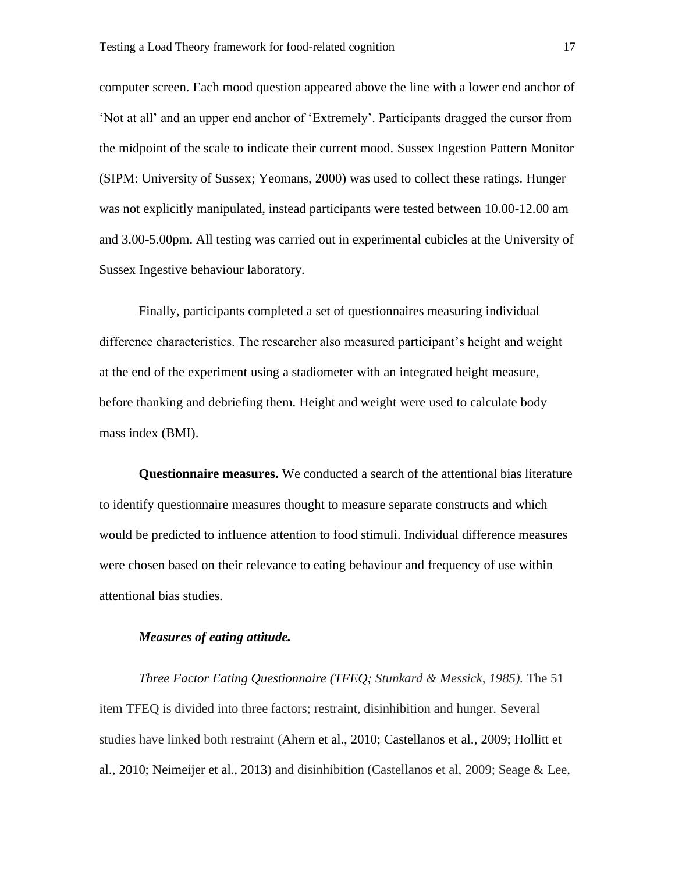computer screen. Each mood question appeared above the line with a lower end anchor of 'Not at all' and an upper end anchor of 'Extremely'. Participants dragged the cursor from the midpoint of the scale to indicate their current mood. Sussex Ingestion Pattern Monitor (SIPM: University of Sussex; Yeomans, 2000) was used to collect these ratings. Hunger was not explicitly manipulated, instead participants were tested between 10.00-12.00 am and 3.00-5.00pm. All testing was carried out in experimental cubicles at the University of Sussex Ingestive behaviour laboratory.

Finally, participants completed a set of questionnaires measuring individual difference characteristics. The researcher also measured participant's height and weight at the end of the experiment using a stadiometer with an integrated height measure, before thanking and debriefing them. Height and weight were used to calculate body mass index (BMI).

**Questionnaire measures.** We conducted a search of the attentional bias literature to identify questionnaire measures thought to measure separate constructs and which would be predicted to influence attention to food stimuli. Individual difference measures were chosen based on their relevance to eating behaviour and frequency of use within attentional bias studies.

#### *Measures of eating attitude.*

*Three Factor Eating Questionnaire (TFEQ; Stunkard & Messick, 1985).* The 51 item TFEQ is divided into three factors; restraint, disinhibition and hunger. Several studies have linked both restraint (Ahern et al., 2010; Castellanos et al., 2009; Hollitt et al., 2010; Neimeijer et al., 2013) and disinhibition (Castellanos et al, 2009; Seage & Lee,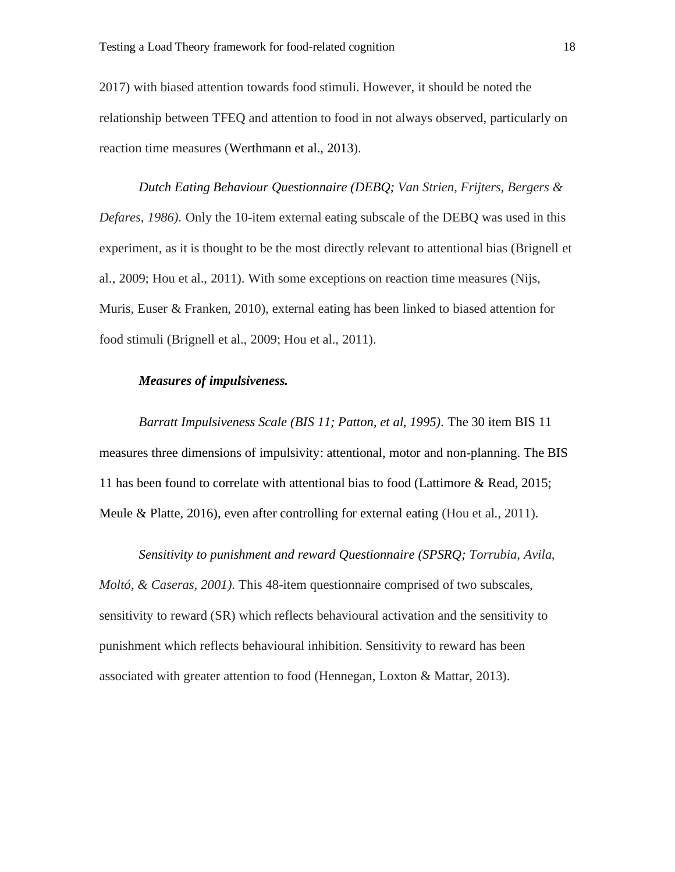2017) with biased attention towards food stimuli. However, it should be noted the relationship between TFEQ and attention to food in not always observed, particularly on reaction time measures (Werthmann et al., 2013).

*Dutch Eating Behaviour Questionnaire (DEBQ; Van Strien, Frijters, Bergers & Defares, 1986).* Only the 10-item external eating subscale of the DEBQ was used in this experiment, as it is thought to be the most directly relevant to attentional bias (Brignell et al., 2009; Hou et al., 2011). With some exceptions on reaction time measures (Nijs, Muris, Euser & Franken, 2010), external eating has been linked to biased attention for food stimuli (Brignell et al., 2009; Hou et al., 2011).

# *Measures of impulsiveness.*

*Barratt Impulsiveness Scale (BIS 11; Patton, et al, 1995).* The 30 item BIS 11 measures three dimensions of impulsivity: attentional, motor and non-planning. The BIS 11 has been found to correlate with attentional bias to food (Lattimore & Read, 2015; Meule & Platte, 2016), even after controlling for external eating (Hou et al., 2011).

*Sensitivity to punishment and reward Questionnaire (SPSRQ; Torrubia, Avila, Moltó, & Caseras, 2001).* This 48-item questionnaire comprised of two subscales, sensitivity to reward (SR) which reflects behavioural activation and the sensitivity to punishment which reflects behavioural inhibition. Sensitivity to reward has been associated with greater attention to food (Hennegan, Loxton & Mattar, 2013).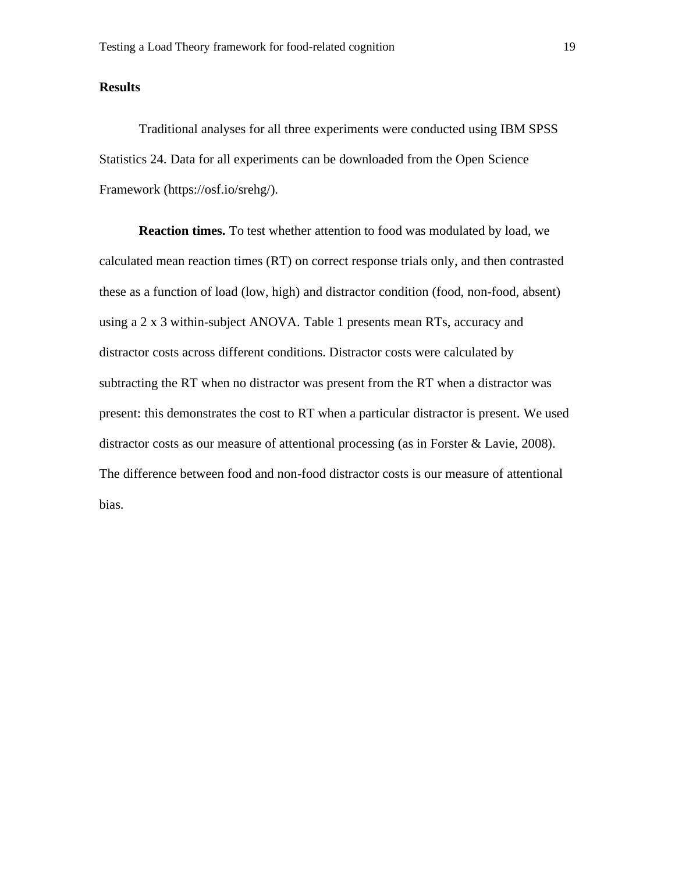# **Results**

Traditional analyses for all three experiments were conducted using IBM SPSS Statistics 24. Data for all experiments can be downloaded from the Open Science Framework (https://osf.io/srehg/).

**Reaction times.** To test whether attention to food was modulated by load, we calculated mean reaction times (RT) on correct response trials only, and then contrasted these as a function of load (low, high) and distractor condition (food, non-food, absent) using a 2 x 3 within-subject ANOVA. Table 1 presents mean RTs, accuracy and distractor costs across different conditions. Distractor costs were calculated by subtracting the RT when no distractor was present from the RT when a distractor was present: this demonstrates the cost to RT when a particular distractor is present. We used distractor costs as our measure of attentional processing (as in Forster & Lavie, 2008). The difference between food and non-food distractor costs is our measure of attentional bias.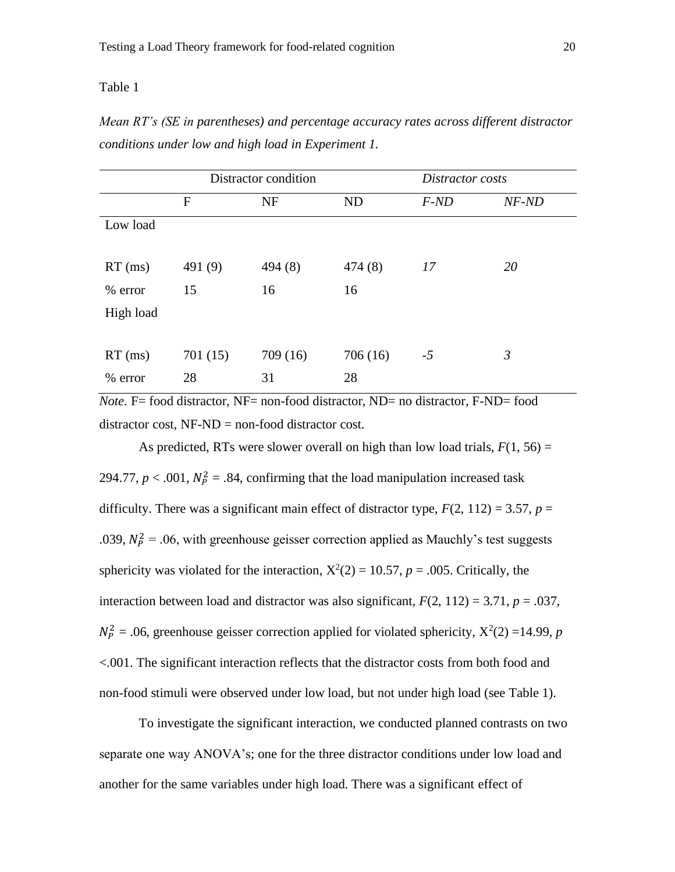#### Table 1

*Mean RT's (SE in parentheses) and percentage accuracy rates across different distractor conditions under low and high load in Experiment 1.*

| Distractor condition |           |           | Distractor costs |                |
|----------------------|-----------|-----------|------------------|----------------|
| $\mathbf F$          | <b>NF</b> | <b>ND</b> | $F-ND$           | $NF-ND$        |
|                      |           |           |                  |                |
|                      |           |           |                  |                |
| 491 (9)              | 494(8)    | 474 (8)   | 17               | 20             |
| 15                   | 16        | 16        |                  |                |
|                      |           |           |                  |                |
|                      |           |           |                  |                |
| 701(15)              | 709(16)   | 706(16)   | $-5$             | $\mathfrak{Z}$ |
| 28                   | 31        | 28        |                  |                |
|                      |           |           |                  |                |

*Note.* F= food distractor, NF= non-food distractor, ND= no distractor, F-ND= food distractor cost, NF-ND = non-food distractor cost.

As predicted, RTs were slower overall on high than low load trials,  $F(1, 56) =$ 294.77,  $p < .001$ ,  $N_P^2 = .84$ , confirming that the load manipulation increased task difficulty. There was a significant main effect of distractor type,  $F(2, 112) = 3.57$ ,  $p =$ .039,  $N_P^2$  = .06, with greenhouse geisser correction applied as Mauchly's test suggests sphericity was violated for the interaction,  $X^2(2) = 10.57$ ,  $p = .005$ . Critically, the interaction between load and distractor was also significant,  $F(2, 112) = 3.71$ ,  $p = .037$ ,  $N_P^2 = 0.06$ , greenhouse geisser correction applied for violated sphericity,  $X^2(2) = 14.99$ , *p* <.001. The significant interaction reflects that the distractor costs from both food and non-food stimuli were observed under low load, but not under high load (see Table 1).

To investigate the significant interaction, we conducted planned contrasts on two separate one way ANOVA's; one for the three distractor conditions under low load and another for the same variables under high load. There was a significant effect of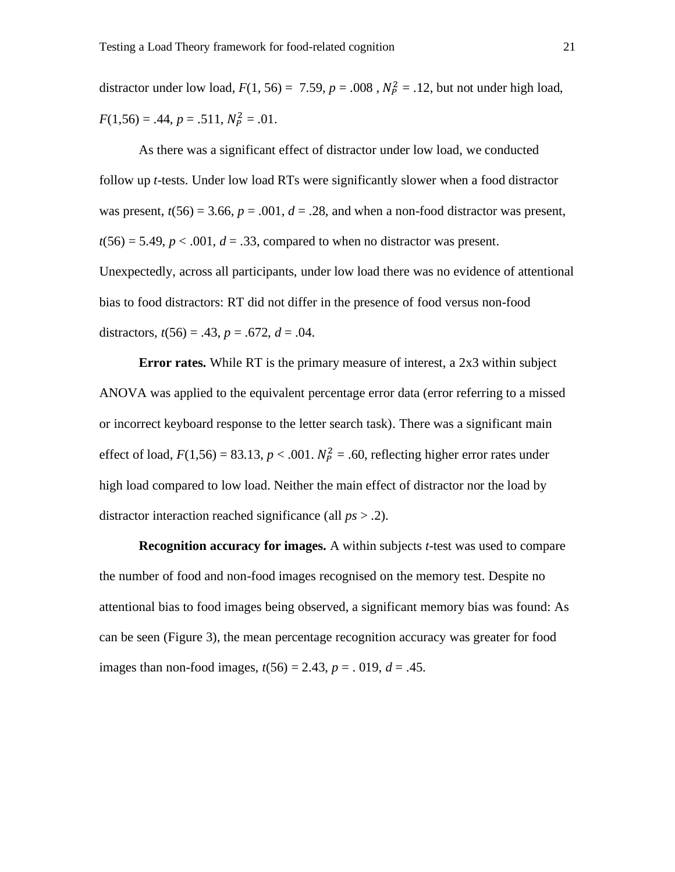distractor under low load,  $F(1, 56) = 7.59$ ,  $p = .008$ ,  $N_p^2 = .12$ , but not under high load,  $F(1,56) = .44, p = .511, N_P^2 = .01.$ 

As there was a significant effect of distractor under low load, we conducted follow up *t*-tests. Under low load RTs were significantly slower when a food distractor was present,  $t(56) = 3.66$ ,  $p = .001$ ,  $d = .28$ , and when a non-food distractor was present,  $t(56) = 5.49$ ,  $p < .001$ ,  $d = .33$ , compared to when no distractor was present. Unexpectedly, across all participants, under low load there was no evidence of attentional bias to food distractors: RT did not differ in the presence of food versus non-food distractors,  $t(56) = .43$ ,  $p = .672$ ,  $d = .04$ .

**Error rates.** While RT is the primary measure of interest, a 2x3 within subject ANOVA was applied to the equivalent percentage error data (error referring to a missed or incorrect keyboard response to the letter search task). There was a significant main effect of load,  $F(1,56) = 83.13$ ,  $p < .001$ .  $N_P^2 = .60$ , reflecting higher error rates under high load compared to low load. Neither the main effect of distractor nor the load by distractor interaction reached significance (all *ps* > .2).

**Recognition accuracy for images.** A within subjects *t*-test was used to compare the number of food and non-food images recognised on the memory test. Despite no attentional bias to food images being observed, a significant memory bias was found: As can be seen (Figure 3), the mean percentage recognition accuracy was greater for food images than non-food images,  $t(56) = 2.43$ ,  $p = 0.019$ ,  $d = 0.45$ .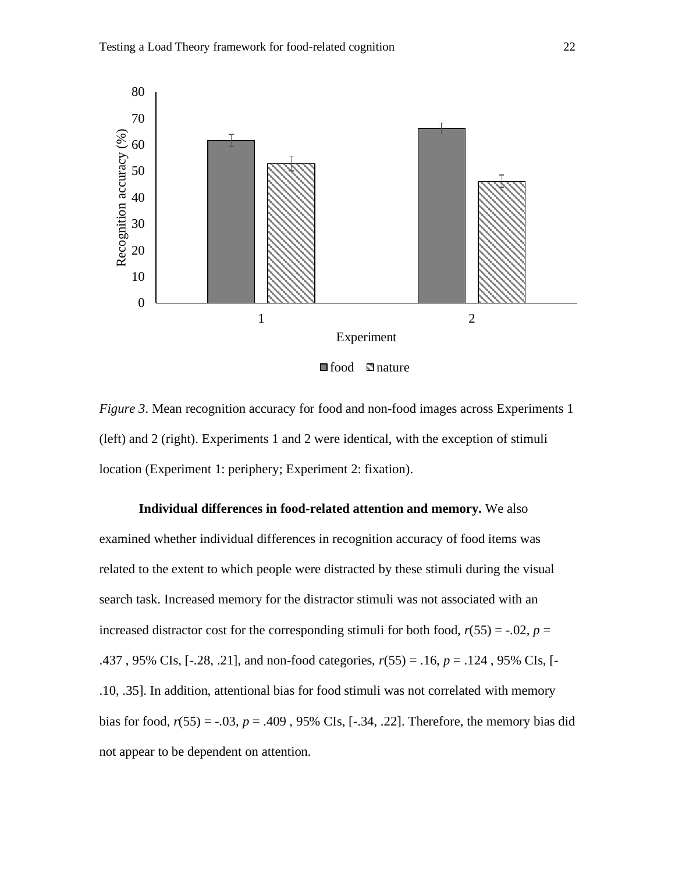

■food **E**nature

*Figure 3*. Mean recognition accuracy for food and non-food images across Experiments 1 (left) and 2 (right). Experiments 1 and 2 were identical, with the exception of stimuli location (Experiment 1: periphery; Experiment 2: fixation).

#### **Individual differences in food-related attention and memory.** We also

examined whether individual differences in recognition accuracy of food items was related to the extent to which people were distracted by these stimuli during the visual search task. Increased memory for the distractor stimuli was not associated with an increased distractor cost for the corresponding stimuli for both food,  $r(55) = -.02$ ,  $p =$ .437 , 95% CIs, [-.28, .21], and non-food categories, *r*(55) = .16, *p* = .124 , 95% CIs, [- .10, .35]. In addition, attentional bias for food stimuli was not correlated with memory bias for food,  $r(55) = -.03$ ,  $p = .409$ , 95% CIs,  $[-.34, .22]$ . Therefore, the memory bias did not appear to be dependent on attention.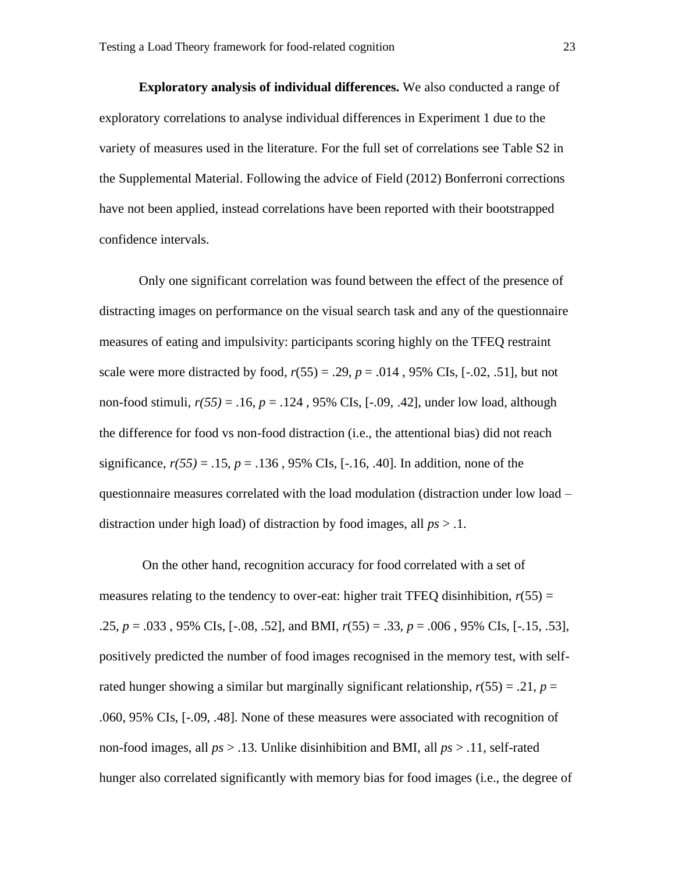**Exploratory analysis of individual differences.** We also conducted a range of exploratory correlations to analyse individual differences in Experiment 1 due to the variety of measures used in the literature. For the full set of correlations see Table S2 in the Supplemental Material. Following the advice of Field (2012) Bonferroni corrections have not been applied, instead correlations have been reported with their bootstrapped confidence intervals.

Only one significant correlation was found between the effect of the presence of distracting images on performance on the visual search task and any of the questionnaire measures of eating and impulsivity: participants scoring highly on the TFEQ restraint scale were more distracted by food,  $r(55) = .29$ ,  $p = .014$ , 95% CIs, [-.02, .51], but not non-food stimuli, *r(55)* = .16, *p* = .124 , 95% CIs, [-.09, .42], under low load, although the difference for food vs non-food distraction (i.e., the attentional bias) did not reach significance,  $r(55) = .15$ ,  $p = .136$ , 95% CIs, [-.16, .40]. In addition, none of the questionnaire measures correlated with the load modulation (distraction under low load – distraction under high load) of distraction by food images, all *ps* > .1.

On the other hand, recognition accuracy for food correlated with a set of measures relating to the tendency to over-eat: higher trait TFEQ disinhibition,  $r(55) =$ .25, *p* = .033 , 95% CIs, [-.08, .52], and BMI, *r*(55) = .33, *p* = .006 , 95% CIs, [-.15, .53], positively predicted the number of food images recognised in the memory test, with selfrated hunger showing a similar but marginally significant relationship,  $r(55) = .21$ ,  $p =$ .060, 95% CIs, [-.09, .48]. None of these measures were associated with recognition of non-food images, all *ps* > .13. Unlike disinhibition and BMI, all *ps* > .11, self-rated hunger also correlated significantly with memory bias for food images (i.e., the degree of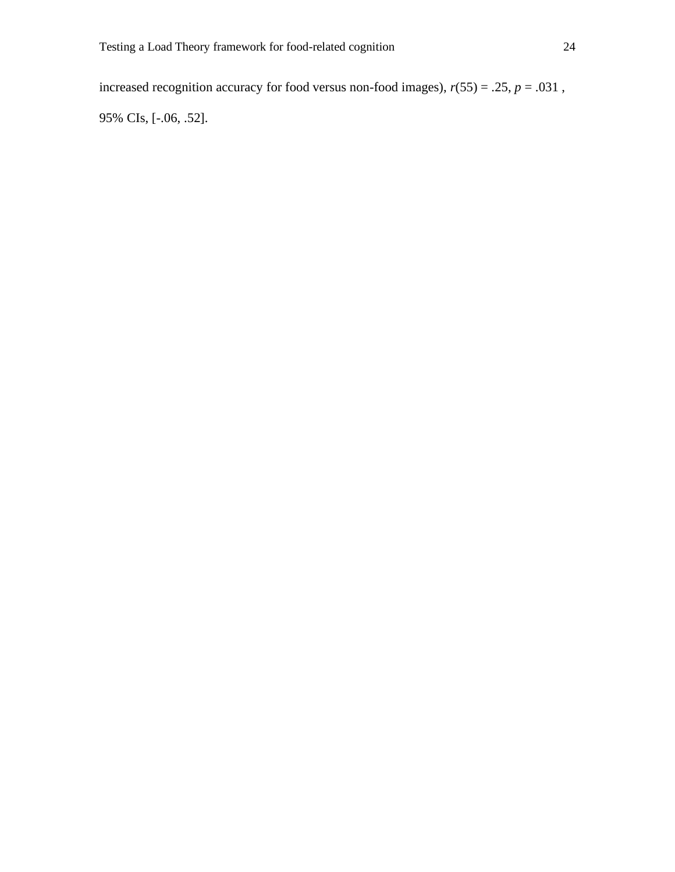increased recognition accuracy for food versus non-food images),  $r(55) = .25$ ,  $p = .031$ ,

95% CIs, [-.06, .52].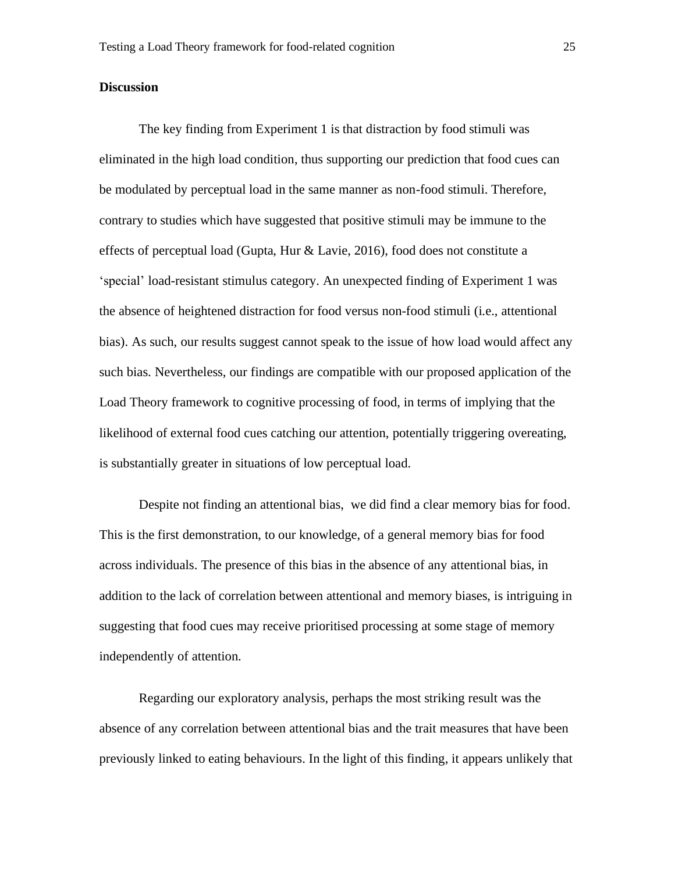# **Discussion**

The key finding from Experiment 1 is that distraction by food stimuli was eliminated in the high load condition, thus supporting our prediction that food cues can be modulated by perceptual load in the same manner as non-food stimuli. Therefore, contrary to studies which have suggested that positive stimuli may be immune to the effects of perceptual load (Gupta, Hur & Lavie, 2016), food does not constitute a 'special' load-resistant stimulus category. An unexpected finding of Experiment 1 was the absence of heightened distraction for food versus non-food stimuli (i.e., attentional bias). As such, our results suggest cannot speak to the issue of how load would affect any such bias. Nevertheless, our findings are compatible with our proposed application of the Load Theory framework to cognitive processing of food, in terms of implying that the likelihood of external food cues catching our attention, potentially triggering overeating, is substantially greater in situations of low perceptual load.

Despite not finding an attentional bias, we did find a clear memory bias for food. This is the first demonstration, to our knowledge, of a general memory bias for food across individuals. The presence of this bias in the absence of any attentional bias, in addition to the lack of correlation between attentional and memory biases, is intriguing in suggesting that food cues may receive prioritised processing at some stage of memory independently of attention.

Regarding our exploratory analysis, perhaps the most striking result was the absence of any correlation between attentional bias and the trait measures that have been previously linked to eating behaviours. In the light of this finding, it appears unlikely that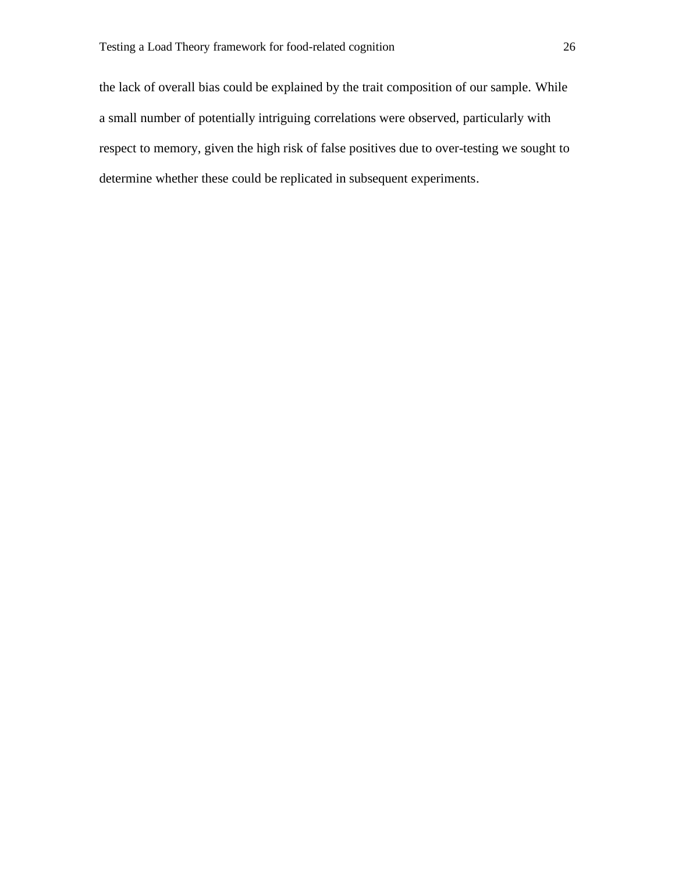the lack of overall bias could be explained by the trait composition of our sample. While a small number of potentially intriguing correlations were observed, particularly with respect to memory, given the high risk of false positives due to over-testing we sought to determine whether these could be replicated in subsequent experiments.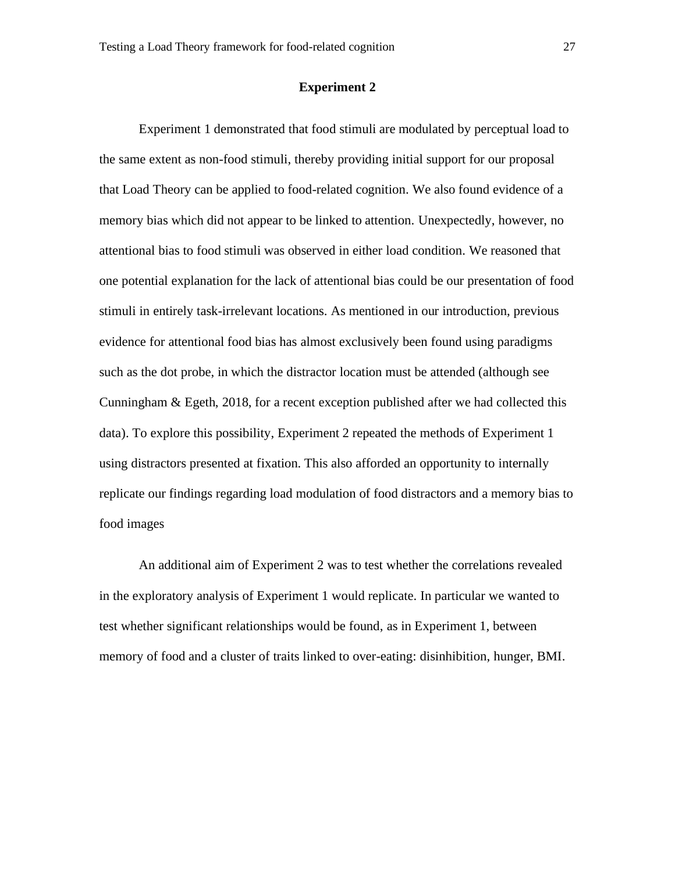#### **Experiment 2**

Experiment 1 demonstrated that food stimuli are modulated by perceptual load to the same extent as non-food stimuli, thereby providing initial support for our proposal that Load Theory can be applied to food-related cognition. We also found evidence of a memory bias which did not appear to be linked to attention. Unexpectedly, however, no attentional bias to food stimuli was observed in either load condition. We reasoned that one potential explanation for the lack of attentional bias could be our presentation of food stimuli in entirely task-irrelevant locations. As mentioned in our introduction, previous evidence for attentional food bias has almost exclusively been found using paradigms such as the dot probe, in which the distractor location must be attended (although see Cunningham & Egeth, 2018, for a recent exception published after we had collected this data). To explore this possibility, Experiment 2 repeated the methods of Experiment 1 using distractors presented at fixation. This also afforded an opportunity to internally replicate our findings regarding load modulation of food distractors and a memory bias to food images

An additional aim of Experiment 2 was to test whether the correlations revealed in the exploratory analysis of Experiment 1 would replicate. In particular we wanted to test whether significant relationships would be found, as in Experiment 1, between memory of food and a cluster of traits linked to over-eating: disinhibition, hunger, BMI.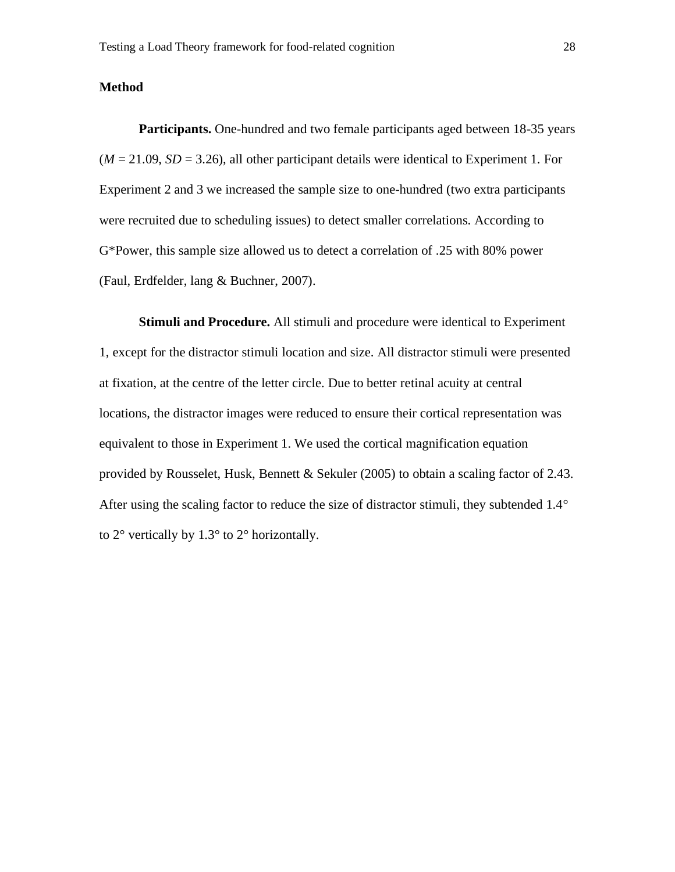# **Method**

**Participants.** One-hundred and two female participants aged between 18-35 years  $(M = 21.09, SD = 3.26)$ , all other participant details were identical to Experiment 1. For Experiment 2 and 3 we increased the sample size to one-hundred (two extra participants were recruited due to scheduling issues) to detect smaller correlations. According to G\*Power, this sample size allowed us to detect a correlation of .25 with 80% power (Faul, Erdfelder, lang & Buchner, 2007).

**Stimuli and Procedure.** All stimuli and procedure were identical to Experiment 1, except for the distractor stimuli location and size. All distractor stimuli were presented at fixation, at the centre of the letter circle. Due to better retinal acuity at central locations, the distractor images were reduced to ensure their cortical representation was equivalent to those in Experiment 1. We used the cortical magnification equation provided by Rousselet, Husk, Bennett & Sekuler (2005) to obtain a scaling factor of 2.43. After using the scaling factor to reduce the size of distractor stimuli, they subtended 1.4° to  $2^{\circ}$  vertically by  $1.3^{\circ}$  to  $2^{\circ}$  horizontally.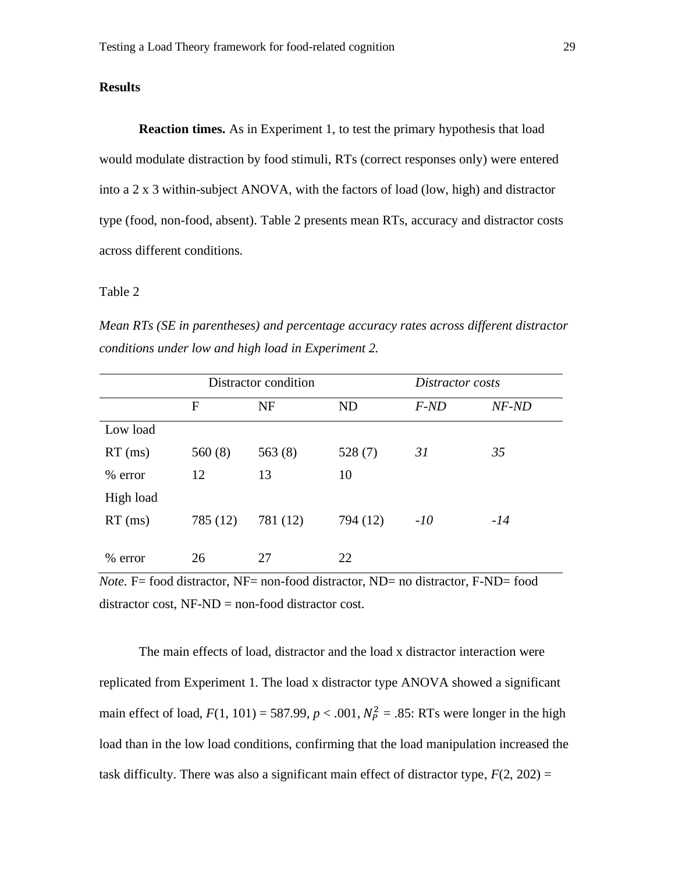# **Results**

**Reaction times.** As in Experiment 1, to test the primary hypothesis that load would modulate distraction by food stimuli, RTs (correct responses only) were entered into a 2 x 3 within-subject ANOVA, with the factors of load (low, high) and distractor type (food, non-food, absent). Table 2 presents mean RTs, accuracy and distractor costs across different conditions.

## Table 2

*Mean RTs (SE in parentheses) and percentage accuracy rates across different distractor conditions under low and high load in Experiment 2.*

|           | Distractor condition |           |           | Distractor costs |         |
|-----------|----------------------|-----------|-----------|------------------|---------|
|           | F                    | <b>NF</b> | <b>ND</b> | $F-ND$           | $NF-ND$ |
| Low load  |                      |           |           |                  |         |
| $RT$ (ms) | 560(8)               | 563(8)    | 528 $(7)$ | 31               | 35      |
| $%$ error | 12                   | 13        | 10        |                  |         |
| High load |                      |           |           |                  |         |
| $RT$ (ms) | 785 (12)             | 781 (12)  | 794 (12)  | $-10$            | $-14$   |
|           |                      |           |           |                  |         |
| % error   | 26                   | 27        | 22        |                  |         |

*Note.* F= food distractor, NF= non-food distractor, ND= no distractor, F-ND= food  $distraction cost$ ,  $NF-ND = non-food distraction cost$ .

The main effects of load, distractor and the load x distractor interaction were replicated from Experiment 1. The load x distractor type ANOVA showed a significant main effect of load,  $F(1, 101) = 587.99$ ,  $p < .001$ ,  $N_P^2 = .85$ : RTs were longer in the high load than in the low load conditions, confirming that the load manipulation increased the task difficulty. There was also a significant main effect of distractor type,  $F(2, 202) =$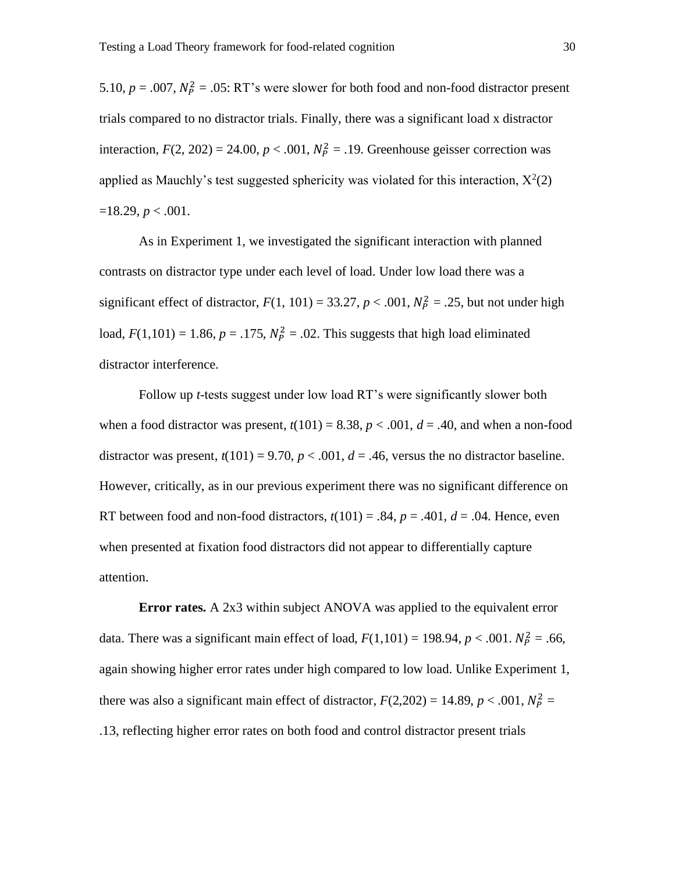5.10,  $p = .007$ ,  $N_P^2 = .05$ : RT's were slower for both food and non-food distractor present trials compared to no distractor trials. Finally, there was a significant load x distractor interaction,  $F(2, 202) = 24.00$ ,  $p < .001$ ,  $N_p^2 = .19$ . Greenhouse geisser correction was applied as Mauchly's test suggested sphericity was violated for this interaction,  $X^2(2)$  $=18.29, p < .001.$ 

As in Experiment 1, we investigated the significant interaction with planned contrasts on distractor type under each level of load. Under low load there was a significant effect of distractor,  $F(1, 101) = 33.27$ ,  $p < .001$ ,  $N_p^2 = .25$ , but not under high load,  $F(1,101) = 1.86, p = .175, N_P^2 = .02$ . This suggests that high load eliminated distractor interference.

Follow up *t*-tests suggest under low load RT's were significantly slower both when a food distractor was present,  $t(101) = 8.38$ ,  $p < .001$ ,  $d = .40$ , and when a non-food distractor was present,  $t(101) = 9.70$ ,  $p < .001$ ,  $d = .46$ , versus the no distractor baseline. However, critically, as in our previous experiment there was no significant difference on RT between food and non-food distractors,  $t(101) = .84$ ,  $p = .401$ ,  $d = .04$ . Hence, even when presented at fixation food distractors did not appear to differentially capture attention.

**Error rates.** A 2x3 within subject ANOVA was applied to the equivalent error data. There was a significant main effect of load,  $F(1,101) = 198.94$ ,  $p < .001$ .  $N_P^2 = .66$ , again showing higher error rates under high compared to low load. Unlike Experiment 1, there was also a significant main effect of distractor,  $F(2,202) = 14.89$ ,  $p < .001$ ,  $N_P^2 =$ .13, reflecting higher error rates on both food and control distractor present trials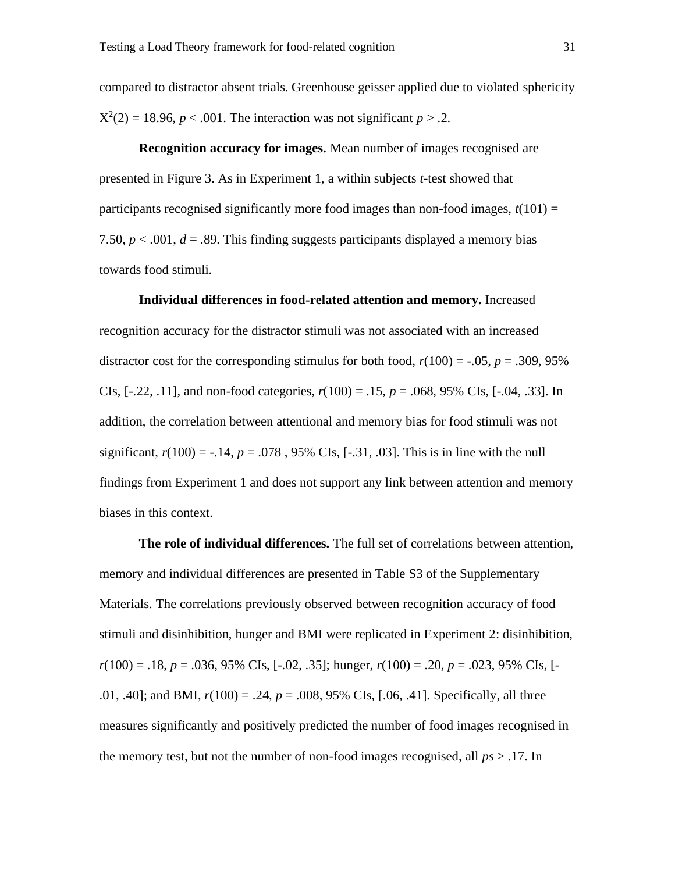compared to distractor absent trials. Greenhouse geisser applied due to violated sphericity  $X^2(2) = 18.96, p < .001$ . The interaction was not significant  $p > .2$ .

**Recognition accuracy for images.** Mean number of images recognised are presented in Figure 3. As in Experiment 1, a within subjects *t*-test showed that participants recognised significantly more food images than non-food images,  $t(101) =$ 7.50,  $p < .001$ ,  $d = .89$ . This finding suggests participants displayed a memory bias towards food stimuli.

**Individual differences in food-related attention and memory.** Increased recognition accuracy for the distractor stimuli was not associated with an increased distractor cost for the corresponding stimulus for both food,  $r(100) = -0.05$ ,  $p = 0.309$ , 95% CIs,  $[-.22, .11]$ , and non-food categories,  $r(100) = .15$ ,  $p = .068$ , 95% CIs,  $[-.04, .33]$ . In addition, the correlation between attentional and memory bias for food stimuli was not significant,  $r(100) = -.14$ ,  $p = .078$ , 95% CIs, [-.31, .03]. This is in line with the null findings from Experiment 1 and does not support any link between attention and memory biases in this context.

**The role of individual differences.** The full set of correlations between attention, memory and individual differences are presented in Table S3 of the Supplementary Materials. The correlations previously observed between recognition accuracy of food stimuli and disinhibition, hunger and BMI were replicated in Experiment 2: disinhibition, *r*(100) = .18, *p* = .036, 95% CIs, [-.02, .35]; hunger, *r*(100) = .20, *p* = .023, 95% CIs, [- .01, .40]; and BMI, *r*(100) = .24, *p* = .008, 95% CIs, [.06, .41]. Specifically, all three measures significantly and positively predicted the number of food images recognised in the memory test, but not the number of non-food images recognised, all *ps* > .17. In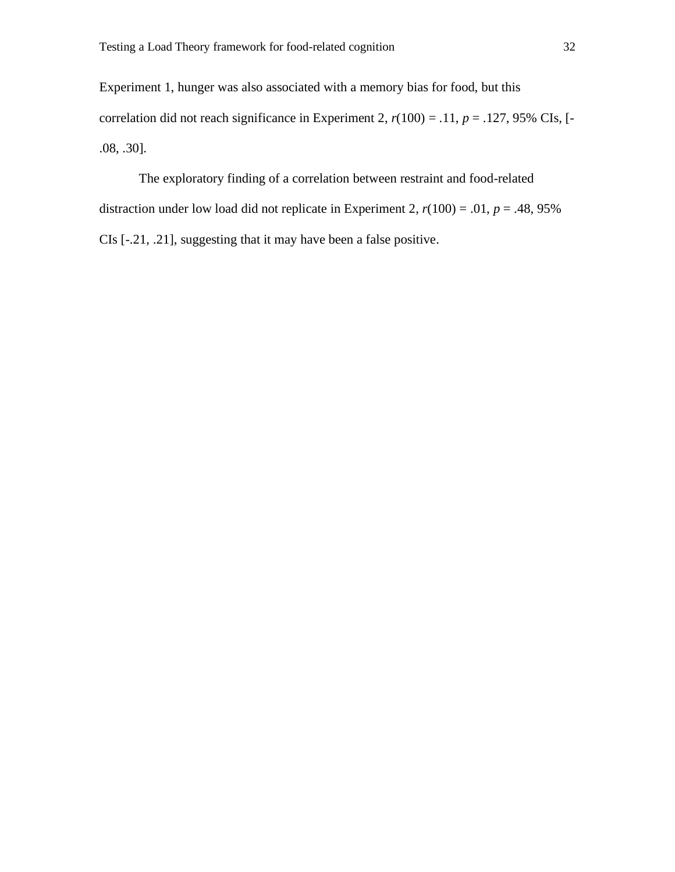Experiment 1, hunger was also associated with a memory bias for food, but this correlation did not reach significance in Experiment 2,  $r(100) = .11$ ,  $p = .127$ , 95% CIs, [-.08, .30].

The exploratory finding of a correlation between restraint and food-related distraction under low load did not replicate in Experiment 2,  $r(100) = .01$ ,  $p = .48,95%$ CIs [-.21, .21], suggesting that it may have been a false positive.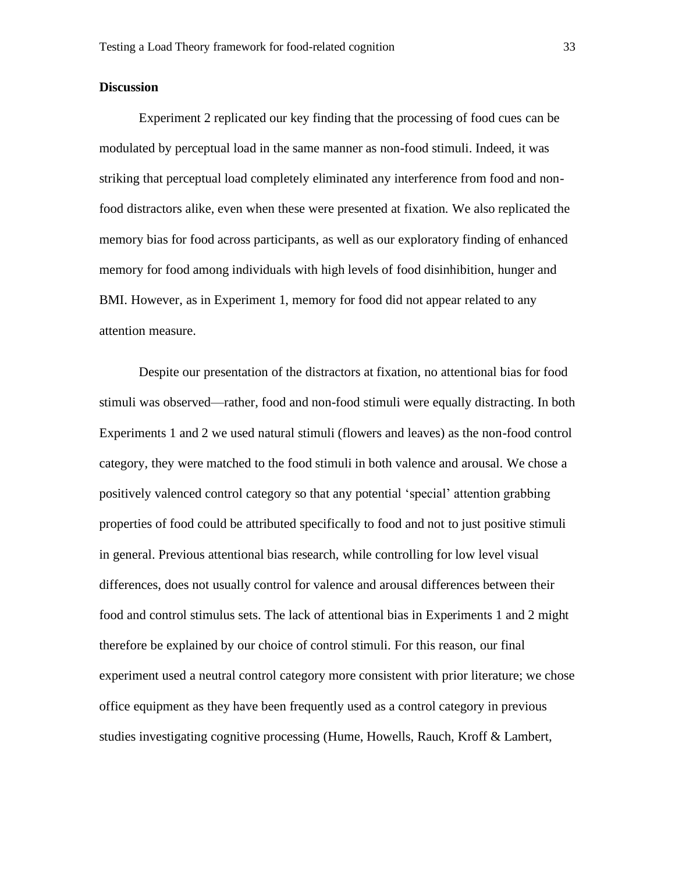# **Discussion**

Experiment 2 replicated our key finding that the processing of food cues can be modulated by perceptual load in the same manner as non-food stimuli. Indeed, it was striking that perceptual load completely eliminated any interference from food and nonfood distractors alike, even when these were presented at fixation. We also replicated the memory bias for food across participants, as well as our exploratory finding of enhanced memory for food among individuals with high levels of food disinhibition, hunger and BMI. However, as in Experiment 1, memory for food did not appear related to any attention measure.

Despite our presentation of the distractors at fixation, no attentional bias for food stimuli was observed—rather, food and non-food stimuli were equally distracting. In both Experiments 1 and 2 we used natural stimuli (flowers and leaves) as the non-food control category, they were matched to the food stimuli in both valence and arousal. We chose a positively valenced control category so that any potential 'special' attention grabbing properties of food could be attributed specifically to food and not to just positive stimuli in general. Previous attentional bias research, while controlling for low level visual differences, does not usually control for valence and arousal differences between their food and control stimulus sets. The lack of attentional bias in Experiments 1 and 2 might therefore be explained by our choice of control stimuli. For this reason, our final experiment used a neutral control category more consistent with prior literature; we chose office equipment as they have been frequently used as a control category in previous studies investigating cognitive processing (Hume, Howells, Rauch, Kroff & Lambert,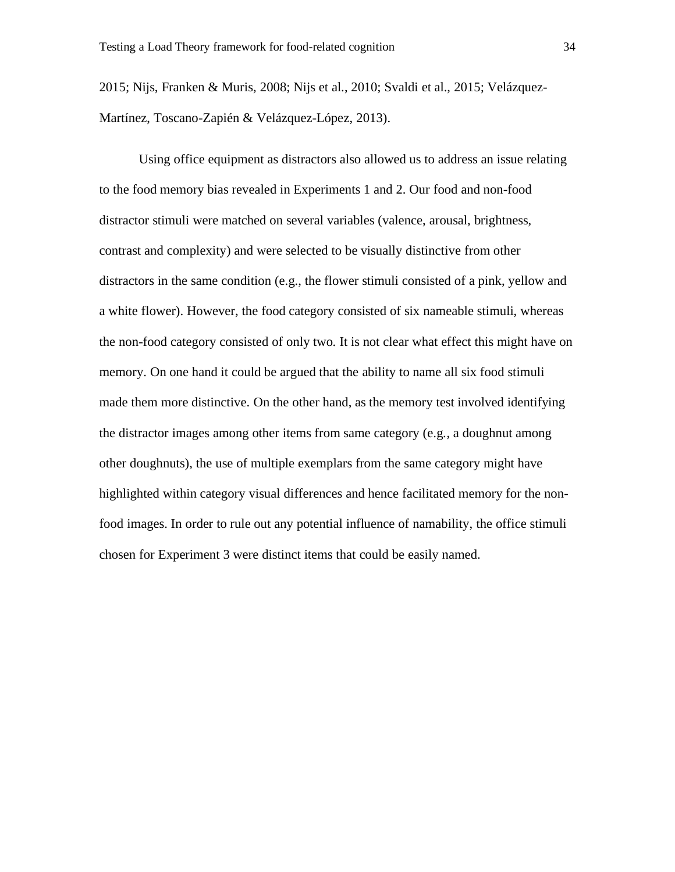2015; Nijs, Franken & Muris, 2008; Nijs et al., 2010; Svaldi et al., 2015; Velázquez-Martínez, Toscano-Zapién & Velázquez-López, 2013).

Using office equipment as distractors also allowed us to address an issue relating to the food memory bias revealed in Experiments 1 and 2. Our food and non-food distractor stimuli were matched on several variables (valence, arousal, brightness, contrast and complexity) and were selected to be visually distinctive from other distractors in the same condition (e.g., the flower stimuli consisted of a pink, yellow and a white flower). However, the food category consisted of six nameable stimuli, whereas the non-food category consisted of only two. It is not clear what effect this might have on memory. On one hand it could be argued that the ability to name all six food stimuli made them more distinctive. On the other hand, as the memory test involved identifying the distractor images among other items from same category (e.g., a doughnut among other doughnuts), the use of multiple exemplars from the same category might have highlighted within category visual differences and hence facilitated memory for the nonfood images. In order to rule out any potential influence of namability, the office stimuli chosen for Experiment 3 were distinct items that could be easily named.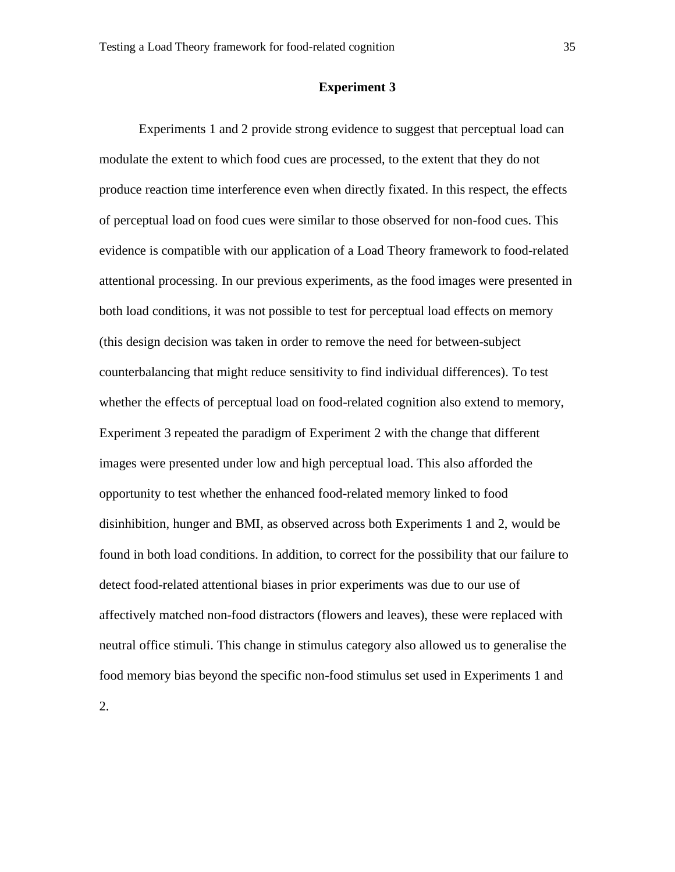#### **Experiment 3**

Experiments 1 and 2 provide strong evidence to suggest that perceptual load can modulate the extent to which food cues are processed, to the extent that they do not produce reaction time interference even when directly fixated. In this respect, the effects of perceptual load on food cues were similar to those observed for non-food cues. This evidence is compatible with our application of a Load Theory framework to food-related attentional processing. In our previous experiments, as the food images were presented in both load conditions, it was not possible to test for perceptual load effects on memory (this design decision was taken in order to remove the need for between-subject counterbalancing that might reduce sensitivity to find individual differences). To test whether the effects of perceptual load on food-related cognition also extend to memory, Experiment 3 repeated the paradigm of Experiment 2 with the change that different images were presented under low and high perceptual load. This also afforded the opportunity to test whether the enhanced food-related memory linked to food disinhibition, hunger and BMI, as observed across both Experiments 1 and 2, would be found in both load conditions. In addition, to correct for the possibility that our failure to detect food-related attentional biases in prior experiments was due to our use of affectively matched non-food distractors (flowers and leaves), these were replaced with neutral office stimuli. This change in stimulus category also allowed us to generalise the food memory bias beyond the specific non-food stimulus set used in Experiments 1 and 2.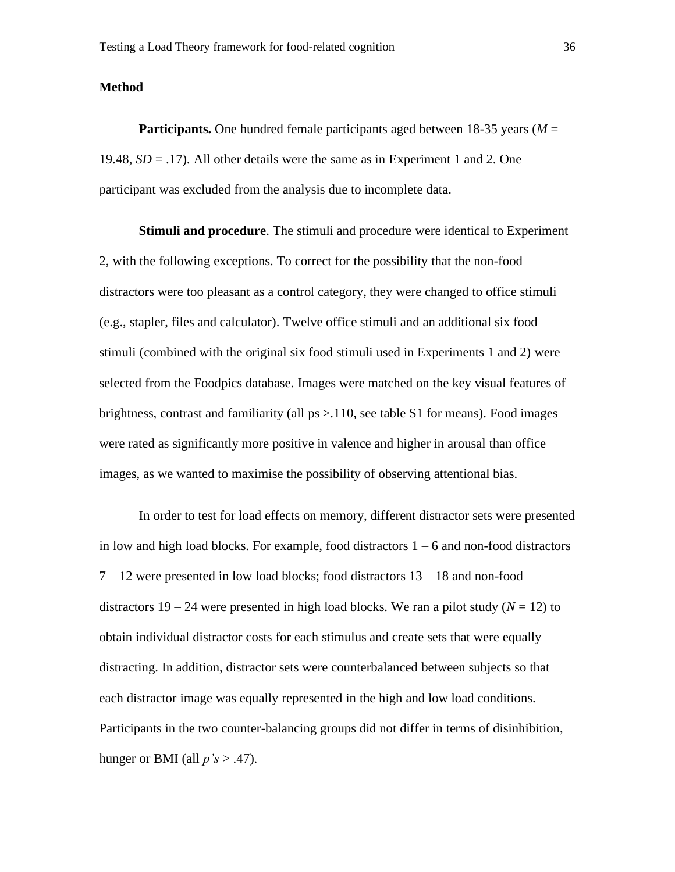#### **Method**

**Participants.** One hundred female participants aged between 18-35 years (*M* = 19.48, *SD* = .17). All other details were the same as in Experiment 1 and 2. One participant was excluded from the analysis due to incomplete data.

**Stimuli and procedure**. The stimuli and procedure were identical to Experiment 2, with the following exceptions. To correct for the possibility that the non-food distractors were too pleasant as a control category, they were changed to office stimuli (e.g., stapler, files and calculator). Twelve office stimuli and an additional six food stimuli (combined with the original six food stimuli used in Experiments 1 and 2) were selected from the Foodpics database. Images were matched on the key visual features of brightness, contrast and familiarity (all  $ps > 110$ , see table S1 for means). Food images were rated as significantly more positive in valence and higher in arousal than office images, as we wanted to maximise the possibility of observing attentional bias.

In order to test for load effects on memory, different distractor sets were presented in low and high load blocks. For example, food distractors  $1 - 6$  and non-food distractors 7 – 12 were presented in low load blocks; food distractors 13 – 18 and non-food distractors  $19 - 24$  were presented in high load blocks. We ran a pilot study ( $N = 12$ ) to obtain individual distractor costs for each stimulus and create sets that were equally distracting. In addition, distractor sets were counterbalanced between subjects so that each distractor image was equally represented in the high and low load conditions. Participants in the two counter-balancing groups did not differ in terms of disinhibition, hunger or BMI (all  $p's > .47$ ).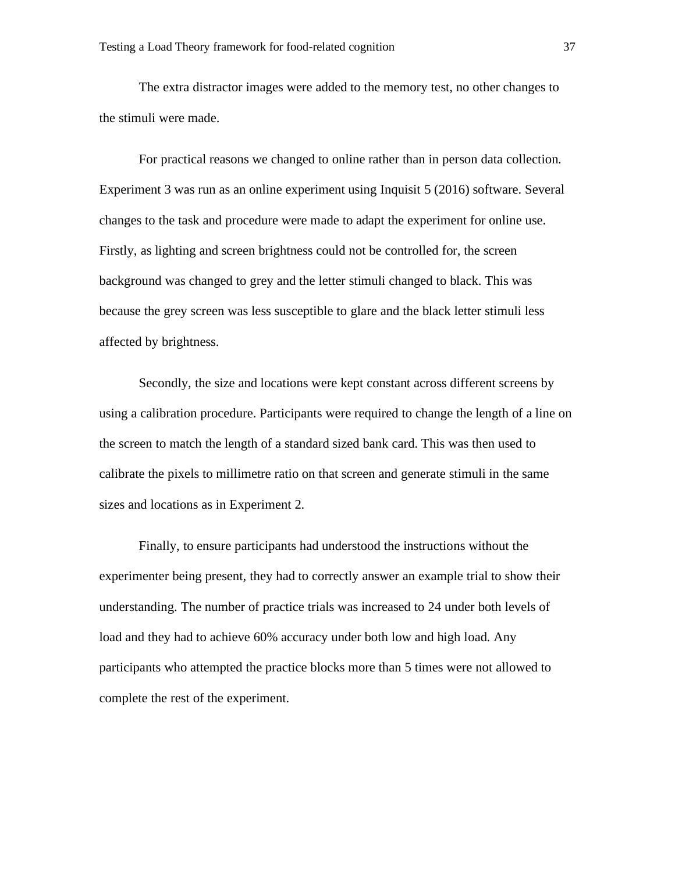The extra distractor images were added to the memory test, no other changes to the stimuli were made.

For practical reasons we changed to online rather than in person data collection. Experiment 3 was run as an online experiment using Inquisit 5 (2016) software. Several changes to the task and procedure were made to adapt the experiment for online use. Firstly, as lighting and screen brightness could not be controlled for, the screen background was changed to grey and the letter stimuli changed to black. This was because the grey screen was less susceptible to glare and the black letter stimuli less affected by brightness.

Secondly, the size and locations were kept constant across different screens by using a calibration procedure. Participants were required to change the length of a line on the screen to match the length of a standard sized bank card. This was then used to calibrate the pixels to millimetre ratio on that screen and generate stimuli in the same sizes and locations as in Experiment 2.

Finally, to ensure participants had understood the instructions without the experimenter being present, they had to correctly answer an example trial to show their understanding. The number of practice trials was increased to 24 under both levels of load and they had to achieve 60% accuracy under both low and high load. Any participants who attempted the practice blocks more than 5 times were not allowed to complete the rest of the experiment.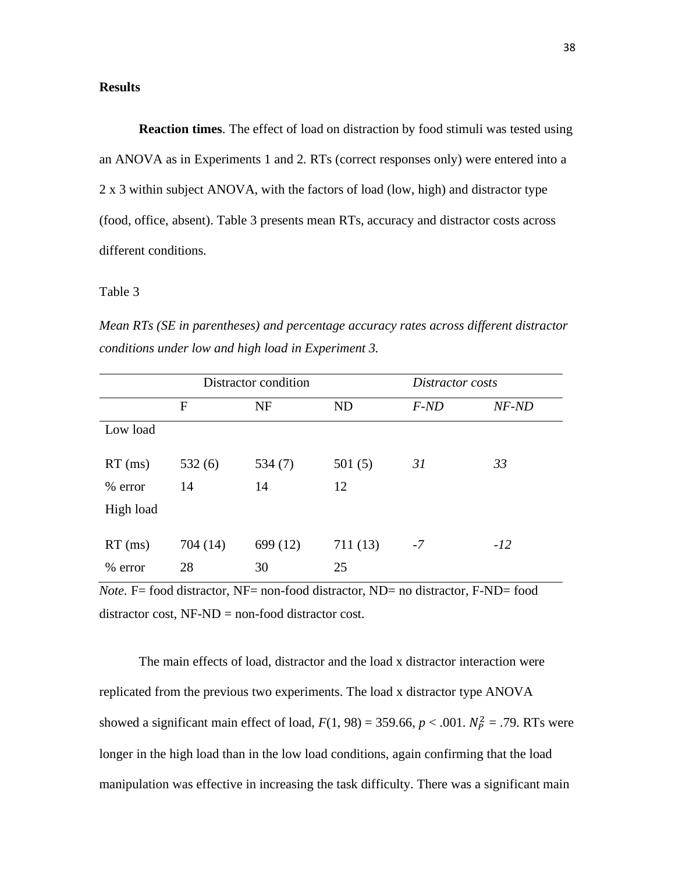#### **Results**

**Reaction times**. The effect of load on distraction by food stimuli was tested using an ANOVA as in Experiments 1 and 2. RTs (correct responses only) were entered into a 2 x 3 within subject ANOVA, with the factors of load (low, high) and distractor type (food, office, absent). Table 3 presents mean RTs, accuracy and distractor costs across different conditions.

#### Table 3

*Mean RTs (SE in parentheses) and percentage accuracy rates across different distractor conditions under low and high load in Experiment 3.*

|           | Distractor condition |           |          | Distractor costs |         |
|-----------|----------------------|-----------|----------|------------------|---------|
|           | F                    | <b>NF</b> | ND       | $F-ND$           | $NF-ND$ |
| Low load  |                      |           |          |                  |         |
| $RT$ (ms) | 532(6)               | 534 $(7)$ | 501(5)   | 31               | 33      |
| % error   | 14                   | 14        | 12       |                  |         |
| High load |                      |           |          |                  |         |
| $RT$ (ms) | 704 (14)             | 699 (12)  | 711 (13) | $-7$             | $-12$   |
| % error   | 28                   | 30        | 25       |                  |         |

*Note.* F= food distractor, NF= non-food distractor, ND= no distractor, F-ND= food  $distraction cost$ ,  $NF-ND = non-food distraction cost$ .

The main effects of load, distractor and the load x distractor interaction were replicated from the previous two experiments. The load x distractor type ANOVA showed a significant main effect of load,  $F(1, 98) = 359.66$ ,  $p < .001$ .  $N_P^2 = .79$ . RTs were longer in the high load than in the low load conditions, again confirming that the load manipulation was effective in increasing the task difficulty. There was a significant main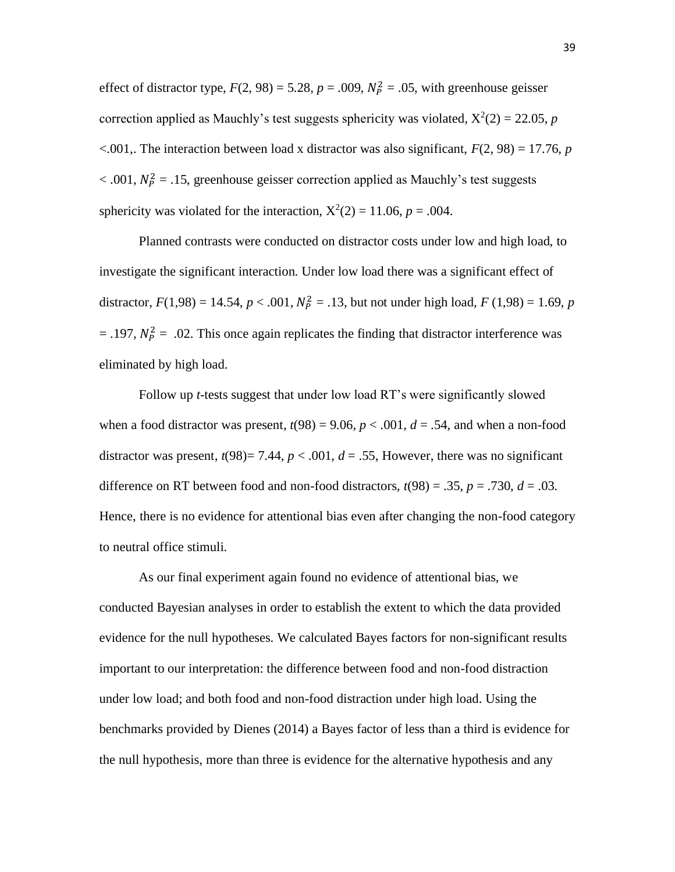effect of distractor type,  $F(2, 98) = 5.28$ ,  $p = .009$ ,  $N_P^2 = .05$ , with greenhouse geisser correction applied as Mauchly's test suggests sphericity was violated,  $X^2(2) = 22.05$ , *p*  $\leq$ .001,. The interaction between load x distractor was also significant,  $F(2, 98) = 17.76$ , *p*  $< .001$ ,  $N_P^2 = .15$ , greenhouse geisser correction applied as Mauchly's test suggests sphericity was violated for the interaction,  $X^2(2) = 11.06$ ,  $p = .004$ .

Planned contrasts were conducted on distractor costs under low and high load, to investigate the significant interaction. Under low load there was a significant effect of distractor,  $F(1,98) = 14.54$ ,  $p < .001$ ,  $N_P^2 = .13$ , but not under high load,  $F(1,98) = 1.69$ ,  $p$  $= .197, N_P^2 = .02$ . This once again replicates the finding that distractor interference was eliminated by high load.

Follow up *t*-tests suggest that under low load RT's were significantly slowed when a food distractor was present,  $t(98) = 9.06$ ,  $p < .001$ ,  $d = .54$ , and when a non-food distractor was present,  $t(98)= 7.44$ ,  $p < .001$ ,  $d = .55$ , However, there was no significant difference on RT between food and non-food distractors,  $t(98) = .35$ ,  $p = .730$ ,  $d = .03$ . Hence, there is no evidence for attentional bias even after changing the non-food category to neutral office stimuli.

As our final experiment again found no evidence of attentional bias, we conducted Bayesian analyses in order to establish the extent to which the data provided evidence for the null hypotheses. We calculated Bayes factors for non-significant results important to our interpretation: the difference between food and non-food distraction under low load; and both food and non-food distraction under high load. Using the benchmarks provided by Dienes (2014) a Bayes factor of less than a third is evidence for the null hypothesis, more than three is evidence for the alternative hypothesis and any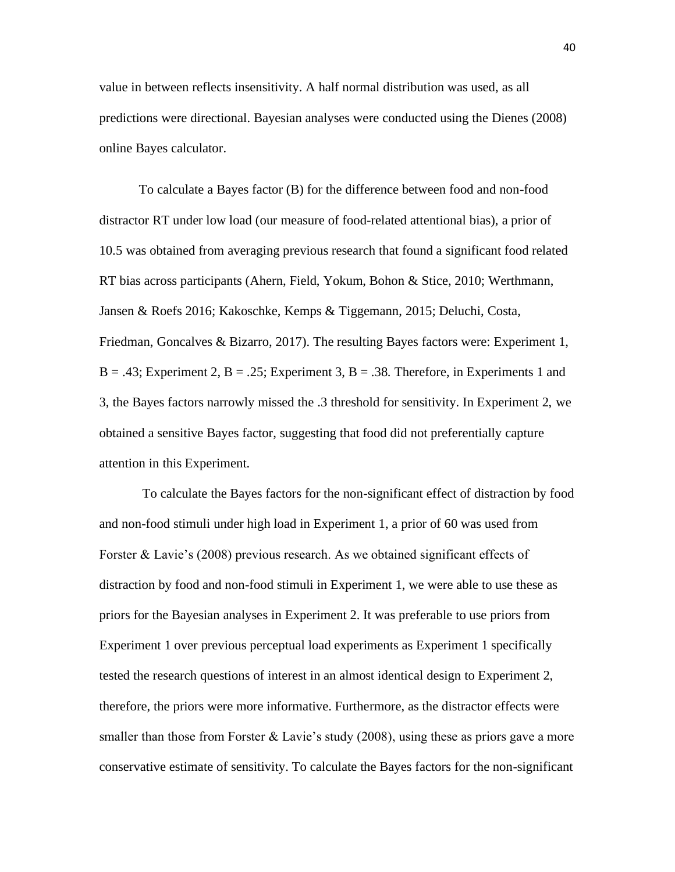value in between reflects insensitivity. A half normal distribution was used, as all predictions were directional. Bayesian analyses were conducted using the Dienes (2008) online Bayes calculator.

To calculate a Bayes factor (B) for the difference between food and non-food distractor RT under low load (our measure of food-related attentional bias), a prior of 10.5 was obtained from averaging previous research that found a significant food related RT bias across participants (Ahern, Field, Yokum, Bohon & Stice, 2010; Werthmann, Jansen & Roefs 2016; Kakoschke, Kemps & Tiggemann, 2015; Deluchi, Costa, Friedman, Goncalves & Bizarro, 2017). The resulting Bayes factors were: Experiment 1,  $B = .43$ ; Experiment 2,  $B = .25$ ; Experiment 3,  $B = .38$ . Therefore, in Experiments 1 and 3, the Bayes factors narrowly missed the .3 threshold for sensitivity. In Experiment 2, we obtained a sensitive Bayes factor, suggesting that food did not preferentially capture attention in this Experiment.

To calculate the Bayes factors for the non-significant effect of distraction by food and non-food stimuli under high load in Experiment 1, a prior of 60 was used from Forster & Lavie's (2008) previous research. As we obtained significant effects of distraction by food and non-food stimuli in Experiment 1, we were able to use these as priors for the Bayesian analyses in Experiment 2. It was preferable to use priors from Experiment 1 over previous perceptual load experiments as Experiment 1 specifically tested the research questions of interest in an almost identical design to Experiment 2, therefore, the priors were more informative. Furthermore, as the distractor effects were smaller than those from Forster & Lavie's study  $(2008)$ , using these as priors gave a more conservative estimate of sensitivity. To calculate the Bayes factors for the non-significant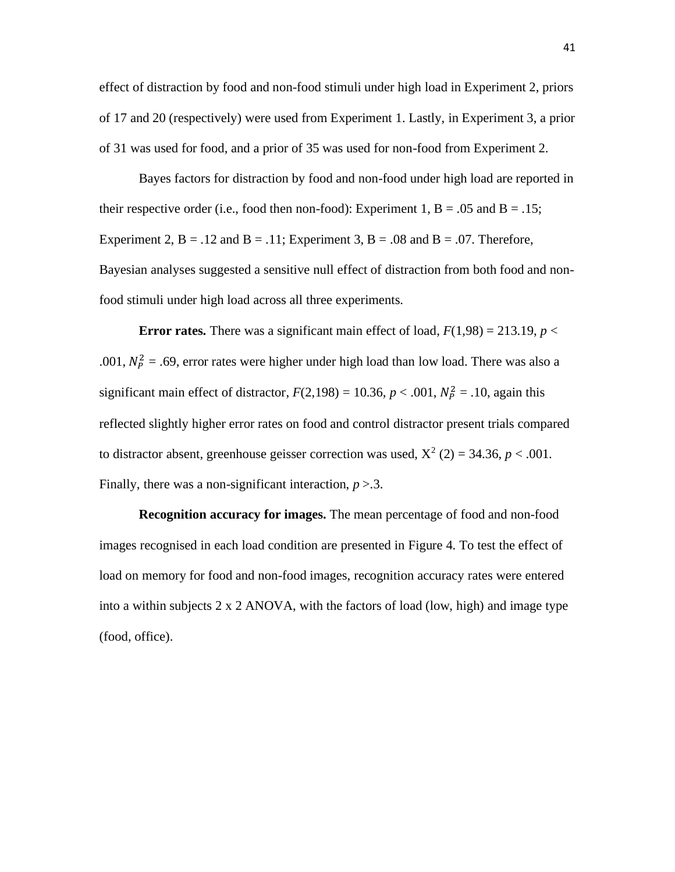effect of distraction by food and non-food stimuli under high load in Experiment 2, priors of 17 and 20 (respectively) were used from Experiment 1. Lastly, in Experiment 3, a prior of 31 was used for food, and a prior of 35 was used for non-food from Experiment 2.

Bayes factors for distraction by food and non-food under high load are reported in their respective order (i.e., food then non-food): Experiment 1,  $B = .05$  and  $B = .15$ ; Experiment 2,  $B = .12$  and  $B = .11$ ; Experiment 3,  $B = .08$  and  $B = .07$ . Therefore, Bayesian analyses suggested a sensitive null effect of distraction from both food and nonfood stimuli under high load across all three experiments.

**Error rates.** There was a significant main effect of load,  $F(1,98) = 213.19$ ,  $p <$ .001,  $N_P^2$  = .69, error rates were higher under high load than low load. There was also a significant main effect of distractor,  $F(2,198) = 10.36$ ,  $p < .001$ ,  $N_P^2 = .10$ , again this reflected slightly higher error rates on food and control distractor present trials compared to distractor absent, greenhouse geisser correction was used,  $X^2$  (2) = 34.36,  $p < .001$ . Finally, there was a non-significant interaction,  $p > 3$ .

**Recognition accuracy for images.** The mean percentage of food and non-food images recognised in each load condition are presented in Figure 4. To test the effect of load on memory for food and non-food images, recognition accuracy rates were entered into a within subjects 2 x 2 ANOVA, with the factors of load (low, high) and image type (food, office).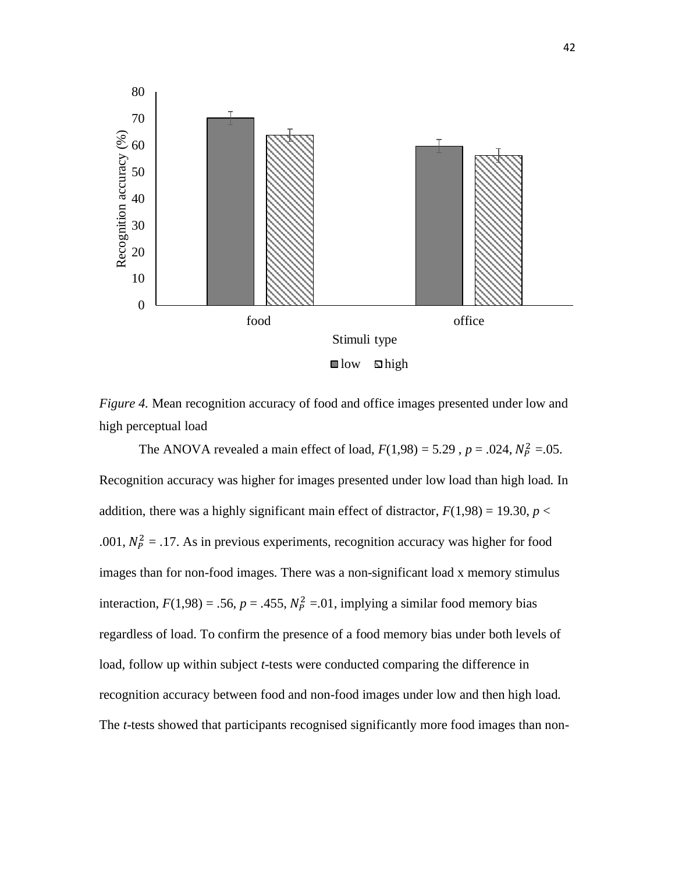

*Figure 4.* Mean recognition accuracy of food and office images presented under low and high perceptual load

The ANOVA revealed a main effect of load,  $F(1,98) = 5.29$ ,  $p = .024$ ,  $N_P^2 = .05$ . Recognition accuracy was higher for images presented under low load than high load. In addition, there was a highly significant main effect of distractor,  $F(1,98) = 19.30$ ,  $p <$ .001,  $N_P^2 = 0.17$ . As in previous experiments, recognition accuracy was higher for food images than for non-food images. There was a non-significant load x memory stimulus interaction,  $F(1,98) = .56$ ,  $p = .455$ ,  $N_p^2 = .01$ , implying a similar food memory bias regardless of load. To confirm the presence of a food memory bias under both levels of load, follow up within subject *t*-tests were conducted comparing the difference in recognition accuracy between food and non-food images under low and then high load. The *t*-tests showed that participants recognised significantly more food images than non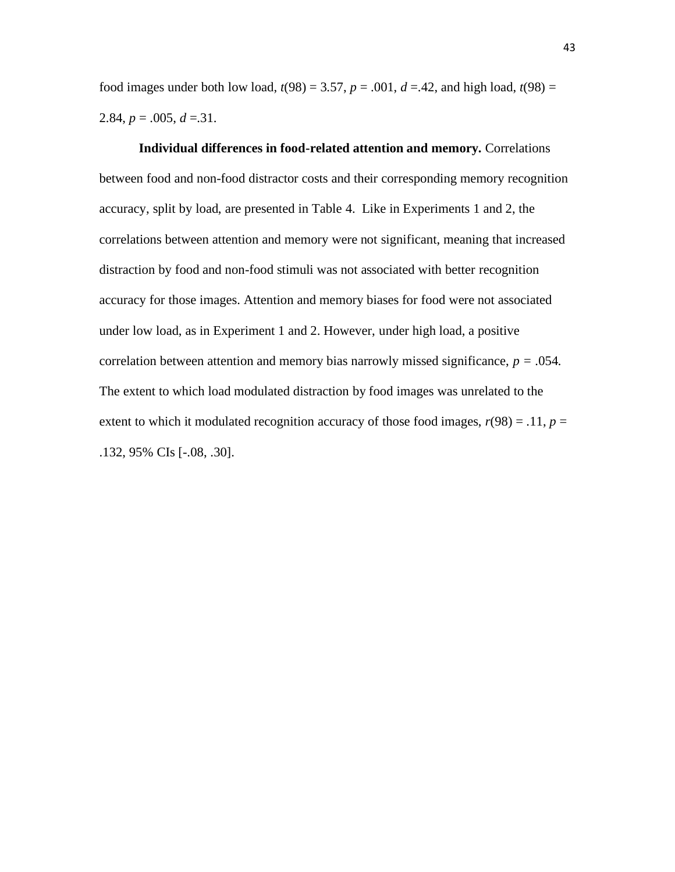food images under both low load,  $t(98) = 3.57$ ,  $p = .001$ ,  $d = .42$ , and high load,  $t(98) =$ 2.84,  $p = .005$ ,  $d = .31$ .

**Individual differences in food-related attention and memory.** Correlations between food and non-food distractor costs and their corresponding memory recognition accuracy, split by load, are presented in Table 4. Like in Experiments 1 and 2, the correlations between attention and memory were not significant, meaning that increased distraction by food and non-food stimuli was not associated with better recognition accuracy for those images. Attention and memory biases for food were not associated under low load, as in Experiment 1 and 2. However, under high load, a positive correlation between attention and memory bias narrowly missed significance, *p =* .054*.* The extent to which load modulated distraction by food images was unrelated to the extent to which it modulated recognition accuracy of those food images,  $r(98) = .11$ ,  $p =$ .132, 95% CIs [-.08, .30].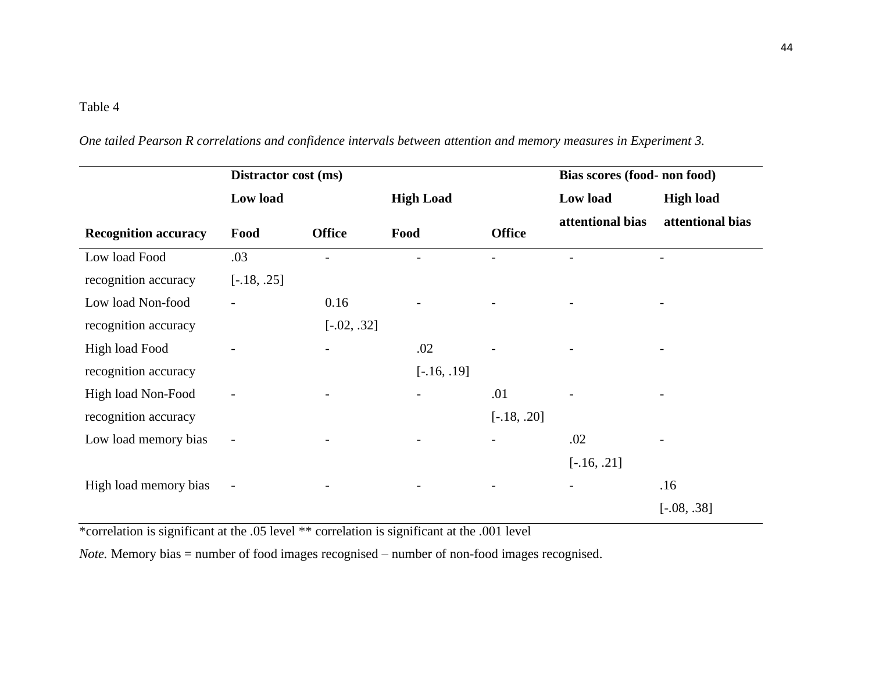# Table 4

|                             | Distractor cost (ms)     |               |                  | Bias scores (food- non food) |                  |                  |
|-----------------------------|--------------------------|---------------|------------------|------------------------------|------------------|------------------|
|                             | Low load                 |               | <b>High Load</b> |                              | Low load         | <b>High load</b> |
| <b>Recognition accuracy</b> | Food                     | <b>Office</b> | Food             | <b>Office</b>                | attentional bias | attentional bias |
| Low load Food               | .03                      |               |                  |                              |                  |                  |
| recognition accuracy        | $[-.18, .25]$            |               |                  |                              |                  |                  |
| Low load Non-food           | $\overline{\phantom{a}}$ | 0.16          |                  |                              |                  |                  |
| recognition accuracy        |                          | $[-.02, .32]$ |                  |                              |                  |                  |
| High load Food              |                          |               | .02              |                              |                  |                  |
| recognition accuracy        |                          |               | $[-.16, .19]$    |                              |                  |                  |
| High load Non-Food          |                          |               |                  | .01                          |                  |                  |
| recognition accuracy        |                          |               |                  | $[-.18, .20]$                |                  |                  |
| Low load memory bias        |                          |               |                  | $\overline{\phantom{a}}$     | .02              |                  |
|                             |                          |               |                  |                              | $[-.16, .21]$    |                  |
| High load memory bias       | $\overline{\phantom{a}}$ |               |                  |                              |                  | .16              |
|                             |                          |               |                  |                              |                  | $[-.08, .38]$    |

*One tailed Pearson R correlations and confidence intervals between attention and memory measures in Experiment 3.*

\*correlation is significant at the .05 level \*\* correlation is significant at the .001 level

*Note.* Memory bias = number of food images recognised – number of non-food images recognised.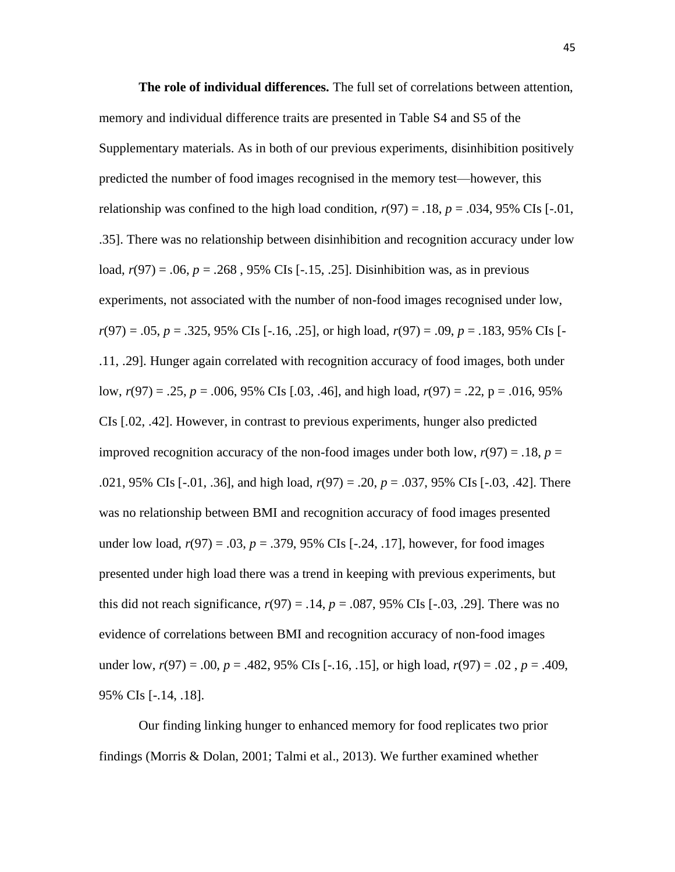**The role of individual differences.** The full set of correlations between attention, memory and individual difference traits are presented in Table S4 and S5 of the Supplementary materials. As in both of our previous experiments, disinhibition positively predicted the number of food images recognised in the memory test—however, this relationship was confined to the high load condition,  $r(97) = .18$ ,  $p = .034$ , 95% CIs [-.01, .35]. There was no relationship between disinhibition and recognition accuracy under low load, *r*(97) = .06, *p* = .268 , 95% CIs [-.15, .25]. Disinhibition was, as in previous experiments, not associated with the number of non-food images recognised under low,  $r(97) = .05$ ,  $p = .325$ ,  $95\%$  CIs [-.16, .25], or high load,  $r(97) = .09$ ,  $p = .183$ ,  $95\%$  CIs [-.11, .29]. Hunger again correlated with recognition accuracy of food images, both under low, *r*(97) = .25, *p* = .006, 95% CIs [.03, .46], and high load, *r*(97) = .22, p = .016, 95% CIs [.02, .42]. However, in contrast to previous experiments, hunger also predicted improved recognition accuracy of the non-food images under both low,  $r(97) = .18$ ,  $p =$ .021, 95% CIs [-.01, .36], and high load, *r*(97) = .20, *p* = .037, 95% CIs [-.03, .42]. There was no relationship between BMI and recognition accuracy of food images presented under low load,  $r(97) = .03$ ,  $p = .379$ , 95% CIs [-.24, .17], however, for food images presented under high load there was a trend in keeping with previous experiments, but this did not reach significance,  $r(97) = .14$ ,  $p = .087$ , 95% CIs [-.03, .29]. There was no evidence of correlations between BMI and recognition accuracy of non-food images under low,  $r(97) = .00$ ,  $p = .482$ , 95% CIs [-.16, .15], or high load,  $r(97) = .02$ ,  $p = .409$ , 95% CIs [-.14, .18].

Our finding linking hunger to enhanced memory for food replicates two prior findings (Morris & Dolan, 2001; Talmi et al., 2013). We further examined whether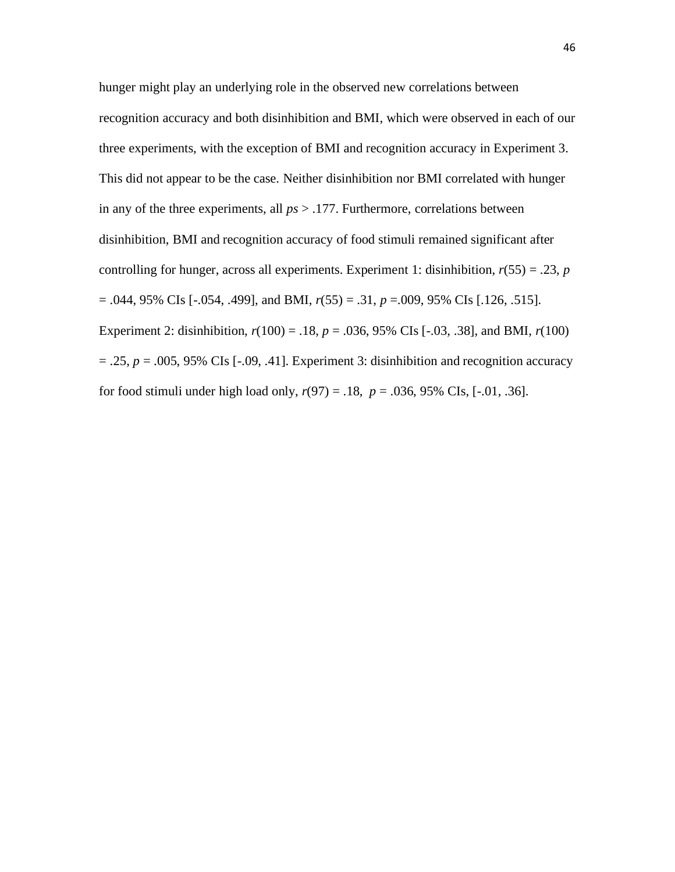hunger might play an underlying role in the observed new correlations between recognition accuracy and both disinhibition and BMI, which were observed in each of our three experiments, with the exception of BMI and recognition accuracy in Experiment 3. This did not appear to be the case. Neither disinhibition nor BMI correlated with hunger in any of the three experiments, all *ps* > .177. Furthermore, correlations between disinhibition, BMI and recognition accuracy of food stimuli remained significant after controlling for hunger, across all experiments. Experiment 1: disinhibition,  $r(55) = .23$ , *p* = .044, 95% CIs [-.054, .499], and BMI, *r*(55) = .31, *p* =.009, 95% CIs [.126, .515]. Experiment 2: disinhibition,  $r(100) = .18$ ,  $p = .036$ , 95% CIs [-.03, .38], and BMI,  $r(100)$  $= .25, p = .005, 95\% \text{ CIs } [-.09, .41].$  Experiment 3: disinhibition and recognition accuracy for food stimuli under high load only, *r*(97) = .18, *p* = .036, 95% CIs, [-.01, .36].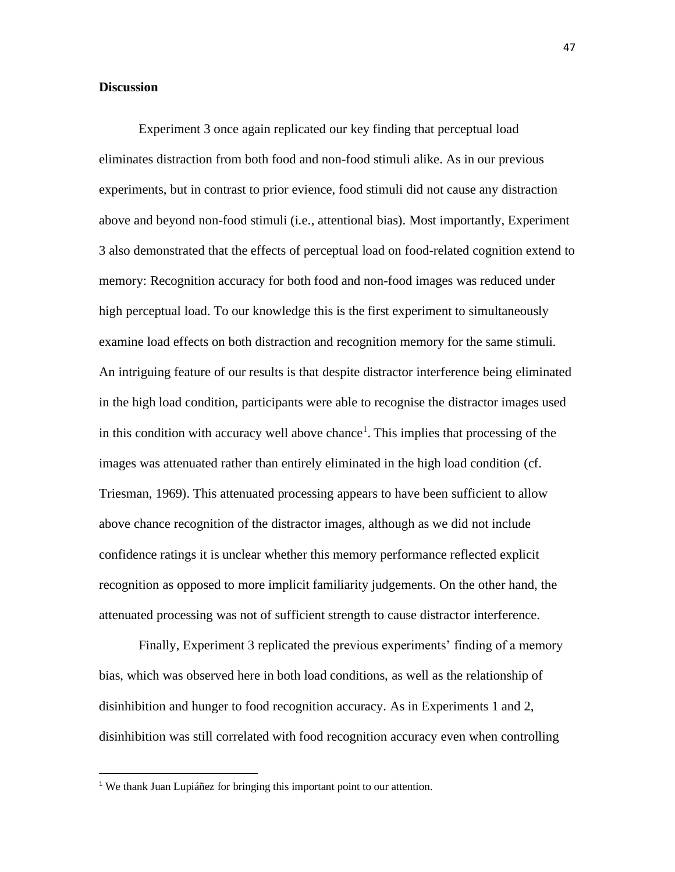#### **Discussion**

Experiment 3 once again replicated our key finding that perceptual load eliminates distraction from both food and non-food stimuli alike. As in our previous experiments, but in contrast to prior evience, food stimuli did not cause any distraction above and beyond non-food stimuli (i.e., attentional bias). Most importantly, Experiment 3 also demonstrated that the effects of perceptual load on food-related cognition extend to memory: Recognition accuracy for both food and non-food images was reduced under high perceptual load. To our knowledge this is the first experiment to simultaneously examine load effects on both distraction and recognition memory for the same stimuli. An intriguing feature of our results is that despite distractor interference being eliminated in the high load condition, participants were able to recognise the distractor images used in this condition with accuracy well above chance<sup>1</sup>. This implies that processing of the images was attenuated rather than entirely eliminated in the high load condition (cf. Triesman, 1969). This attenuated processing appears to have been sufficient to allow above chance recognition of the distractor images, although as we did not include confidence ratings it is unclear whether this memory performance reflected explicit recognition as opposed to more implicit familiarity judgements. On the other hand, the attenuated processing was not of sufficient strength to cause distractor interference.

Finally, Experiment 3 replicated the previous experiments' finding of a memory bias, which was observed here in both load conditions, as well as the relationship of disinhibition and hunger to food recognition accuracy. As in Experiments 1 and 2, disinhibition was still correlated with food recognition accuracy even when controlling

<sup>&</sup>lt;sup>1</sup> We thank Juan Lupiáñez for bringing this important point to our attention.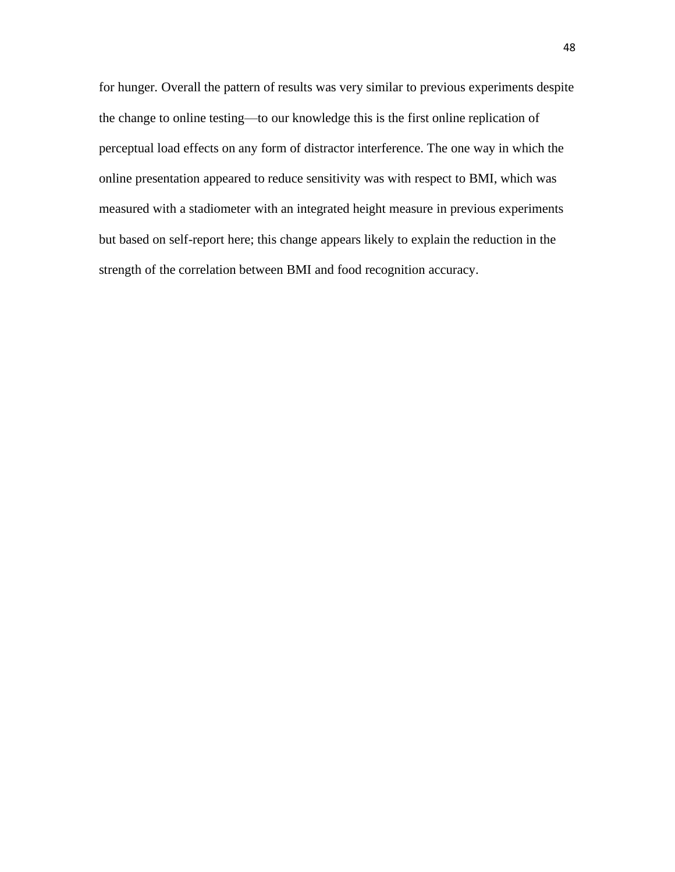for hunger. Overall the pattern of results was very similar to previous experiments despite the change to online testing—to our knowledge this is the first online replication of perceptual load effects on any form of distractor interference. The one way in which the online presentation appeared to reduce sensitivity was with respect to BMI, which was measured with a stadiometer with an integrated height measure in previous experiments but based on self-report here; this change appears likely to explain the reduction in the strength of the correlation between BMI and food recognition accuracy.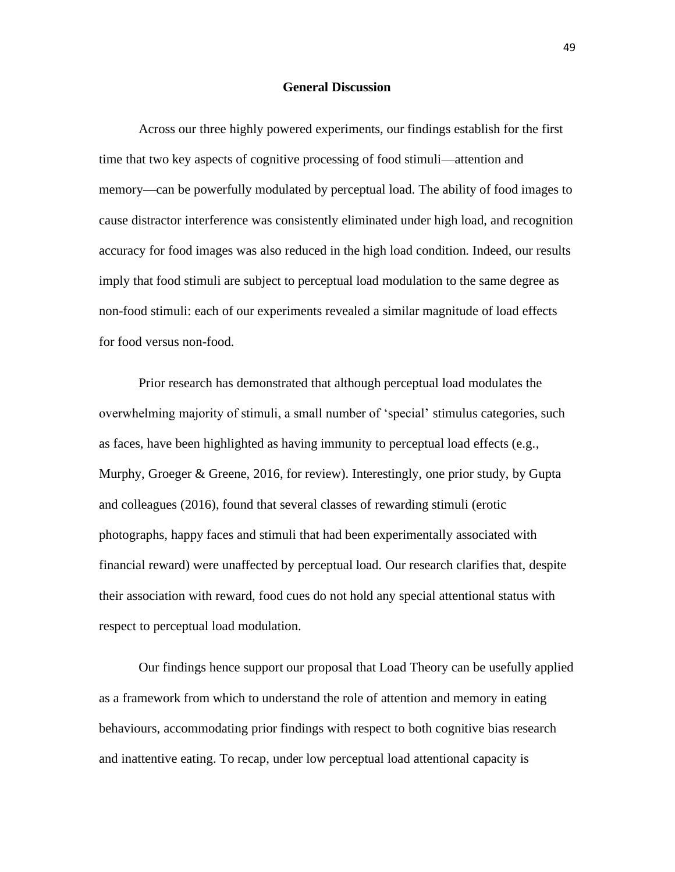#### **General Discussion**

Across our three highly powered experiments, our findings establish for the first time that two key aspects of cognitive processing of food stimuli—attention and memory—can be powerfully modulated by perceptual load. The ability of food images to cause distractor interference was consistently eliminated under high load, and recognition accuracy for food images was also reduced in the high load condition. Indeed, our results imply that food stimuli are subject to perceptual load modulation to the same degree as non-food stimuli: each of our experiments revealed a similar magnitude of load effects for food versus non-food.

Prior research has demonstrated that although perceptual load modulates the overwhelming majority of stimuli, a small number of 'special' stimulus categories, such as faces, have been highlighted as having immunity to perceptual load effects (e.g., Murphy, Groeger & Greene, 2016, for review). Interestingly, one prior study, by Gupta and colleagues (2016), found that several classes of rewarding stimuli (erotic photographs, happy faces and stimuli that had been experimentally associated with financial reward) were unaffected by perceptual load. Our research clarifies that, despite their association with reward, food cues do not hold any special attentional status with respect to perceptual load modulation.

Our findings hence support our proposal that Load Theory can be usefully applied as a framework from which to understand the role of attention and memory in eating behaviours, accommodating prior findings with respect to both cognitive bias research and inattentive eating. To recap, under low perceptual load attentional capacity is

49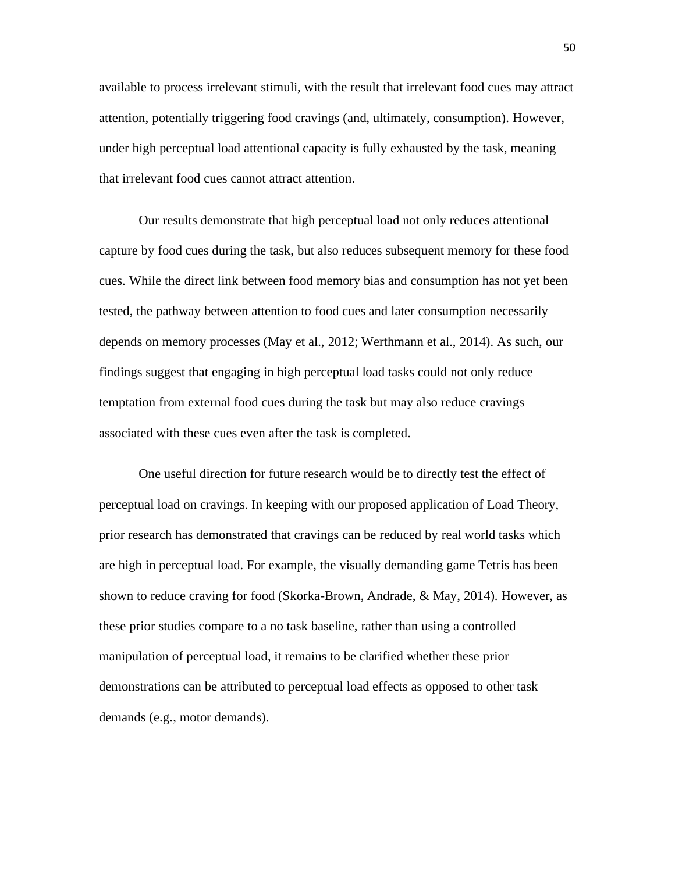available to process irrelevant stimuli, with the result that irrelevant food cues may attract attention, potentially triggering food cravings (and, ultimately, consumption). However, under high perceptual load attentional capacity is fully exhausted by the task, meaning that irrelevant food cues cannot attract attention.

Our results demonstrate that high perceptual load not only reduces attentional capture by food cues during the task, but also reduces subsequent memory for these food cues. While the direct link between food memory bias and consumption has not yet been tested, the pathway between attention to food cues and later consumption necessarily depends on memory processes (May et al., 2012; Werthmann et al., 2014). As such, our findings suggest that engaging in high perceptual load tasks could not only reduce temptation from external food cues during the task but may also reduce cravings associated with these cues even after the task is completed.

One useful direction for future research would be to directly test the effect of perceptual load on cravings. In keeping with our proposed application of Load Theory, prior research has demonstrated that cravings can be reduced by real world tasks which are high in perceptual load. For example, the visually demanding game Tetris has been shown to reduce craving for food (Skorka-Brown, Andrade, & May, 2014). However, as these prior studies compare to a no task baseline, rather than using a controlled manipulation of perceptual load, it remains to be clarified whether these prior demonstrations can be attributed to perceptual load effects as opposed to other task demands (e.g., motor demands).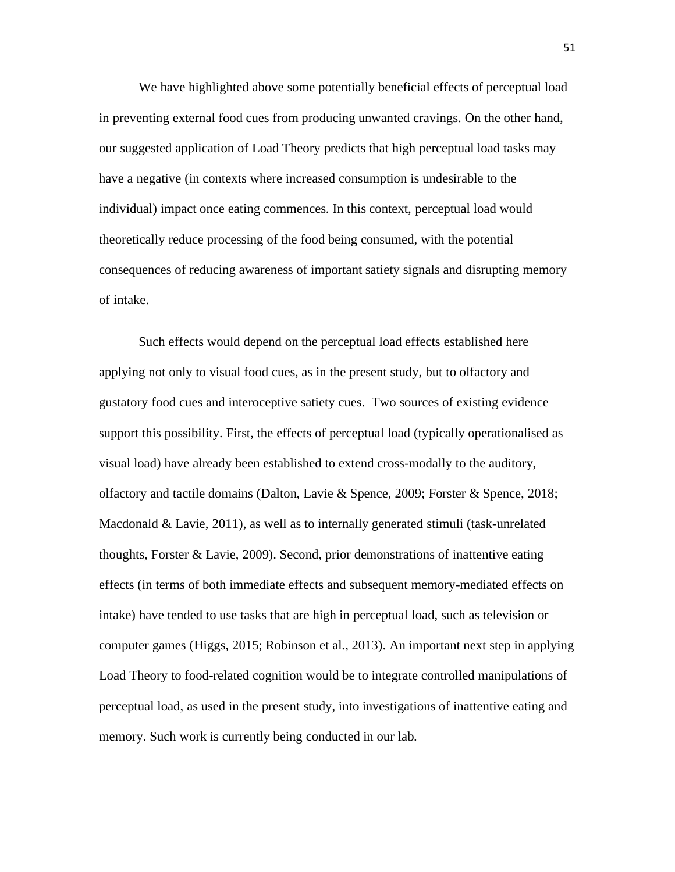We have highlighted above some potentially beneficial effects of perceptual load in preventing external food cues from producing unwanted cravings. On the other hand, our suggested application of Load Theory predicts that high perceptual load tasks may have a negative (in contexts where increased consumption is undesirable to the individual) impact once eating commences. In this context, perceptual load would theoretically reduce processing of the food being consumed, with the potential consequences of reducing awareness of important satiety signals and disrupting memory of intake.

Such effects would depend on the perceptual load effects established here applying not only to visual food cues, as in the present study, but to olfactory and gustatory food cues and interoceptive satiety cues. Two sources of existing evidence support this possibility. First, the effects of perceptual load (typically operationalised as visual load) have already been established to extend cross-modally to the auditory, olfactory and tactile domains (Dalton, Lavie & Spence, 2009; Forster & Spence, 2018; Macdonald & Lavie, 2011), as well as to internally generated stimuli (task-unrelated thoughts, Forster & Lavie, 2009). Second, prior demonstrations of inattentive eating effects (in terms of both immediate effects and subsequent memory-mediated effects on intake) have tended to use tasks that are high in perceptual load, such as television or computer games (Higgs, 2015; Robinson et al., 2013). An important next step in applying Load Theory to food-related cognition would be to integrate controlled manipulations of perceptual load, as used in the present study, into investigations of inattentive eating and memory. Such work is currently being conducted in our lab.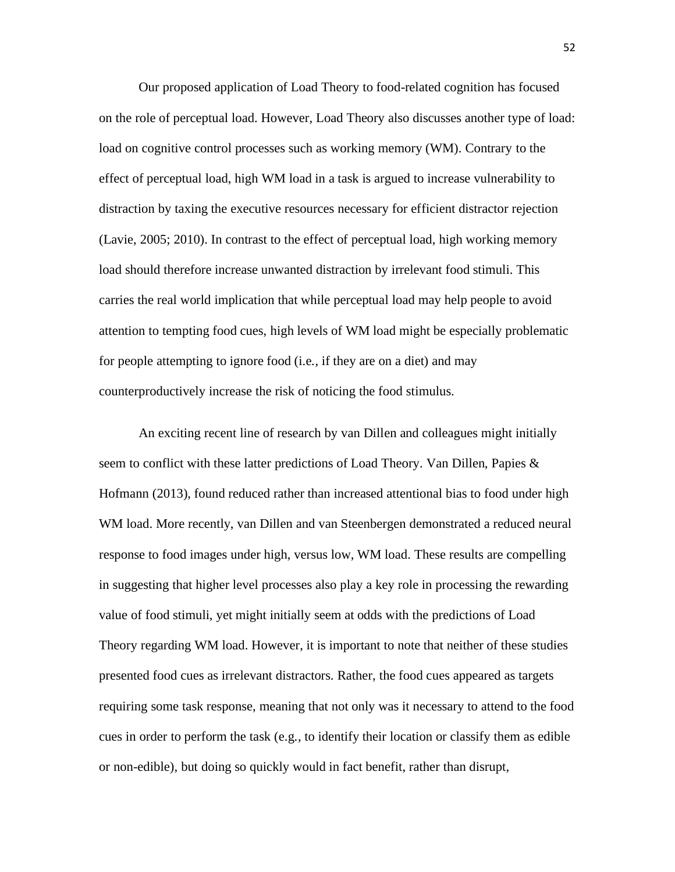Our proposed application of Load Theory to food-related cognition has focused on the role of perceptual load. However, Load Theory also discusses another type of load: load on cognitive control processes such as working memory (WM). Contrary to the effect of perceptual load, high WM load in a task is argued to increase vulnerability to distraction by taxing the executive resources necessary for efficient distractor rejection (Lavie, 2005; 2010). In contrast to the effect of perceptual load, high working memory load should therefore increase unwanted distraction by irrelevant food stimuli. This carries the real world implication that while perceptual load may help people to avoid attention to tempting food cues, high levels of WM load might be especially problematic for people attempting to ignore food (i.e., if they are on a diet) and may counterproductively increase the risk of noticing the food stimulus.

An exciting recent line of research by van Dillen and colleagues might initially seem to conflict with these latter predictions of Load Theory. Van Dillen, Papies & Hofmann (2013), found reduced rather than increased attentional bias to food under high WM load. More recently, van Dillen and van Steenbergen demonstrated a reduced neural response to food images under high, versus low, WM load. These results are compelling in suggesting that higher level processes also play a key role in processing the rewarding value of food stimuli, yet might initially seem at odds with the predictions of Load Theory regarding WM load. However, it is important to note that neither of these studies presented food cues as irrelevant distractors. Rather, the food cues appeared as targets requiring some task response, meaning that not only was it necessary to attend to the food cues in order to perform the task (e.g., to identify their location or classify them as edible or non-edible), but doing so quickly would in fact benefit, rather than disrupt,

52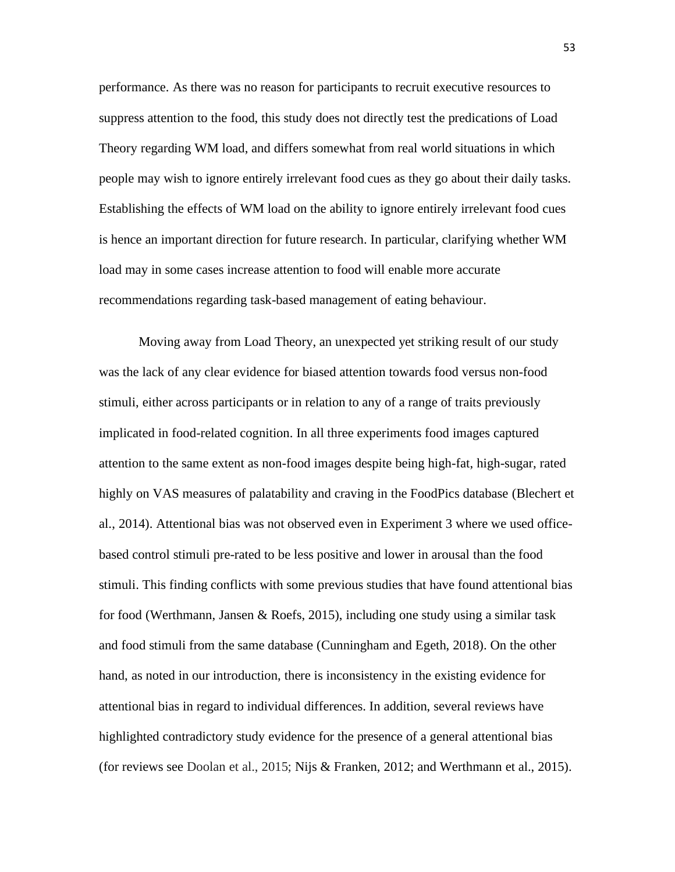performance. As there was no reason for participants to recruit executive resources to suppress attention to the food, this study does not directly test the predications of Load Theory regarding WM load, and differs somewhat from real world situations in which people may wish to ignore entirely irrelevant food cues as they go about their daily tasks. Establishing the effects of WM load on the ability to ignore entirely irrelevant food cues is hence an important direction for future research. In particular, clarifying whether WM load may in some cases increase attention to food will enable more accurate recommendations regarding task-based management of eating behaviour.

Moving away from Load Theory, an unexpected yet striking result of our study was the lack of any clear evidence for biased attention towards food versus non-food stimuli, either across participants or in relation to any of a range of traits previously implicated in food-related cognition. In all three experiments food images captured attention to the same extent as non-food images despite being high-fat, high-sugar, rated highly on VAS measures of palatability and craving in the FoodPics database (Blechert et al., 2014). Attentional bias was not observed even in Experiment 3 where we used officebased control stimuli pre-rated to be less positive and lower in arousal than the food stimuli. This finding conflicts with some previous studies that have found attentional bias for food (Werthmann, Jansen & Roefs, 2015), including one study using a similar task and food stimuli from the same database (Cunningham and Egeth, 2018). On the other hand, as noted in our introduction, there is inconsistency in the existing evidence for attentional bias in regard to individual differences. In addition, several reviews have highlighted contradictory study evidence for the presence of a general attentional bias (for reviews see Doolan et al., 2015; Nijs & Franken, 2012; and Werthmann et al., 2015).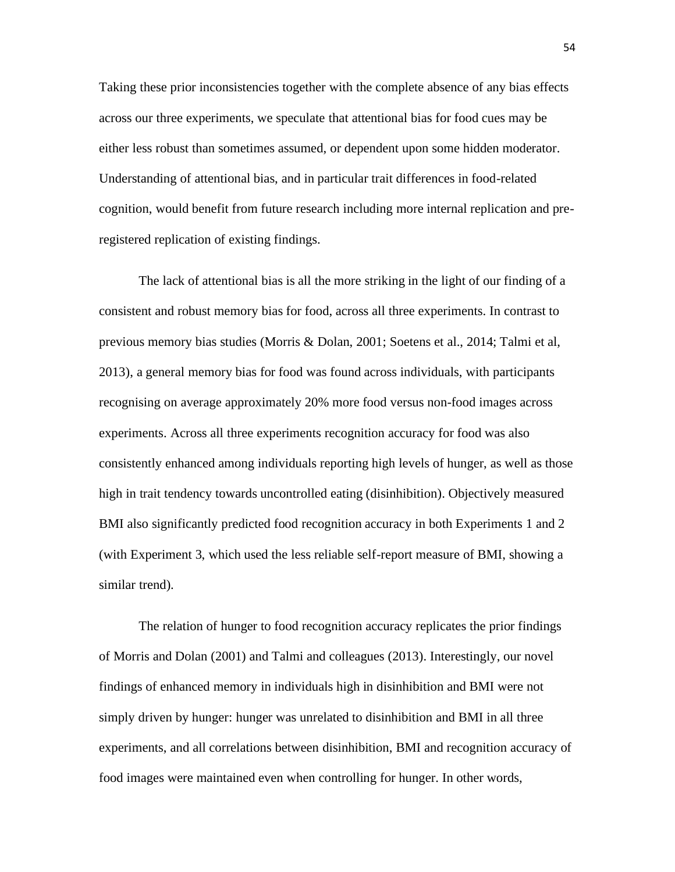Taking these prior inconsistencies together with the complete absence of any bias effects across our three experiments, we speculate that attentional bias for food cues may be either less robust than sometimes assumed, or dependent upon some hidden moderator. Understanding of attentional bias, and in particular trait differences in food-related cognition, would benefit from future research including more internal replication and preregistered replication of existing findings.

The lack of attentional bias is all the more striking in the light of our finding of a consistent and robust memory bias for food, across all three experiments. In contrast to previous memory bias studies (Morris & Dolan, 2001; Soetens et al., 2014; Talmi et al, 2013), a general memory bias for food was found across individuals, with participants recognising on average approximately 20% more food versus non-food images across experiments. Across all three experiments recognition accuracy for food was also consistently enhanced among individuals reporting high levels of hunger, as well as those high in trait tendency towards uncontrolled eating (disinhibition). Objectively measured BMI also significantly predicted food recognition accuracy in both Experiments 1 and 2 (with Experiment 3, which used the less reliable self-report measure of BMI, showing a similar trend).

The relation of hunger to food recognition accuracy replicates the prior findings of Morris and Dolan (2001) and Talmi and colleagues (2013). Interestingly, our novel findings of enhanced memory in individuals high in disinhibition and BMI were not simply driven by hunger: hunger was unrelated to disinhibition and BMI in all three experiments, and all correlations between disinhibition, BMI and recognition accuracy of food images were maintained even when controlling for hunger. In other words,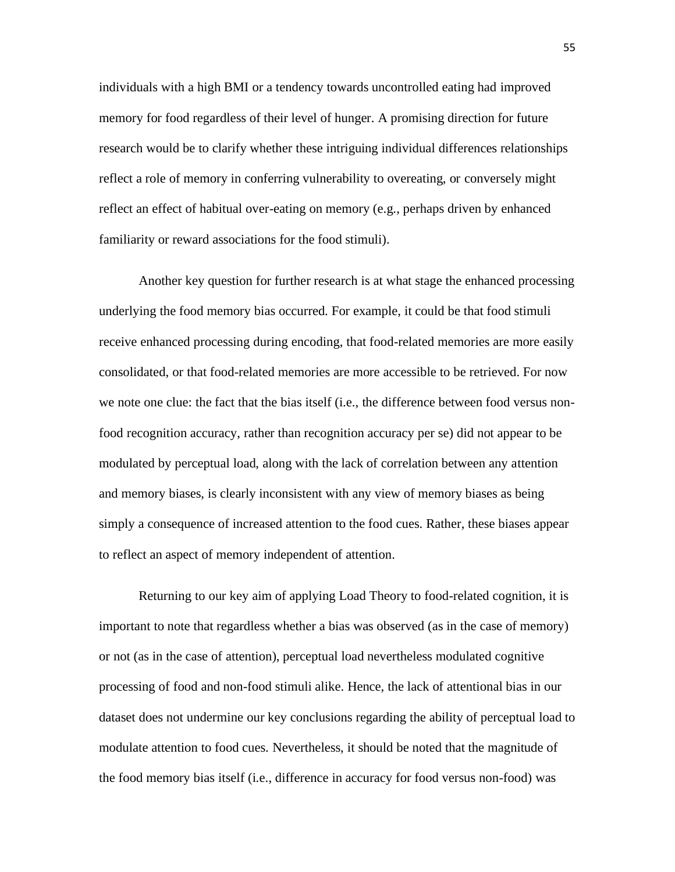individuals with a high BMI or a tendency towards uncontrolled eating had improved memory for food regardless of their level of hunger. A promising direction for future research would be to clarify whether these intriguing individual differences relationships reflect a role of memory in conferring vulnerability to overeating, or conversely might reflect an effect of habitual over-eating on memory (e.g., perhaps driven by enhanced familiarity or reward associations for the food stimuli).

Another key question for further research is at what stage the enhanced processing underlying the food memory bias occurred. For example, it could be that food stimuli receive enhanced processing during encoding, that food-related memories are more easily consolidated, or that food-related memories are more accessible to be retrieved. For now we note one clue: the fact that the bias itself (i.e., the difference between food versus nonfood recognition accuracy, rather than recognition accuracy per se) did not appear to be modulated by perceptual load, along with the lack of correlation between any attention and memory biases, is clearly inconsistent with any view of memory biases as being simply a consequence of increased attention to the food cues. Rather, these biases appear to reflect an aspect of memory independent of attention.

Returning to our key aim of applying Load Theory to food-related cognition, it is important to note that regardless whether a bias was observed (as in the case of memory) or not (as in the case of attention), perceptual load nevertheless modulated cognitive processing of food and non-food stimuli alike. Hence, the lack of attentional bias in our dataset does not undermine our key conclusions regarding the ability of perceptual load to modulate attention to food cues. Nevertheless, it should be noted that the magnitude of the food memory bias itself (i.e., difference in accuracy for food versus non-food) was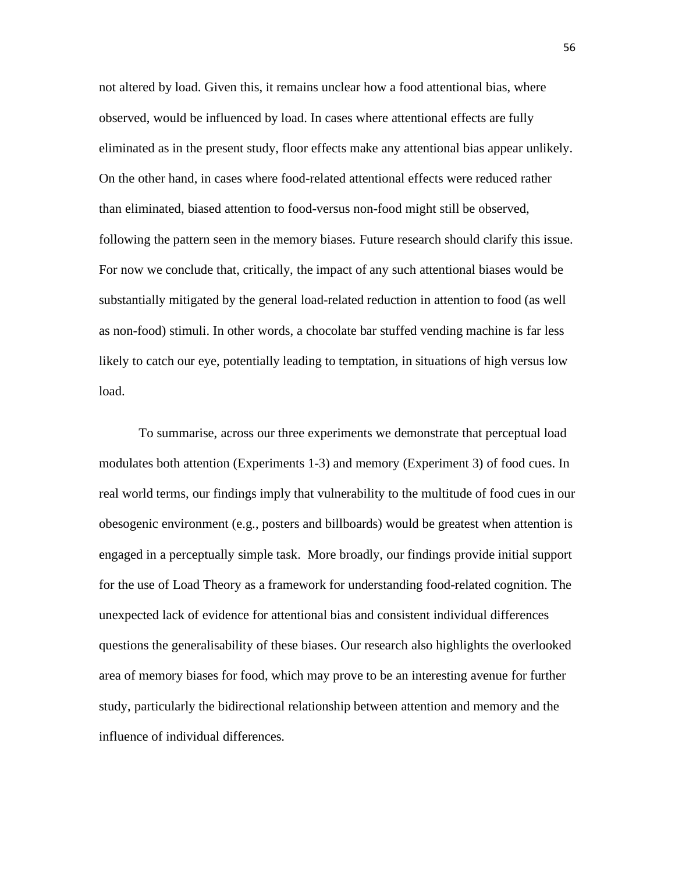not altered by load. Given this, it remains unclear how a food attentional bias, where observed, would be influenced by load. In cases where attentional effects are fully eliminated as in the present study, floor effects make any attentional bias appear unlikely. On the other hand, in cases where food-related attentional effects were reduced rather than eliminated, biased attention to food-versus non-food might still be observed, following the pattern seen in the memory biases. Future research should clarify this issue. For now we conclude that, critically, the impact of any such attentional biases would be substantially mitigated by the general load-related reduction in attention to food (as well as non-food) stimuli. In other words, a chocolate bar stuffed vending machine is far less likely to catch our eye, potentially leading to temptation, in situations of high versus low load.

To summarise, across our three experiments we demonstrate that perceptual load modulates both attention (Experiments 1-3) and memory (Experiment 3) of food cues. In real world terms, our findings imply that vulnerability to the multitude of food cues in our obesogenic environment (e.g., posters and billboards) would be greatest when attention is engaged in a perceptually simple task. More broadly, our findings provide initial support for the use of Load Theory as a framework for understanding food-related cognition. The unexpected lack of evidence for attentional bias and consistent individual differences questions the generalisability of these biases. Our research also highlights the overlooked area of memory biases for food, which may prove to be an interesting avenue for further study, particularly the bidirectional relationship between attention and memory and the influence of individual differences.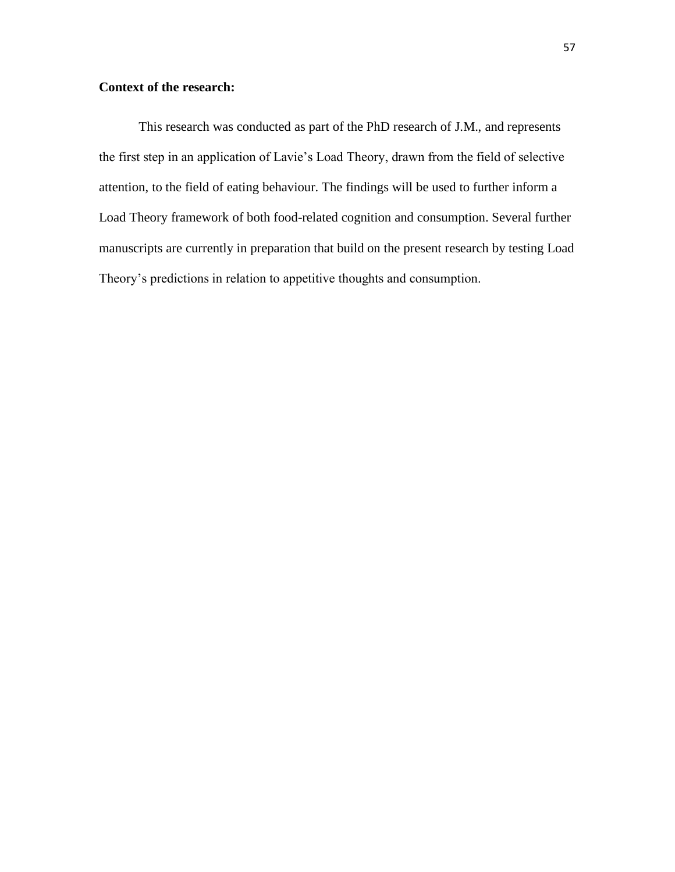### **Context of the research:**

This research was conducted as part of the PhD research of J.M., and represents the first step in an application of Lavie's Load Theory, drawn from the field of selective attention, to the field of eating behaviour. The findings will be used to further inform a Load Theory framework of both food-related cognition and consumption. Several further manuscripts are currently in preparation that build on the present research by testing Load Theory's predictions in relation to appetitive thoughts and consumption.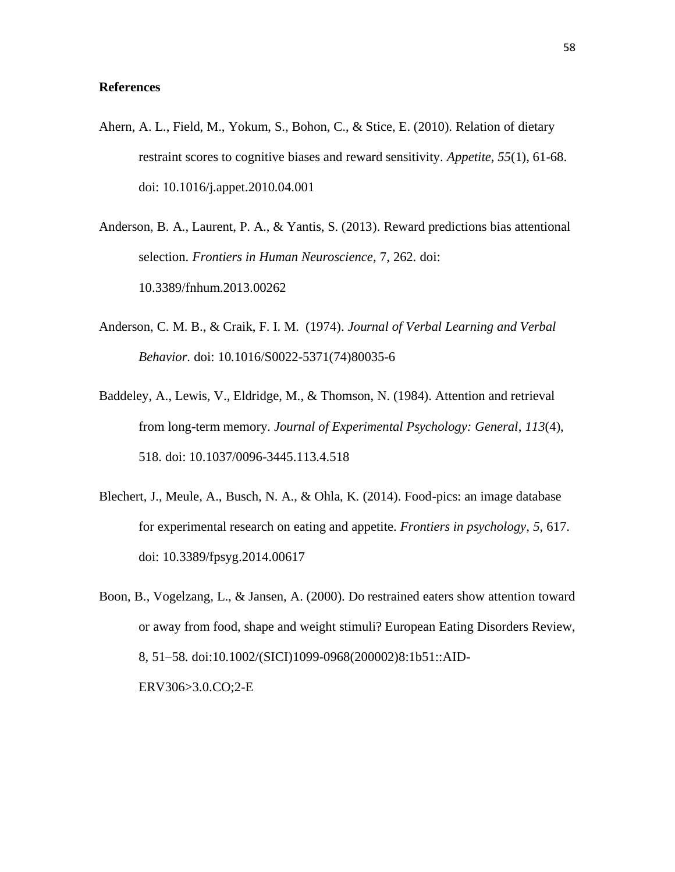#### **References**

- Ahern, A. L., Field, M., Yokum, S., Bohon, C., & Stice, E. (2010). Relation of dietary restraint scores to cognitive biases and reward sensitivity. *Appetite*, *55*(1), 61-68. doi: 10.1016/j.appet.2010.04.001
- Anderson, B. A., Laurent, P. A., & Yantis, S. (2013). Reward predictions bias attentional selection. *Frontiers in Human Neuroscience*, 7, 262. doi: 10.3389/fnhum.2013.00262
- Anderson, C. M. B., & Craik, F. I. M. (1974). *Journal of Verbal Learning and Verbal Behavior*. doi: 10.1016/S0022-5371(74)80035-6
- Baddeley, A., Lewis, V., Eldridge, M., & Thomson, N. (1984). Attention and retrieval from long-term memory. *Journal of Experimental Psychology: General*, *113*(4), 518. doi: 10.1037/0096-3445.113.4.518
- Blechert, J., Meule, A., Busch, N. A., & Ohla, K. (2014). Food-pics: an image database for experimental research on eating and appetite. *Frontiers in psychology*, *5*, 617. doi: 10.3389/fpsyg.2014.00617
- Boon, B., Vogelzang, L., & Jansen, A. (2000). Do restrained eaters show attention toward or away from food, shape and weight stimuli? European Eating Disorders Review, 8, 51–58. doi:10.1002/(SICI)1099-0968(200002)8:1b51::AID-ERV306>3.0.CO;2-E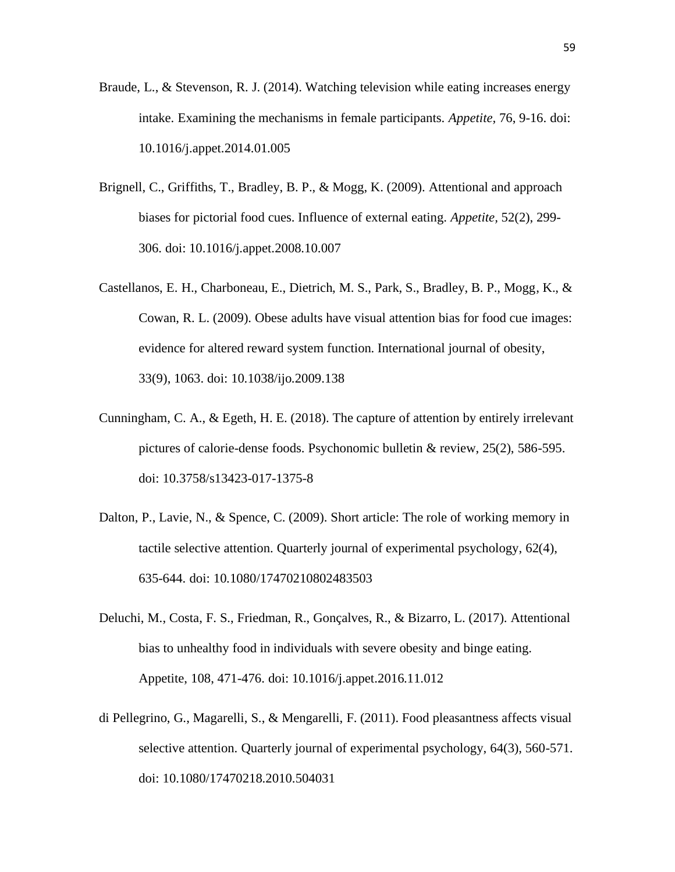- Braude, L., & Stevenson, R. J. (2014). Watching television while eating increases energy intake. Examining the mechanisms in female participants. *Appetite,* 76, 9-16. doi: 10.1016/j.appet.2014.01.005
- Brignell, C., Griffiths, T., Bradley, B. P., & Mogg, K. (2009). Attentional and approach biases for pictorial food cues. Influence of external eating. *Appetite,* 52(2), 299- 306. doi: 10.1016/j.appet.2008.10.007
- Castellanos, E. H., Charboneau, E., Dietrich, M. S., Park, S., Bradley, B. P., Mogg, K., & Cowan, R. L. (2009). Obese adults have visual attention bias for food cue images: evidence for altered reward system function. International journal of obesity, 33(9), 1063. doi: 10.1038/ijo.2009.138
- Cunningham, C. A., & Egeth, H. E. (2018). The capture of attention by entirely irrelevant pictures of calorie-dense foods. Psychonomic bulletin & review, 25(2), 586-595. doi: 10.3758/s13423-017-1375-8
- Dalton, P., Lavie, N., & Spence, C. (2009). Short article: The role of working memory in tactile selective attention. Quarterly journal of experimental psychology, 62(4), 635-644. doi: 10.1080/17470210802483503
- Deluchi, M., Costa, F. S., Friedman, R., Gonçalves, R., & Bizarro, L. (2017). Attentional bias to unhealthy food in individuals with severe obesity and binge eating. Appetite, 108, 471-476. doi: 10.1016/j.appet.2016.11.012
- di Pellegrino, G., Magarelli, S., & Mengarelli, F. (2011). Food pleasantness affects visual selective attention. Quarterly journal of experimental psychology, 64(3), 560-571. doi: 10.1080/17470218.2010.504031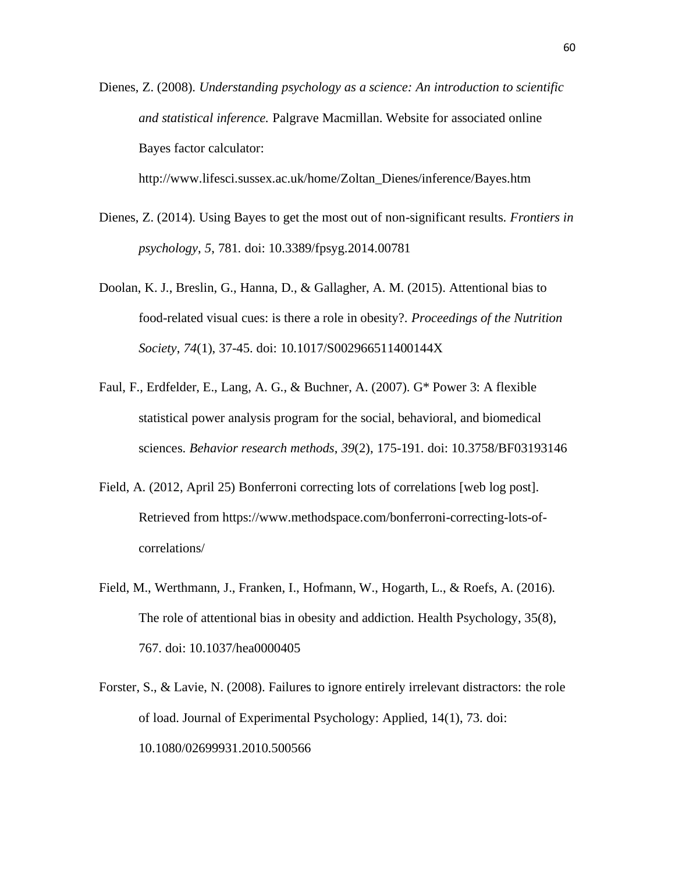Dienes, Z. (2008). *Understanding psychology as a science: An introduction to scientific and statistical inference.* Palgrave Macmillan. Website for associated online Bayes factor calculator:

[http://www.lifesci.sussex.ac.uk/home/Zoltan\\_Dienes/inference/Bayes.htm](http://www.lifesci.sussex.ac.uk/home/Zoltan_Dienes/inference/Bayes.htm)

- Dienes, Z. (2014). Using Bayes to get the most out of non-significant results. *Frontiers in psychology*, *5*, 781. doi: 10.3389/fpsyg.2014.00781
- Doolan, K. J., Breslin, G., Hanna, D., & Gallagher, A. M. (2015). Attentional bias to food-related visual cues: is there a role in obesity?. *Proceedings of the Nutrition Society*, *74*(1), 37-45. doi: 10.1017/S002966511400144X
- Faul, F., Erdfelder, E., Lang, A. G., & Buchner, A. (2007). G\* Power 3: A flexible statistical power analysis program for the social, behavioral, and biomedical sciences. *Behavior research methods*, *39*(2), 175-191. doi: 10.3758/BF03193146
- Field, A. (2012, April 25) Bonferroni correcting lots of correlations [web log post]. Retrieved from [https://www.methodspace.com/bonferroni-correcting-lots-of](https://www.methodspace.com/bonferroni-correcting-lots-of-correlations/)[correlations/](https://www.methodspace.com/bonferroni-correcting-lots-of-correlations/)
- Field, M., Werthmann, J., Franken, I., Hofmann, W., Hogarth, L., & Roefs, A. (2016). The role of attentional bias in obesity and addiction. Health Psychology, 35(8), 767. doi: 10.1037/hea0000405
- Forster, S., & Lavie, N. (2008). Failures to ignore entirely irrelevant distractors: the role of load. Journal of Experimental Psychology: Applied, 14(1), 73. doi: 10.1080/02699931.2010.500566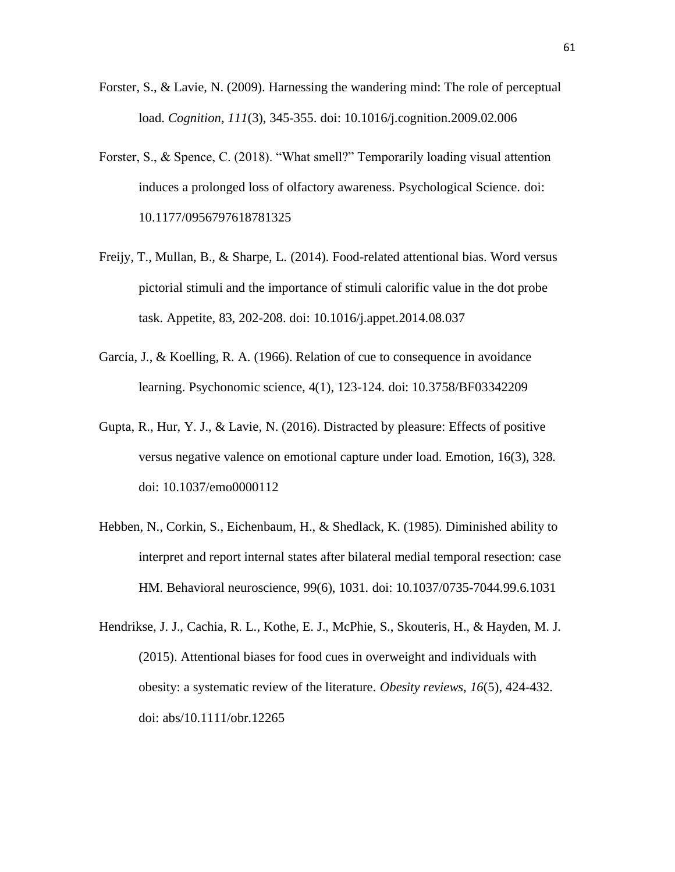- Forster, S., & Lavie, N. (2009). Harnessing the wandering mind: The role of perceptual load. *Cognition*, *111*(3), 345-355. doi: 10.1016/j.cognition.2009.02.006
- Forster, S., & Spence, C. (2018). "What smell?" Temporarily loading visual attention induces a prolonged loss of olfactory awareness. Psychological Science. doi: 10.1177/0956797618781325
- Freijy, T., Mullan, B., & Sharpe, L. (2014). Food-related attentional bias. Word versus pictorial stimuli and the importance of stimuli calorific value in the dot probe task. Appetite, 83, 202-208. doi: 10.1016/j.appet.2014.08.037
- Garcia, J., & Koelling, R. A. (1966). Relation of cue to consequence in avoidance learning. Psychonomic science, 4(1), 123-124. doi: 10.3758/BF03342209
- Gupta, R., Hur, Y. J., & Lavie, N. (2016). Distracted by pleasure: Effects of positive versus negative valence on emotional capture under load. Emotion, 16(3), 328. doi: 10.1037/emo0000112
- Hebben, N., Corkin, S., Eichenbaum, H., & Shedlack, K. (1985). Diminished ability to interpret and report internal states after bilateral medial temporal resection: case HM. Behavioral neuroscience, 99(6), 1031. doi: 10.1037/0735-7044.99.6.1031
- Hendrikse, J. J., Cachia, R. L., Kothe, E. J., McPhie, S., Skouteris, H., & Hayden, M. J. (2015). Attentional biases for food cues in overweight and individuals with obesity: a systematic review of the literature. *Obesity reviews*, *16*(5), 424-432. doi: abs/10.1111/obr.12265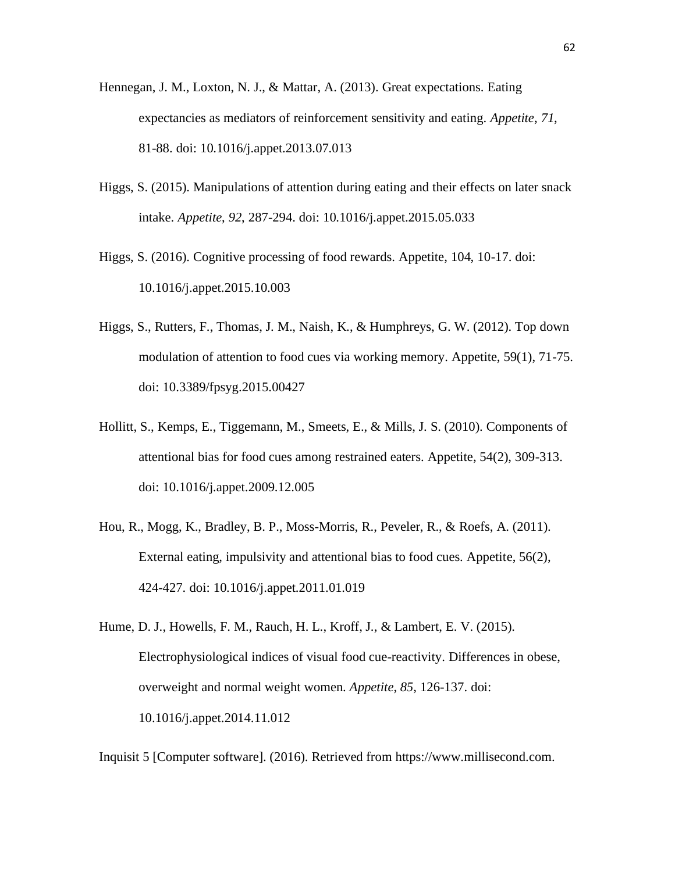- Hennegan, J. M., Loxton, N. J., & Mattar, A. (2013). Great expectations. Eating expectancies as mediators of reinforcement sensitivity and eating. *Appetite*, *71*, 81-88. doi: 10.1016/j.appet.2013.07.013
- Higgs, S. (2015). Manipulations of attention during eating and their effects on later snack intake. *Appetite*, *92*, 287-294. doi: 10.1016/j.appet.2015.05.033
- Higgs, S. (2016). Cognitive processing of food rewards. Appetite, 104, 10-17. doi: 10.1016/j.appet.2015.10.003
- Higgs, S., Rutters, F., Thomas, J. M., Naish, K., & Humphreys, G. W. (2012). Top down modulation of attention to food cues via working memory. Appetite, 59(1), 71-75. doi: 10.3389/fpsyg.2015.00427
- Hollitt, S., Kemps, E., Tiggemann, M., Smeets, E., & Mills, J. S. (2010). Components of attentional bias for food cues among restrained eaters. Appetite, 54(2), 309-313. doi: 10.1016/j.appet.2009.12.005
- Hou, R., Mogg, K., Bradley, B. P., Moss-Morris, R., Peveler, R., & Roefs, A. (2011). External eating, impulsivity and attentional bias to food cues. Appetite, 56(2), 424-427. doi: 10.1016/j.appet.2011.01.019
- Hume, D. J., Howells, F. M., Rauch, H. L., Kroff, J., & Lambert, E. V. (2015). Electrophysiological indices of visual food cue-reactivity. Differences in obese, overweight and normal weight women. *Appetite*, *85*, 126-137. doi: 10.1016/j.appet.2014.11.012

Inquisit 5 [Computer software]. (2016). Retrieved from https://www.millisecond.com.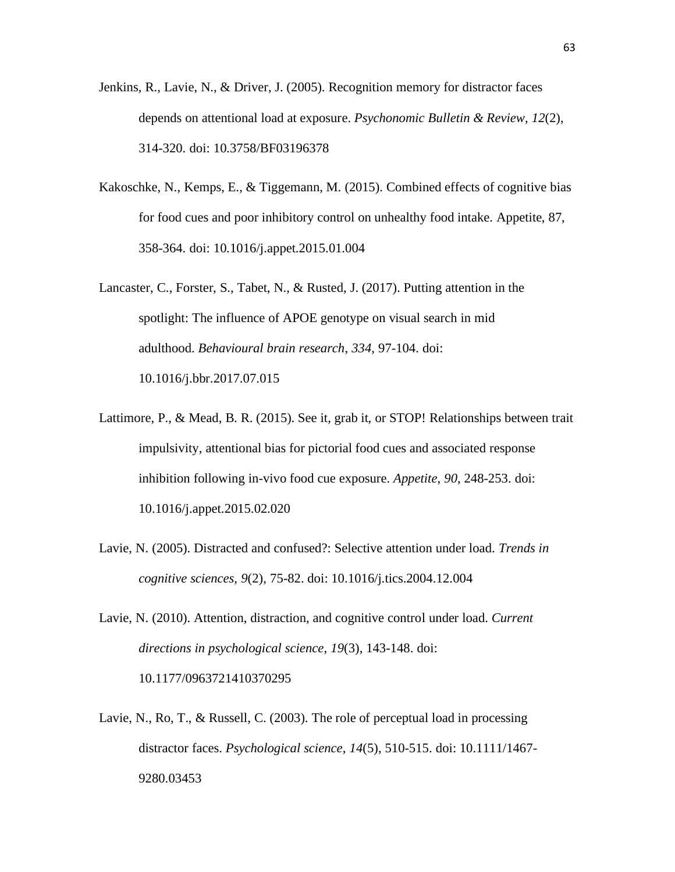- Jenkins, R., Lavie, N., & Driver, J. (2005). Recognition memory for distractor faces depends on attentional load at exposure. *Psychonomic Bulletin & Review*, *12*(2), 314-320. doi: 10.3758/BF03196378
- Kakoschke, N., Kemps, E., & Tiggemann, M. (2015). Combined effects of cognitive bias for food cues and poor inhibitory control on unhealthy food intake. Appetite, 87, 358-364. doi: 10.1016/j.appet.2015.01.004
- Lancaster, C., Forster, S., Tabet, N., & Rusted, J. (2017). Putting attention in the spotlight: The influence of APOE genotype on visual search in mid adulthood. *Behavioural brain research*, *334*, 97-104. doi: 10.1016/j.bbr.2017.07.015
- Lattimore, P., & Mead, B. R. (2015). See it, grab it, or STOP! Relationships between trait impulsivity, attentional bias for pictorial food cues and associated response inhibition following in-vivo food cue exposure. *Appetite*, *90*, 248-253. doi: 10.1016/j.appet.2015.02.020
- Lavie, N. (2005). Distracted and confused?: Selective attention under load. *Trends in cognitive sciences*, *9*(2), 75-82. doi: 10.1016/j.tics.2004.12.004
- Lavie, N. (2010). Attention, distraction, and cognitive control under load. *Current directions in psychological science*, *19*(3), 143-148. doi: 10.1177/0963721410370295
- Lavie, N., Ro, T., & Russell, C. (2003). The role of perceptual load in processing distractor faces. *Psychological science*, *14*(5), 510-515. doi: 10.1111/1467- 9280.03453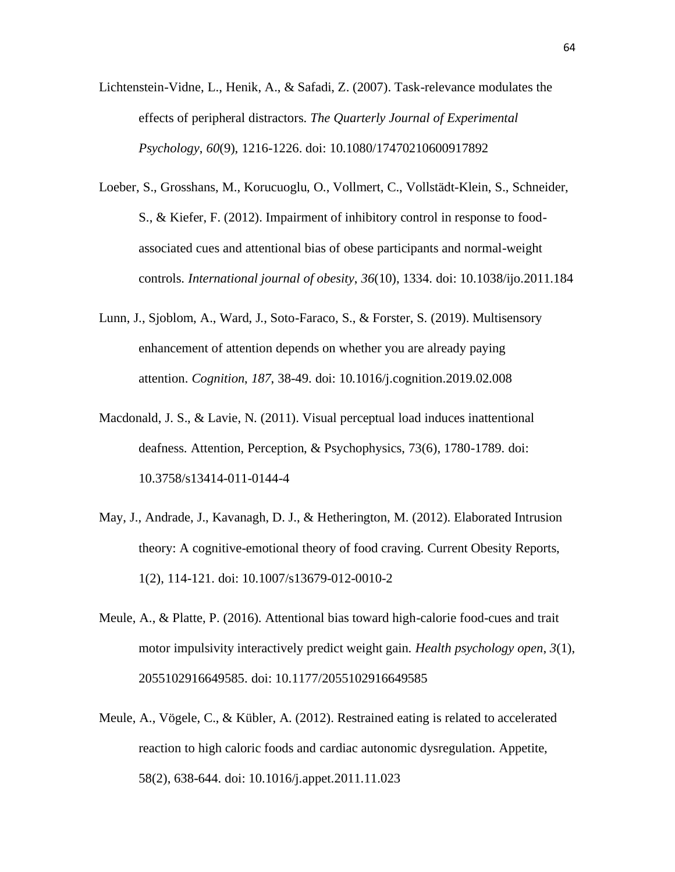- Lichtenstein-Vidne, L., Henik, A., & Safadi, Z. (2007). Task-relevance modulates the effects of peripheral distractors. *The Quarterly Journal of Experimental Psychology*, *60*(9), 1216-1226. doi: 10.1080/17470210600917892
- Loeber, S., Grosshans, M., Korucuoglu, O., Vollmert, C., Vollstädt-Klein, S., Schneider, S., & Kiefer, F. (2012). Impairment of inhibitory control in response to foodassociated cues and attentional bias of obese participants and normal-weight controls. *International journal of obesity*, *36*(10), 1334. doi: 10.1038/ijo.2011.184
- Lunn, J., Sjoblom, A., Ward, J., Soto-Faraco, S., & Forster, S. (2019). Multisensory enhancement of attention depends on whether you are already paying attention. *Cognition*, *187*, 38-49. doi: 10.1016/j.cognition.2019.02.008
- Macdonald, J. S., & Lavie, N. (2011). Visual perceptual load induces inattentional deafness. Attention, Perception, & Psychophysics, 73(6), 1780-1789. doi: 10.3758/s13414-011-0144-4
- May, J., Andrade, J., Kavanagh, D. J., & Hetherington, M. (2012). Elaborated Intrusion theory: A cognitive-emotional theory of food craving. Current Obesity Reports, 1(2), 114-121. doi: 10.1007/s13679-012-0010-2
- Meule, A., & Platte, P. (2016). Attentional bias toward high-calorie food-cues and trait motor impulsivity interactively predict weight gain. *Health psychology open*, *3*(1), 2055102916649585. doi: 10.1177/2055102916649585
- Meule, A., Vögele, C., & Kübler, A. (2012). Restrained eating is related to accelerated reaction to high caloric foods and cardiac autonomic dysregulation. Appetite, 58(2), 638-644. doi: 10.1016/j.appet.2011.11.023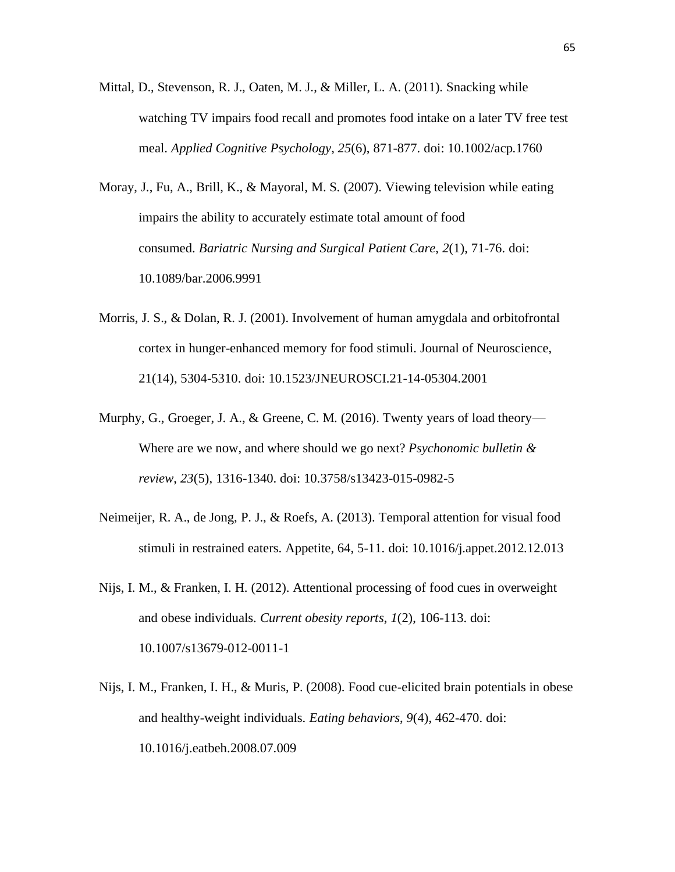- Mittal, D., Stevenson, R. J., Oaten, M. J., & Miller, L. A. (2011). Snacking while watching TV impairs food recall and promotes food intake on a later TV free test meal. *Applied Cognitive Psychology*, *25*(6), 871-877. doi: 10.1002/acp.1760
- Moray, J., Fu, A., Brill, K., & Mayoral, M. S. (2007). Viewing television while eating impairs the ability to accurately estimate total amount of food consumed. *Bariatric Nursing and Surgical Patient Care*, *2*(1), 71-76. doi: 10.1089/bar.2006.9991
- Morris, J. S., & Dolan, R. J. (2001). Involvement of human amygdala and orbitofrontal cortex in hunger-enhanced memory for food stimuli. Journal of Neuroscience, 21(14), 5304-5310. doi: 10.1523/JNEUROSCI.21-14-05304.2001
- Murphy, G., Groeger, J. A., & Greene, C. M. (2016). Twenty years of load theory— Where are we now, and where should we go next? *Psychonomic bulletin & review*, *23*(5), 1316-1340. doi: 10.3758/s13423-015-0982-5
- Neimeijer, R. A., de Jong, P. J., & Roefs, A. (2013). Temporal attention for visual food stimuli in restrained eaters. Appetite, 64, 5-11. doi: 10.1016/j.appet.2012.12.013
- Nijs, I. M., & Franken, I. H. (2012). Attentional processing of food cues in overweight and obese individuals. *Current obesity reports*, *1*(2), 106-113. doi: 10.1007/s13679-012-0011-1
- Nijs, I. M., Franken, I. H., & Muris, P. (2008). Food cue-elicited brain potentials in obese and healthy-weight individuals. *Eating behaviors*, *9*(4), 462-470. doi: 10.1016/j.eatbeh.2008.07.009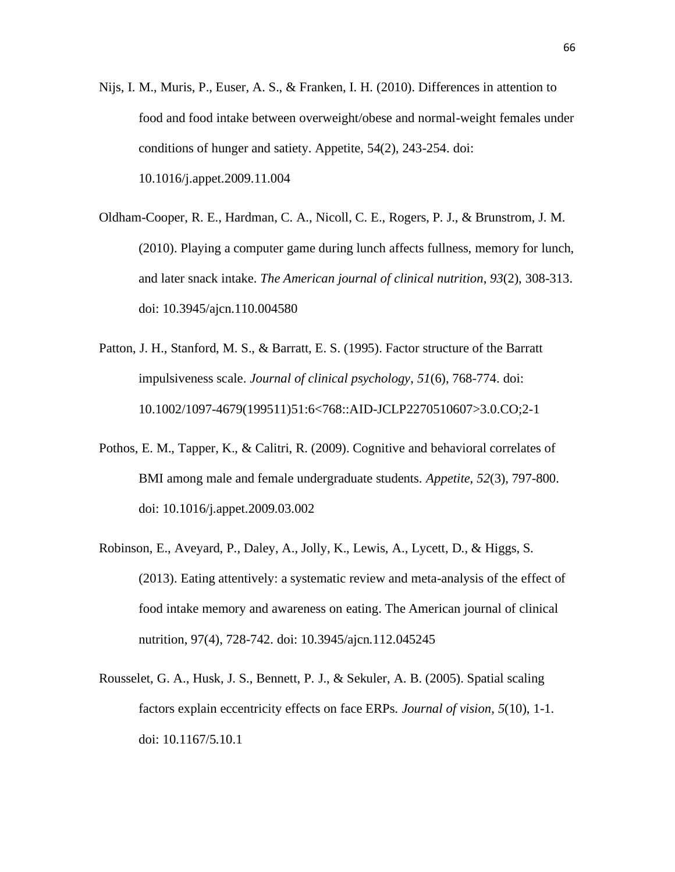- Nijs, I. M., Muris, P., Euser, A. S., & Franken, I. H. (2010). Differences in attention to food and food intake between overweight/obese and normal-weight females under conditions of hunger and satiety. Appetite, 54(2), 243-254. doi: 10.1016/j.appet.2009.11.004
- Oldham-Cooper, R. E., Hardman, C. A., Nicoll, C. E., Rogers, P. J., & Brunstrom, J. M. (2010). Playing a computer game during lunch affects fullness, memory for lunch, and later snack intake. *The American journal of clinical nutrition*, *93*(2), 308-313. doi: 10.3945/ajcn.110.004580
- Patton, J. H., Stanford, M. S., & Barratt, E. S. (1995). Factor structure of the Barratt impulsiveness scale. *Journal of clinical psychology*, *51*(6), 768-774. doi: 10.1002/1097-4679(199511)51:6<768::AID-JCLP2270510607>3.0.CO;2-1
- Pothos, E. M., Tapper, K., & Calitri, R. (2009). Cognitive and behavioral correlates of BMI among male and female undergraduate students. *Appetite*, *52*(3), 797-800. doi: 10.1016/j.appet.2009.03.002
- Robinson, E., Aveyard, P., Daley, A., Jolly, K., Lewis, A., Lycett, D., & Higgs, S. (2013). Eating attentively: a systematic review and meta-analysis of the effect of food intake memory and awareness on eating. The American journal of clinical nutrition, 97(4), 728-742. doi: 10.3945/ajcn.112.045245
- Rousselet, G. A., Husk, J. S., Bennett, P. J., & Sekuler, A. B. (2005). Spatial scaling factors explain eccentricity effects on face ERPs. *Journal of vision*, *5*(10), 1-1. doi: 10.1167/5.10.1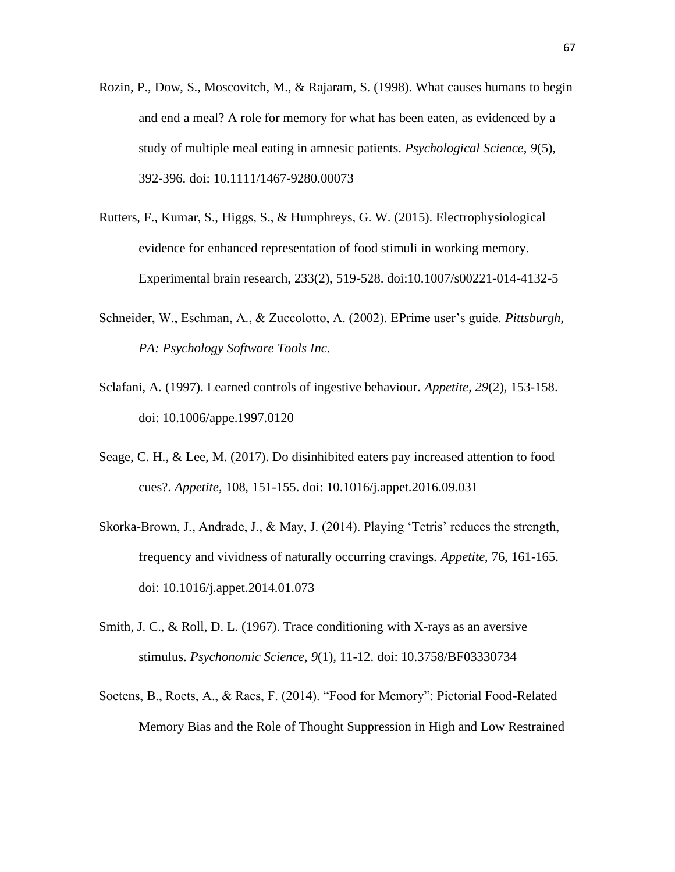- Rozin, P., Dow, S., Moscovitch, M., & Rajaram, S. (1998). What causes humans to begin and end a meal? A role for memory for what has been eaten, as evidenced by a study of multiple meal eating in amnesic patients. *Psychological Science*, *9*(5), 392-396. doi: 10.1111/1467-9280.00073
- Rutters, F., Kumar, S., Higgs, S., & Humphreys, G. W. (2015). Electrophysiological evidence for enhanced representation of food stimuli in working memory. Experimental brain research, 233(2), 519-528. doi:10.1007/s00221-014-4132-5
- Schneider, W., Eschman, A., & Zuccolotto, A. (2002). EPrime user's guide. *Pittsburgh, PA: Psychology Software Tools Inc*.
- Sclafani, A. (1997). Learned controls of ingestive behaviour. *Appetite*, *29*(2), 153-158. doi: 10.1006/appe.1997.0120
- Seage, C. H., & Lee, M. (2017). Do disinhibited eaters pay increased attention to food cues?. *Appetite*, 108, 151-155. doi: 10.1016/j.appet.2016.09.031
- Skorka-Brown, J., Andrade, J., & May, J. (2014). Playing 'Tetris' reduces the strength, frequency and vividness of naturally occurring cravings. *Appetite,* 76, 161-165. doi: 10.1016/j.appet.2014.01.073
- Smith, J. C., & Roll, D. L. (1967). Trace conditioning with X-rays as an aversive stimulus. *Psychonomic Science*, *9*(1), 11-12. doi: 10.3758/BF03330734
- Soetens, B., Roets, A., & Raes, F. (2014). "Food for Memory": Pictorial Food-Related Memory Bias and the Role of Thought Suppression in High and Low Restrained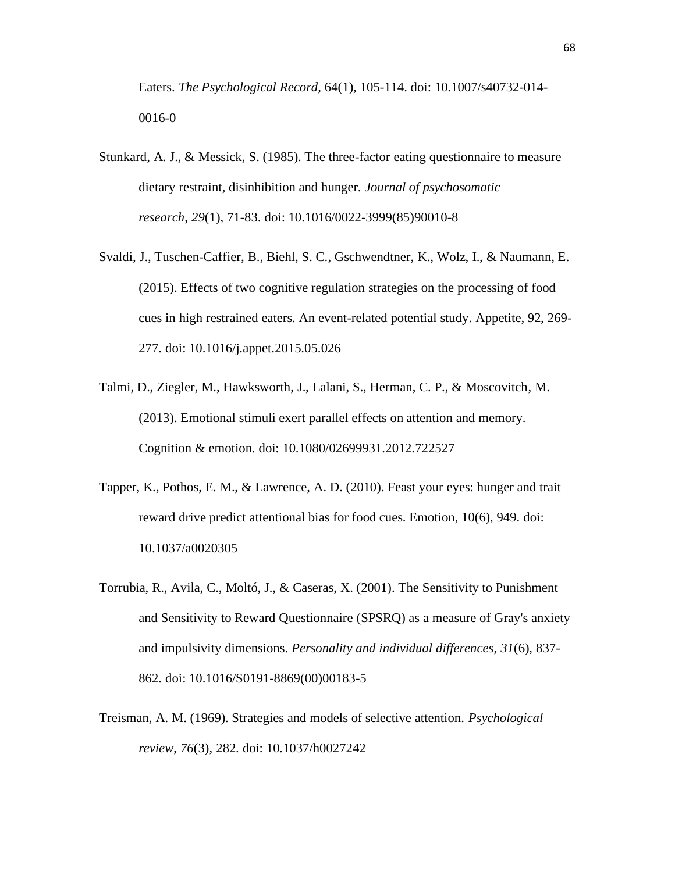Eaters. *The Psychological Record,* 64(1), 105-114. doi: 10.1007/s40732-014- 0016-0

- Stunkard, A. J., & Messick, S. (1985). The three-factor eating questionnaire to measure dietary restraint, disinhibition and hunger. *Journal of psychosomatic research*, *29*(1), 71-83. doi: 10.1016/0022-3999(85)90010-8
- Svaldi, J., Tuschen-Caffier, B., Biehl, S. C., Gschwendtner, K., Wolz, I., & Naumann, E. (2015). Effects of two cognitive regulation strategies on the processing of food cues in high restrained eaters. An event-related potential study. Appetite, 92, 269- 277. doi: 10.1016/j.appet.2015.05.026
- Talmi, D., Ziegler, M., Hawksworth, J., Lalani, S., Herman, C. P., & Moscovitch, M. (2013). Emotional stimuli exert parallel effects on attention and memory. Cognition & emotion. doi: 10.1080/02699931.2012.722527
- Tapper, K., Pothos, E. M., & Lawrence, A. D. (2010). Feast your eyes: hunger and trait reward drive predict attentional bias for food cues. Emotion, 10(6), 949. doi: 10.1037/a0020305
- Torrubia, R., Avila, C., Moltó, J., & Caseras, X. (2001). The Sensitivity to Punishment and Sensitivity to Reward Questionnaire (SPSRQ) as a measure of Gray's anxiety and impulsivity dimensions. *Personality and individual differences*, *31*(6), 837- 862. doi: 10.1016/S0191-8869(00)00183-5
- Treisman, A. M. (1969). Strategies and models of selective attention. *Psychological review*, *76*(3), 282. doi: 10.1037/h0027242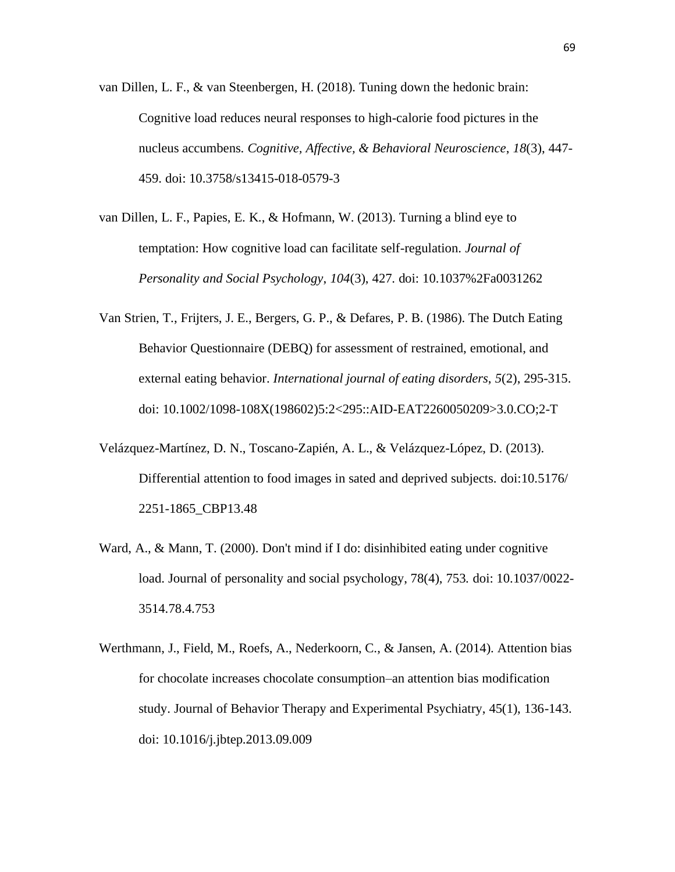- van Dillen, L. F., & van Steenbergen, H. (2018). Tuning down the hedonic brain: Cognitive load reduces neural responses to high-calorie food pictures in the nucleus accumbens. *Cognitive, Affective, & Behavioral Neuroscience*, *18*(3), 447- 459. doi: 10.3758/s13415-018-0579-3
- van Dillen, L. F., Papies, E. K., & Hofmann, W. (2013). Turning a blind eye to temptation: How cognitive load can facilitate self-regulation. *Journal of Personality and Social Psychology*, *104*(3), 427. doi: 10.1037%2Fa0031262
- Van Strien, T., Frijters, J. E., Bergers, G. P., & Defares, P. B. (1986). The Dutch Eating Behavior Questionnaire (DEBQ) for assessment of restrained, emotional, and external eating behavior. *International journal of eating disorders*, *5*(2), 295-315. doi: 10.1002/1098-108X(198602)5:2<295::AID-EAT2260050209>3.0.CO;2-T
- Velázquez-Martínez, D. N., Toscano-Zapién, A. L., & Velázquez-López, D. (2013). Differential attention to food images in sated and deprived subjects. doi:10.5176/ 2251-1865\_CBP13.48
- Ward, A., & Mann, T. (2000). Don't mind if I do: disinhibited eating under cognitive load. Journal of personality and social psychology, 78(4), 753. doi: 10.1037/0022- 3514.78.4.753
- Werthmann, J., Field, M., Roefs, A., Nederkoorn, C., & Jansen, A. (2014). Attention bias for chocolate increases chocolate consumption–an attention bias modification study. Journal of Behavior Therapy and Experimental Psychiatry, 45(1), 136-143. doi: 10.1016/j.jbtep.2013.09.009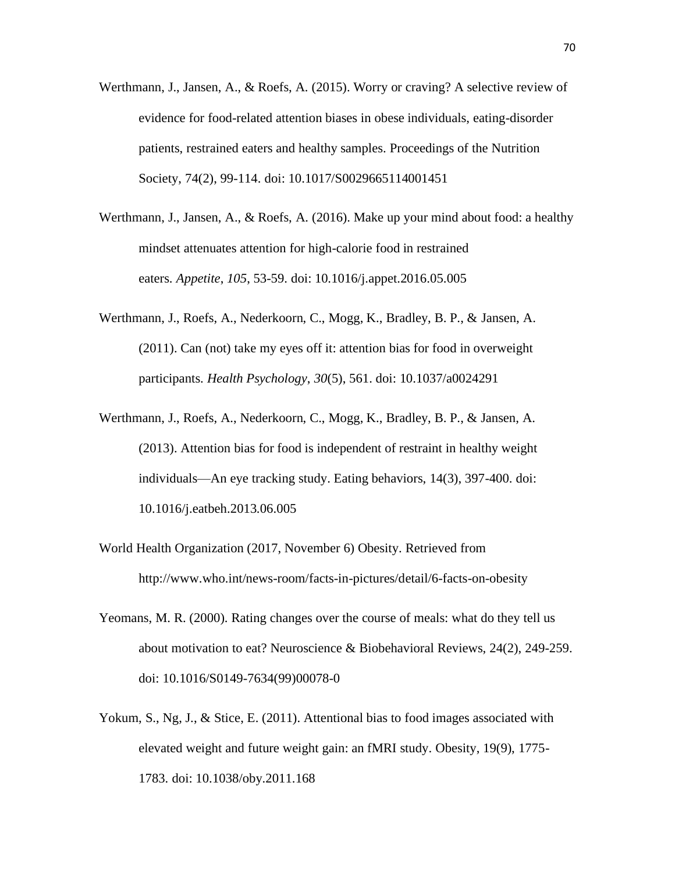- Werthmann, J., Jansen, A., & Roefs, A. (2015). Worry or craving? A selective review of evidence for food-related attention biases in obese individuals, eating-disorder patients, restrained eaters and healthy samples. Proceedings of the Nutrition Society, 74(2), 99-114. doi: 10.1017/S0029665114001451
- Werthmann, J., Jansen, A., & Roefs, A. (2016). Make up your mind about food: a healthy mindset attenuates attention for high-calorie food in restrained eaters. *Appetite*, *105*, 53-59. doi: 10.1016/j.appet.2016.05.005
- Werthmann, J., Roefs, A., Nederkoorn, C., Mogg, K., Bradley, B. P., & Jansen, A. (2011). Can (not) take my eyes off it: attention bias for food in overweight participants. *Health Psychology*, *30*(5), 561. doi: 10.1037/a0024291
- Werthmann, J., Roefs, A., Nederkoorn, C., Mogg, K., Bradley, B. P., & Jansen, A. (2013). Attention bias for food is independent of restraint in healthy weight individuals—An eye tracking study. Eating behaviors, 14(3), 397-400. doi: 10.1016/j.eatbeh.2013.06.005
- World Health Organization (2017, November 6) Obesity. Retrieved from <http://www.who.int/news-room/facts-in-pictures/detail/6-facts-on-obesity>
- Yeomans, M. R. (2000). Rating changes over the course of meals: what do they tell us about motivation to eat? Neuroscience & Biobehavioral Reviews, 24(2), 249-259. doi: 10.1016/S0149-7634(99)00078-0
- Yokum, S., Ng, J., & Stice, E. (2011). Attentional bias to food images associated with elevated weight and future weight gain: an fMRI study. Obesity, 19(9), 1775- 1783. doi: 10.1038/oby.2011.168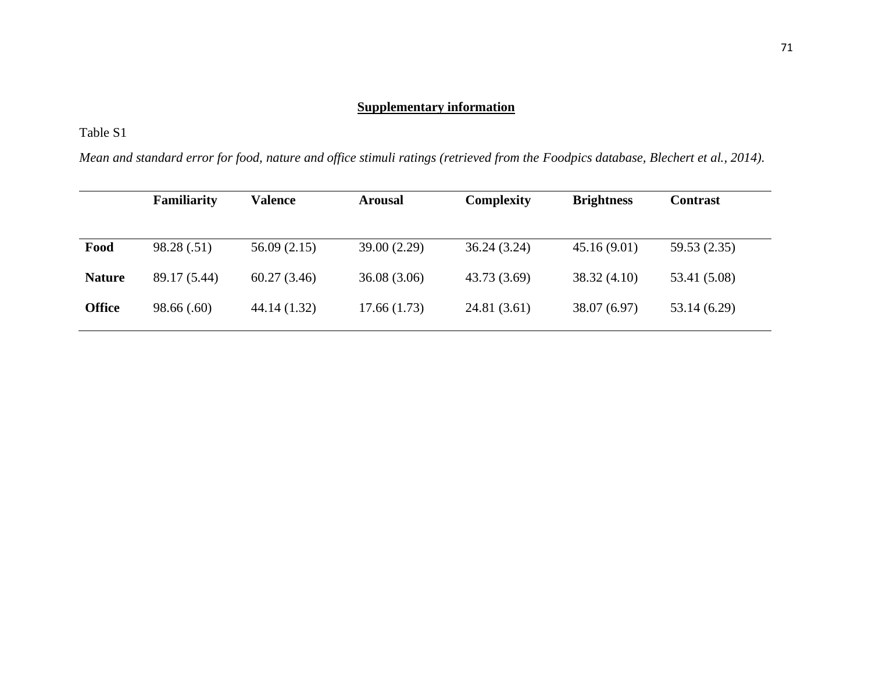## **Supplementary information**

Table S1

*Mean and standard error for food, nature and office stimuli ratings (retrieved from the Foodpics database, Blechert et al., 2014).*

|               | <b>Familiarity</b> | Valence      | <b>Arousal</b> | <b>Complexity</b> | <b>Brightness</b> | <b>Contrast</b> |
|---------------|--------------------|--------------|----------------|-------------------|-------------------|-----------------|
| Food          | 98.28 (.51)        | 56.09(2.15)  | 39.00 (2.29)   | 36.24(3.24)       | 45.16(9.01)       | 59.53 (2.35)    |
| <b>Nature</b> | 89.17 (5.44)       | 60.27(3.46)  | 36.08(3.06)    | 43.73(3.69)       | 38.32(4.10)       | 53.41 (5.08)    |
| <b>Office</b> | 98.66(.60)         | 44.14 (1.32) | 17.66(1.73)    | 24.81 (3.61)      | 38.07 (6.97)      | 53.14 (6.29)    |
|               |                    |              |                |                   |                   |                 |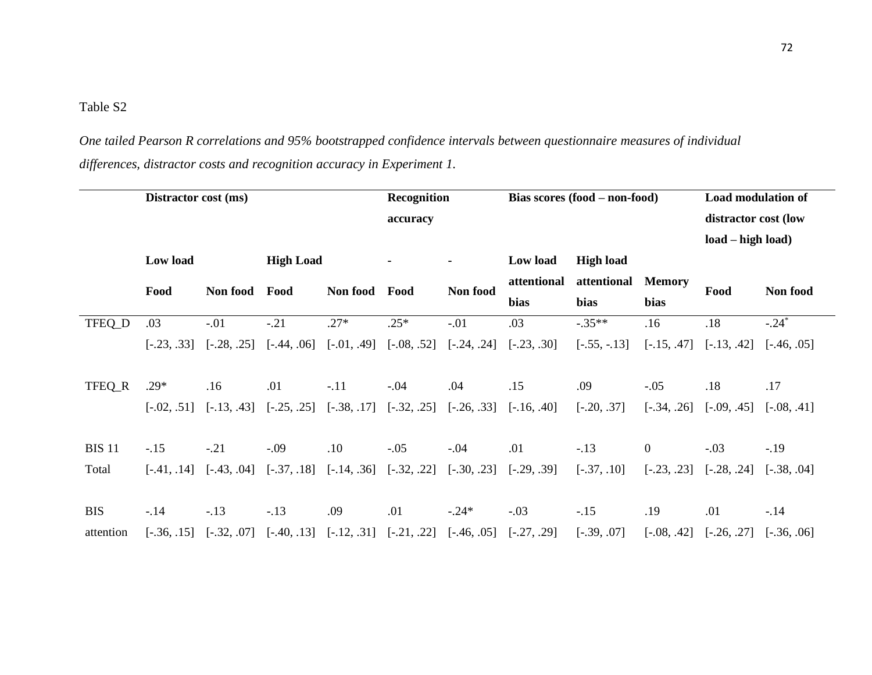*One tailed Pearson R correlations and 95% bootstrapped confidence intervals between questionnaire measures of individual differences, distractor costs and recognition accuracy in Experiment 1.*

|               | Distractor cost (ms) |               |                  |                 | Recognition   |               | Bias scores (food – non-food) |                  |                | Load modulation of   |                     |  |
|---------------|----------------------|---------------|------------------|-----------------|---------------|---------------|-------------------------------|------------------|----------------|----------------------|---------------------|--|
|               |                      |               |                  |                 | accuracy      |               |                               |                  |                | distractor cost (low |                     |  |
|               |                      |               |                  |                 |               |               |                               |                  |                | load – high load)    |                     |  |
|               | Low load             |               | <b>High Load</b> |                 |               |               | Low load                      | <b>High load</b> |                |                      |                     |  |
|               | Non food<br>Food     |               | Food             | <b>Non food</b> | Food          | Non food      | attentional                   | attentional      | <b>Memory</b>  | Food                 | Non food            |  |
|               |                      |               |                  |                 |               |               | <b>bias</b>                   | bias             | bias           |                      |                     |  |
| TFEQ_D        | .03                  | $-.01$        | $-.21$           | $.27*$          | $.25*$        | $-.01$        | .03                           | $-.35**$         | .16            | .18                  | $-.24$ <sup>*</sup> |  |
|               | $[-.23, .33]$        | $[-.28, .25]$ | $[-.44, .06]$    | $[-.01, .49]$   | $[-.08, .52]$ | $[-.24, .24]$ | $[-.23, .30]$                 | $[-.55, -.13]$   | $[-.15, .47]$  | $[-.13, .42]$        | $[-.46, .05]$       |  |
|               |                      |               |                  |                 |               |               |                               |                  |                |                      |                     |  |
| TFEQ_R        | $.29*$               | .16           | .01              | $-.11$          | $-.04$        | .04           | .15                           | .09              | $-.05$         | .18                  | .17                 |  |
|               | $[-.02, .51]$        | $[-.13, .43]$ | $[-.25, .25]$    | $[-.38, .17]$   | $[-.32, .25]$ | $[-.26, .33]$ | $[-.16, .40]$                 | $[-.20, .37]$    | $[-.34, .26]$  | $[-.09, .45]$        | $[-.08, .41]$       |  |
|               |                      |               |                  |                 |               |               |                               |                  |                |                      |                     |  |
| <b>BIS 11</b> | $-.15$               | $-.21$        | $-.09$           | .10             | $-.05$        | $-.04$        | .01                           | $-.13$           | $\overline{0}$ | $-.03$               | $-.19$              |  |
| Total         | $[-41, .14]$         | $[-.43, .04]$ | $[-.37, .18]$    | $[-.14, .36]$   | $[-.32, .22]$ | $[-.30, .23]$ | $[-.29, .39]$                 | $[-.37, .10]$    | $[-.23, .23]$  | $[-.28, .24]$        | $[-.38, .04]$       |  |
|               |                      |               |                  |                 |               |               |                               |                  |                |                      |                     |  |
| <b>BIS</b>    | $-.14$               | $-.13$        | $-.13$           | .09             | .01           | $-.24*$       | $-.03$                        | $-.15$           | .19            | .01                  | $-.14$              |  |
| attention     | $[-.36, .15]$        | $[-.32, .07]$ | $[-.40, .13]$    | $[-.12, .31]$   | $[-.21, .22]$ | $[-.46, .05]$ | $[-.27, .29]$                 | $[-.39, .07]$    | $[-.08, .42]$  | $[-.26, .27]$        | $[-.36, .06]$       |  |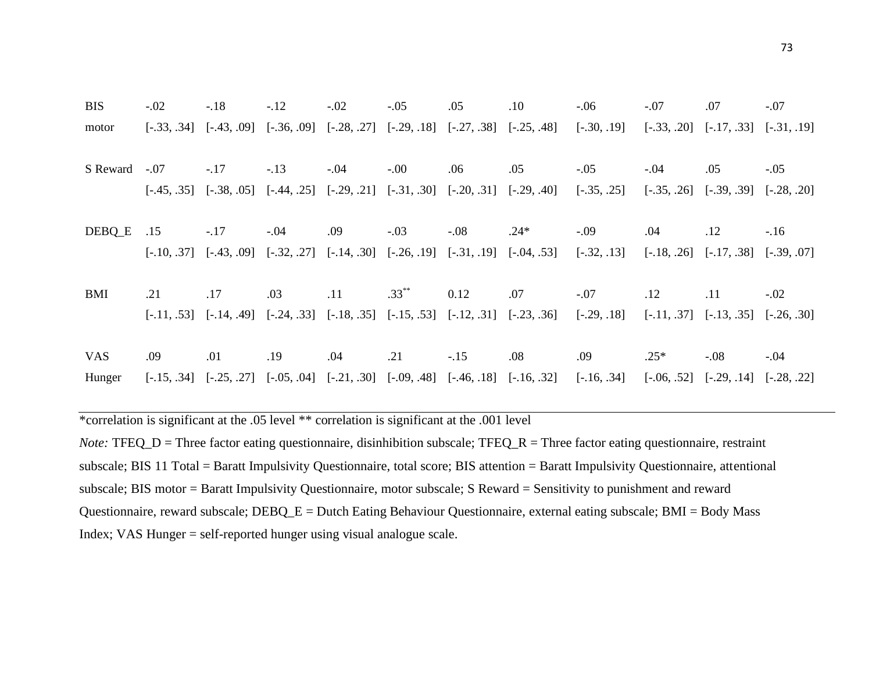| <b>BIS</b><br>$-.02$<br>$-.18$<br>$-.12$<br>$-.02$<br>$-.05$<br>.10<br>$-.07$<br>.05<br>$-.06$<br>.07                                                                          | $-.07$        |
|--------------------------------------------------------------------------------------------------------------------------------------------------------------------------------|---------------|
| $[-.28, .27]$ $[-.29, .18]$ $[-.27, .38]$ $[-.25, .48]$<br>$[-.30, .19]$<br>$[-.36, .09]$<br>$[-.33, .20]$ $[-.17, .33]$ $[-.31, .19]$<br>$[-.33, .34]$ $[-.43, .09]$<br>motor |               |
|                                                                                                                                                                                |               |
| $-.17$<br>$-.13$<br>S Reward<br>$-.07$<br>$-.04$<br>$-.00$<br>.05<br>$-.05$<br>.05<br>.06<br>$-.04$                                                                            | $-.05$        |
| $[-.45, .35]$ $[-.38, .05]$ $[-.44, .25]$ $[-.29, .21]$ $[-.31, .30]$ $[-.20, .31]$ $[-.29, .40]$<br>$[-.35, .25]$<br>$[-.35, .26]$ $[-.39, .39]$ $[-.28, .20]$                |               |
|                                                                                                                                                                                |               |
| DEBQ_E<br>.09<br>$.24*$<br>.15<br>$-.17$<br>$-.04$<br>$-.03$<br>$-.09$<br>.04<br>.12<br>$-.08$                                                                                 | $-16$         |
| $[-.10, .37]$ $[-.43, .09]$ $[-.32, .27]$ $[-.14, .30]$ $[-.26, .19]$ $[-.31, .19]$ $[-.04, .53]$<br>$[-.32, .13]$<br>$[-.18, .26]$ $[-.17, .38]$ $[-.39, .07]$                |               |
|                                                                                                                                                                                |               |
| $.33***$<br>BMI<br>.03<br>.07<br>.21<br>.17<br>.11<br>0.12<br>$-.07$<br>.12<br>.11                                                                                             | $-.02$        |
| $[-.11, .53]$ $[-.14, .49]$ $[-.24, .33]$ $[-.18, .35]$ $[-.15, .53]$ $[-.12, .31]$ $[-.23, .36]$<br>$[-.29, .18]$<br>$[-.11, .37]$ $[-.13, .35]$ $[-.26, .30]$                |               |
|                                                                                                                                                                                |               |
| <b>VAS</b><br>.09<br>.01<br>.19<br>.21<br>.08<br>$.25*$<br>.04<br>.09<br>$-.15$<br>$-.08$                                                                                      | $-.04$        |
| $[-.15, .34]$ $[-.25, .27]$ $[-.05, .04]$ $[-.21, .30]$ $[-.09, .48]$ $[-.46, .18]$ $[-.16, .32]$<br>$[-.16, .34]$<br>$[-.06, .52]$<br>$[-.29, .14]$<br>Hunger                 | $[-.28, .22]$ |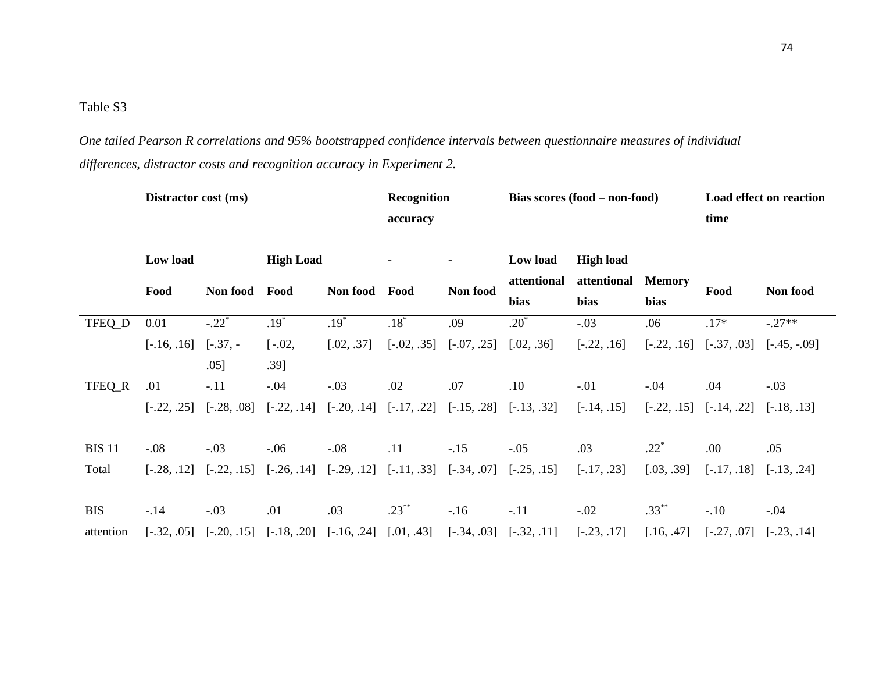*One tailed Pearson R correlations and 95% bootstrapped confidence intervals between questionnaire measures of individual differences, distractor costs and recognition accuracy in Experiment 2.* 

|               | Distractor cost (ms) |                     |                  |               | Recognition<br>Bias scores (food – non-food) |               |               |                  | Load effect on reaction |               |               |
|---------------|----------------------|---------------------|------------------|---------------|----------------------------------------------|---------------|---------------|------------------|-------------------------|---------------|---------------|
|               |                      |                     |                  |               | accuracy                                     |               |               |                  | time                    |               |               |
|               | Low load             |                     | <b>High Load</b> |               |                                              |               | Low load      | <b>High load</b> |                         |               |               |
|               | Food                 | <b>Non food</b>     | Food             | Non food Food |                                              | Non food      | attentional   | attentional      | <b>Memory</b>           | Food          | Non food      |
|               |                      |                     |                  |               |                                              | bias          |               | bias             | bias                    |               |               |
| TFEQ_D        | 0.01                 | $-.22$ <sup>*</sup> | $.19*$           | $.19*$        | $.18*$                                       | .09           | $.20*$        | $-.03$           | .06                     | $.17*$        | $-.27**$      |
|               | $[-.16, .16]$        | $[-.37, -]$         | $[-.02,$         | [.02, .37]    | $[-.02, .35]$                                | $[-.07, .25]$ | [.02, .36]    | $[-.22, .16]$    | $[-.22, .16]$           | $[-.37, .03]$ | $[-.45, -09]$ |
|               |                      | .05]                | .39]             |               |                                              |               |               |                  |                         |               |               |
| TFEQ_R        | .01                  | $-.11$              | $-.04$           | $-.03$        | .02                                          | .07           | .10           | $-.01$           | $-.04$                  | .04           | $-.03$        |
|               | $[-.22, .25]$        | $[-.28, .08]$       | $[-.22, .14]$    | $[-.20, .14]$ | $[-.17, .22]$                                | $[-.15, .28]$ | $[-.13, .32]$ | $[-.14, .15]$    | $[-.22, .15]$           | $[-.14, .22]$ | $[-.18, .13]$ |
|               |                      |                     |                  |               |                                              |               |               |                  |                         |               |               |
| <b>BIS 11</b> | $-.08$               | $-.03$              | $-.06$           | $-.08$        | .11                                          | $-.15$        | $-.05$        | .03              | $.22*$                  | .00.          | .05           |
| Total         | $[-.28, .12]$        | $[-.22, .15]$       | $[-.26, .14]$    | $[-.29, .12]$ | $[-.11, .33]$                                | $[-.34, .07]$ | $[-.25, .15]$ | $[-.17, .23]$    | [.03, .39]              | $[-.17, .18]$ | $[-.13, .24]$ |
|               |                      |                     |                  |               |                                              |               |               |                  |                         |               |               |
| <b>BIS</b>    | $-.14$               | $-.03$              | .01              | .03           | $.23***$                                     | $-.16$        | $-.11$        | $-.02$           | $.33***$                | $-.10$        | $-.04$        |
| attention     | $[-.32, .05]$        | $[-.20, .15]$       | $[-.18, .20]$    | $[-.16, .24]$ | [.01, .43]                                   | $[-.34, .03]$ | $[-.32, .11]$ | $[-.23, .17]$    | [.16, .47]              | $[-.27, .07]$ | $[-.23, .14]$ |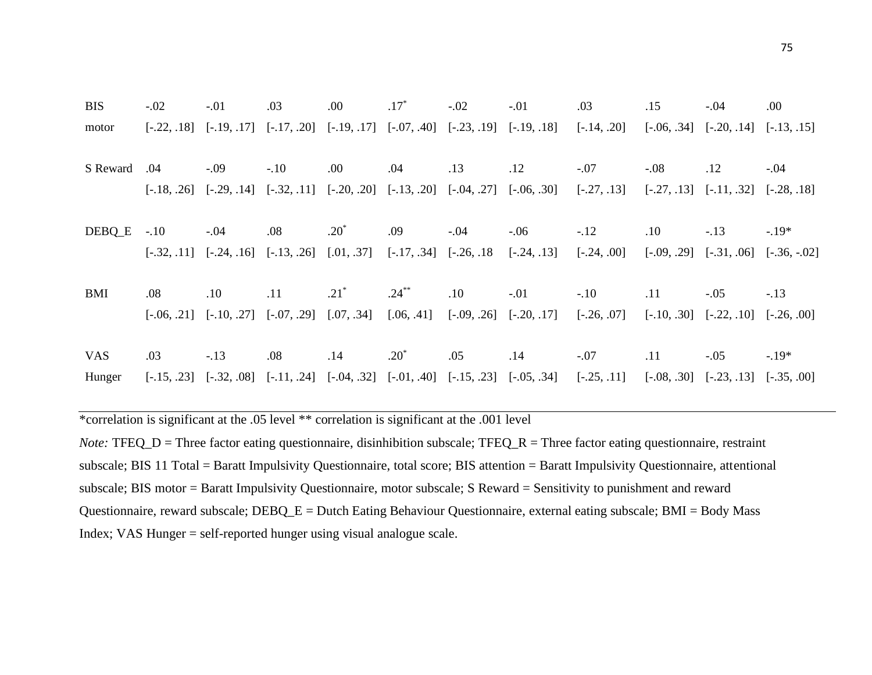|  |  |  | $-0.02$ $-0.01$ $0.03$ $0.00$ $0.17$ $-0.02$ $-0.01$ $0.03$ $0.15$ $-0.04$ $0.00$                                                                                                                 |  |  |
|--|--|--|---------------------------------------------------------------------------------------------------------------------------------------------------------------------------------------------------|--|--|
|  |  |  | $[-.22, .18]$ $[-.19, .17]$ $[-.17, .20]$ $[-.19, .17]$ $[-.07, .40]$ $[-.23, .19]$ $[-.19, .18]$ $[-.14, .20]$ $[-.06, .34]$ $[-.20, .14]$ $[-.13, .15]$                                         |  |  |
|  |  |  |                                                                                                                                                                                                   |  |  |
|  |  |  | 04 - 0.01 - 0.10 0.04 0.13 1.12 - 0.07 - 0.08 1.12 - 0.04                                                                                                                                         |  |  |
|  |  |  | $[-.18, .26] \quad [-.29, .14] \quad [-.32, .11] \quad [-.20, .20] \quad [-.13, .20] \quad [-.04, .27] \quad [-.06, .30] \quad [-.27, .13] \quad [-.27, .13] \quad [-.11, .32] \quad [-.28, .18]$ |  |  |
|  |  |  |                                                                                                                                                                                                   |  |  |
|  |  |  |                                                                                                                                                                                                   |  |  |

| $DEBQ_E$ -.10 |         | $-.04$ | .08             | $.20^*$          | .09             | $-.04$ | $-06$  | $-12$                                                                                                                                                                                             | $.10\,$     | $-13$  | $-19*$ |
|---------------|---------|--------|-----------------|------------------|-----------------|--------|--------|---------------------------------------------------------------------------------------------------------------------------------------------------------------------------------------------------|-------------|--------|--------|
|               |         |        |                 |                  |                 |        |        | $[-.32, .11]$ $[-.24, .16]$ $[-.13, .26]$ $[.01, .37]$ $[-.17, .34]$ $[-.26, .18$ $[-.24, .13]$ $[-.24, .00]$ $[-.09, .29]$ $[-.31, .06]$ $[-.36, -.02]$                                          |             |        |        |
|               |         |        |                 | $21^*$ $24^{**}$ |                 |        | $-.01$ |                                                                                                                                                                                                   |             |        |        |
| <b>BMI</b>    | $.08\,$ | .10    | $\overline{11}$ |                  |                 | .10    |        | $-.10$                                                                                                                                                                                            | $\Box$ .11  | $-.05$ | $-.13$ |
|               |         |        |                 |                  |                 |        |        | $[-.06, .21]$ $[-.10, .27]$ $[-.07, .29]$ $[.07, .34]$ $[.06, .41]$ $[-.09, .26]$ $[-.20, .17]$ $[-.26, .07]$ $[-.10, .30]$ $[-.22, .10]$ $[-.26, .00]$                                           |             |        |        |
|               |         |        |                 |                  |                 |        |        |                                                                                                                                                                                                   |             |        |        |
| <b>VAS</b>    | .03     | $-.13$ | $.08\,$         | .14              | $.20^{\degree}$ | .05    | .14    | $-.07$                                                                                                                                                                                            | $\cdot$ .11 | $-.05$ | $-19*$ |
| Hunger        |         |        |                 |                  |                 |        |        | $[-.15, .23] \quad [-.32, .08] \quad [-.11, .24] \quad [-.04, .32] \quad [-.01, .40] \quad [-.15, .23] \quad [-.05, .34] \quad [-.25, .11] \quad [-.08, .30] \quad [-.23, .13] \quad [-.35, .00]$ |             |        |        |

BIS

motor

S Reward .04

-.02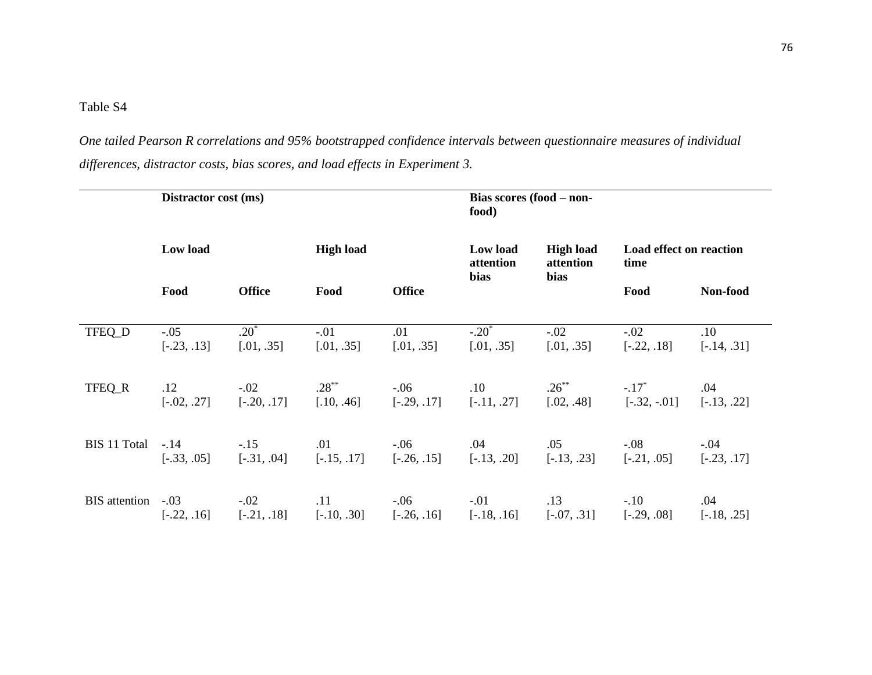*One tailed Pearson R correlations and 95% bootstrapped confidence intervals between questionnaire measures of individual differences, distractor costs, bias scores, and load effects in Experiment 3.*

|                      | Distractor cost (ms)    |                         |                        |                          | Bias scores (food – non-<br>food) |                                            |                                 |                         |  |
|----------------------|-------------------------|-------------------------|------------------------|--------------------------|-----------------------------------|--------------------------------------------|---------------------------------|-------------------------|--|
|                      | Low load                |                         | <b>High load</b>       |                          |                                   | <b>High load</b><br>attention              | Load effect on reaction<br>time |                         |  |
|                      | Food                    | <b>Office</b>           | Food                   | <b>Office</b>            | bias                              | <b>bias</b>                                | Food                            | Non-food                |  |
| TFEQ_D               | $-.05$<br>$[-.23, .13]$ | $.20^*$<br>[.01, .35]   | $-.01$<br>[.01, .35]   | .01<br>[.01, .35]        | $-.20^*$<br>[.01, .35]            | $-.02$<br>[.01, .35]                       | $-.02$<br>$[-.22, .18]$         | .10<br>$[-.14, .31]$    |  |
| TFEQ_R               | .12<br>$[-.02, .27]$    | $-.02$<br>$[-.20, .17]$ | $.28***$<br>[.10, .46] | $-0.06$<br>$[-.29, .17]$ | .10<br>$[-.11, .27]$              | $.26^{**}$ -.17 <sup>*</sup><br>[.02, .48] | $[-.32, -.01]$                  | .04<br>$[-.13, .22]$    |  |
| <b>BIS 11 Total</b>  | $-.14$<br>$[-.33, .05]$ | $-.15$<br>$[-31, .04]$  | .01<br>$[-.15, .17]$   | $-0.06$<br>$[-.26, .15]$ | .04<br>$[-.13, .20]$              | .05<br>$[-.13, .23]$                       | $-.08$<br>$[-.21, .05]$         | $-.04$<br>$[-.23, .17]$ |  |
| <b>BIS</b> attention | $-.03$<br>$[-.22, .16]$ | $-.02$<br>$[-.21, .18]$ | .11<br>$[-.10, .30]$   | $-0.06$<br>$[-.26, .16]$ | $-.01$<br>$[-.18, .16]$           | .13<br>$[-.07, .31]$                       | $-.10$<br>$[-.29, .08]$         | .04<br>$[-.18, .25]$    |  |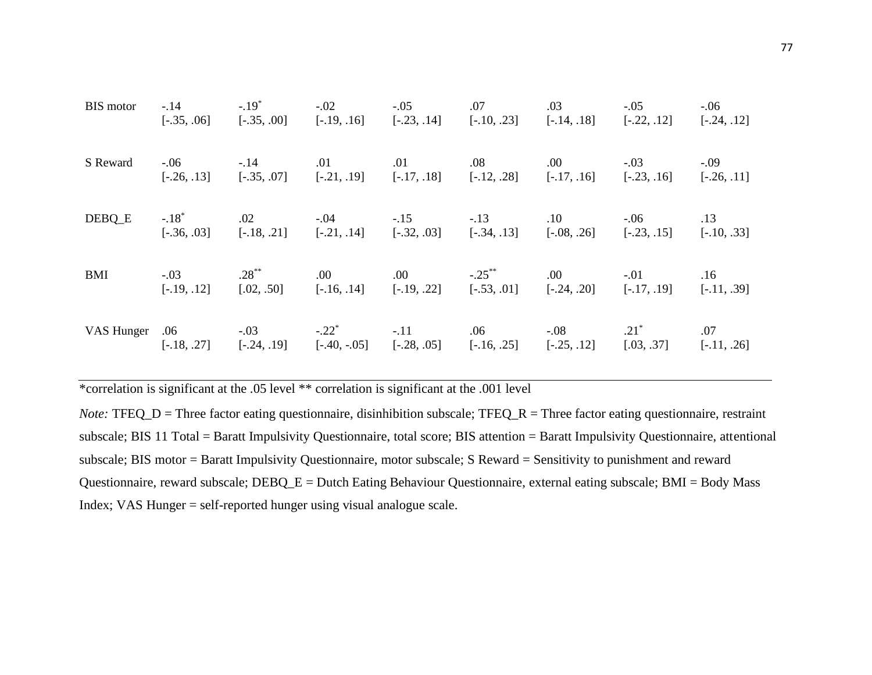| <b>BIS</b> motor | $-14$                   | $-.19^*$<br>$[-.35, .06]$ $[-.35, .00]$ $[-.19, .16]$ $[-.23, .14]$ $[-.10, .23]$ $[-.14, .18]$ | $-.02$                                                                          | $-.05$  | .07       | .03     | $-.05$<br>$[-.22, .12]$          | $-.06$<br>$[-.24, .12]$ |
|------------------|-------------------------|-------------------------------------------------------------------------------------------------|---------------------------------------------------------------------------------|---------|-----------|---------|----------------------------------|-------------------------|
| S Reward         | $-.06$                  | $-14$<br>$[-.26, .13]$ $[-.35, .07]$ $[-.21, .19]$ $[-.17, .18]$ $[-.12, .28]$ $[-.17, .16]$    | .01                                                                             | $.01\,$ | $.08\,$   | $.00\,$ | $-.03$<br>$[-.23, .16]$          | $-.09$<br>$[-.26, .11]$ |
| DEBQ_E           | $-.18$ <sup>*</sup>     | .02<br>$[-.36, .03]$ $[-.18, .21]$ $[-.21, .14]$ $[-.32, .03]$ $[-.34, .13]$ $[-.08, .26]$      | $-0.04$                                                                         | $-15$   | $-.13$    | .10     | $-0.06$<br>$[-.23, .15]$         | .13<br>$[-.10, .33]$    |
| <b>BMI</b>       | $-.03$<br>$[-.19, .12]$ | $.28***$<br>$[0.02, 0.50]$ $[-16, 0.14]$ $[-19, 0.22]$ $[-0.53, 0.01]$ $[-0.24, 0.20]$          | .00.                                                                            | $.00\,$ | $-.25$ ** | $.00\,$ | $-.01$<br>$[-.17, .19]$          | .16<br>$[-.11, .39]$    |
| VAS Hunger       | .06                     | $-.03$<br>$[-.18, .27]$ $[-.24, .19]$                                                           | $-.22$ <sup>*</sup><br>$[-.40, -.05]$ $[-.28, .05]$ $[-.16, .25]$ $[-.25, .12]$ | $-.11$  | .06       | $-.08$  | $.21$ <sup>*</sup><br>[.03, .37] | .07<br>$[-.11, .26]$    |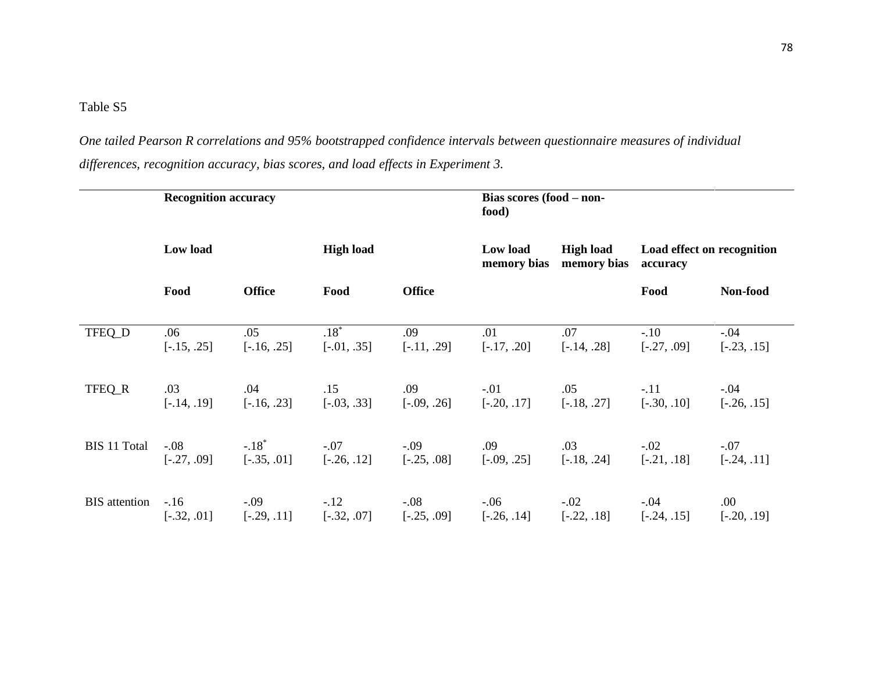*One tailed Pearson R correlations and 95% bootstrapped confidence intervals between questionnaire measures of individual differences, recognition accuracy, bias scores, and load effects in Experiment 3.*

|                      | <b>Recognition accuracy</b> |                     |                  |               | Bias scores (food – non-<br>food) |                                 |               |                            |  |
|----------------------|-----------------------------|---------------------|------------------|---------------|-----------------------------------|---------------------------------|---------------|----------------------------|--|
|                      | Low load                    |                     | <b>High load</b> |               |                                   | <b>High load</b><br>memory bias | accuracy      | Load effect on recognition |  |
|                      | Food                        | <b>Office</b>       | Food             | <b>Office</b> |                                   |                                 | Food          | Non-food                   |  |
| TFEQ_D               | .06                         | .05                 | $.18*$           | .09           | .01                               | .07                             | $-.10$        | $-.04$                     |  |
|                      | $[-.15, .25]$               | $[-.16, .25]$       | $[-.01, .35]$    | $[-.11, .29]$ | $[-.17, .20]$                     | $[-.14, .28]$                   | $[-.27, .09]$ | $[-.23, .15]$              |  |
| TFEQ_R               | .03                         | .04                 | .15              | .09           | $-.01$                            | .05                             | $-.11$        | $-.04$                     |  |
|                      | $[-.14, .19]$               | $[-.16, .23]$       | $[-.03, .33]$    | $[-.09, .26]$ | $[-.20, .17]$                     | $[-.18, .27]$                   | $[-.30, .10]$ | $[-.26, .15]$              |  |
| <b>BIS 11 Total</b>  | $-.08$                      | $-.18$ <sup>*</sup> | $-.07$           | $-.09$        | .09                               | .03                             | $-.02$        | $-.07$                     |  |
|                      | $[-.27, .09]$               | $[-.35, .01]$       | $[-.26, .12]$    | $[-.25, .08]$ | $[-.09, .25]$                     | $[-.18, .24]$                   | $[-.21, .18]$ | $[-.24, .11]$              |  |
| <b>BIS</b> attention | $-16$                       | $-.09$              | $-.12$           | $-.08$        | $-0.06$                           | $-.02$                          | $-.04$        | .00.                       |  |
|                      | $[-.32, .01]$               | $[-.29, .11]$       | $[-.32, .07]$    | $[-.25, .09]$ | $[-.26, .14]$                     | $[-.22, .18]$                   | $[-.24, .15]$ | $[-.20, .19]$              |  |